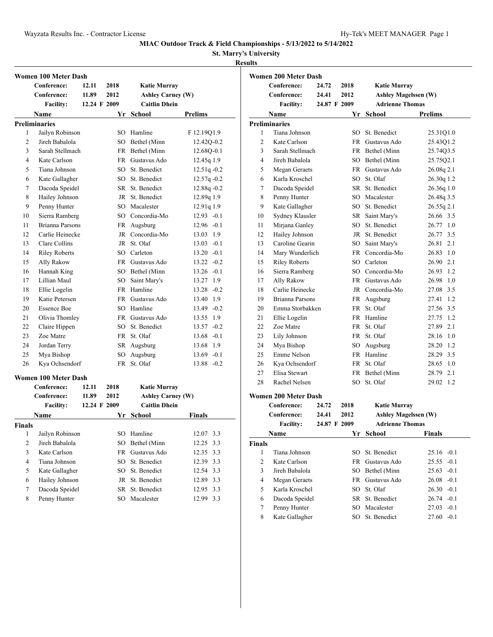**St. Marry's University**

### **Results**

|                | Women 100 Meter Dash   |              |        |                                                  |                |
|----------------|------------------------|--------------|--------|--------------------------------------------------|----------------|
|                | Conference:            | 12.11        | 2018   | <b>Katie Murray</b>                              |                |
|                | Conference:            | 11.89        | 2012   | <b>Ashley Carney (W)</b>                         |                |
|                | <b>Facility:</b>       | 12.24 F 2009 |        | <b>Caitlin Dhein</b>                             |                |
|                | <b>Name</b>            |              |        | Yr School                                        | Prelims        |
|                | <b>Preliminaries</b>   |              |        |                                                  |                |
| 1              | Jailyn Robinson        |              |        | SO Hamline                                       | F 12.19Q1.9    |
| $\overline{c}$ | Jireh Babalola         |              |        | SO Bethel (Minn                                  | 12.42Q-0.2     |
| 3              | Sarah Stellmach        |              |        | FR Bethel (Minn                                  | 12.68Q-0.1     |
| 4              | Kate Carlson           |              |        | FR Gustavus Ado                                  | $12.45q$ 1.9   |
| 5              | Tiana Johnson          |              |        | SO St. Benedict                                  | $12.51q - 0.2$ |
| 6              | Kate Gallagher         |              |        | SO St. Benedict                                  | $12.57q -0.2$  |
| 7              | Dacoda Speidel         |              |        | SR St. Benedict                                  | 12.88q-0.2     |
| 8              | Hailey Johnson         |              |        | JR St. Benedict                                  | 12.89q 1.9     |
| 9              | Penny Hunter           |              |        | SO Macalester                                    | 12.91q 1.9     |
| 10             | Sierra Ramberg         |              |        | SO Concordia-Mo                                  | $12.93 - 0.1$  |
| 11             | <b>Brianna Parsons</b> |              |        | FR Augsburg                                      | $12.96 - 0.1$  |
| 12             | Carlie Heinecke        |              |        | JR Concordia-Mo                                  | 13.03 1.9      |
| 13             | Clare Collins          |              |        | JR St. Olaf                                      | $13.03 -0.1$   |
| 14             | <b>Riley Roberts</b>   |              |        | SO Carleton                                      | $13.20 - 0.1$  |
| 15             | Ally Rakow             |              |        | FR Gustavus Ado                                  | $13.22 -0.2$   |
| 16             | Hannah King            |              |        | SO Bethel (Minn                                  | $13.26 - 0.1$  |
| 17             | Lillian Maul           |              | $SO^-$ | Saint Mary's                                     | 13.27 1.9      |
| 18             | Ellie Logelin          |              |        | FR Hamline                                       | $13.28 - 0.2$  |
| 19             | Katie Petersen         |              |        | FR Gustavus Ado                                  | 13.40 1.9      |
| 20             | <b>Essence Boe</b>     |              |        | SO Hamline                                       | 13.49 -0.2     |
| 21             | Olivia Thomley         |              |        | FR Gustavus Ado                                  | 13.55 1.9      |
| 22             | Claire Hippen          |              |        | SO St. Benedict                                  | $13.57 - 0.2$  |
| 23             | Zoe Matre              |              |        | FR St. Olaf                                      | $13.68 - 0.1$  |
| 24             | Jordan Terry           |              |        | SR Augsburg                                      | 13.68 1.9      |
| 25             | Mya Bishop             |              |        | SO Augsburg                                      | $13.69 - 0.1$  |
| 26             | Kya Ochsendorf         |              |        | FR St. Olaf                                      | $13.88 - 0.2$  |
|                |                        |              |        |                                                  |                |
|                | Women 100 Meter Dash   |              |        |                                                  |                |
|                | Conference:            | 12.11        | 2018   | <b>Katie Murray</b>                              |                |
|                | Conference:            | 11.89        | 2012   | <b>Ashley Carney (W)</b><br><b>Caitlin Dhein</b> |                |
|                | <b>Facility:</b>       | 12.24 F 2009 |        |                                                  |                |
|                | Name                   |              | Yr     | <b>School</b>                                    | <b>Finals</b>  |
| <b>Finals</b>  |                        |              |        |                                                  |                |
| $\mathbf{1}$   | Jailyn Robinson        |              | SO     | Hamline                                          | 12.07<br>3.3   |
| $\mathbf{2}$   | Jireh Babalola         |              | SO     | Bethel (Minn                                     | 12.25<br>3.3   |
| 3              | Kate Carlson           |              | FR     | Gustavus Ado                                     | 12.35<br>3.3   |
| $\overline{4}$ | Tiana Johnson          |              | SO     | St. Benedict                                     | 12.39 3.3      |
| 5              | Kate Gallagher         |              | SO.    | St. Benedict                                     | 12.54 3.3      |
| 6              | Hailey Johnson         |              | JR     | St. Benedict                                     | 12.89 3.3      |
| 7              | Dacoda Speidel         |              | SR     | St. Benedict                                     | 3.3<br>12.95   |
| 8              | Penny Hunter           |              | SO     | Macalester                                       | 12.99<br>3.3   |

|              | <b>Women 200 Meter Dash</b> |              |      |                             |                 |
|--------------|-----------------------------|--------------|------|-----------------------------|-----------------|
|              | Conference:                 | 24.72        | 2018 | <b>Katie Murray</b>         |                 |
|              | Conference:                 | 24.41        | 2012 | <b>Ashley Magelssen (W)</b> |                 |
|              | <b>Facility:</b>            | 24.87 F 2009 |      | <b>Adrienne Thomas</b>      |                 |
|              | Name                        |              |      | Yr School                   | <b>Prelims</b>  |
|              | <b>Preliminaries</b>        |              |      |                             |                 |
| 1            | Tiana Johnson               |              |      | SO St. Benedict             | 25.31Q1.0       |
| 2            | Kate Carlson                |              |      | FR Gustavus Ado             | 25.43Q1.2       |
| 3            | Sarah Stellmach             |              |      | FR Bethel (Minn             | 25.74Q3.5       |
| 4            | Jireh Babalola              |              |      | SO Bethel (Minn             | 25.75Q2.1       |
| 5            | <b>Megan Geraets</b>        |              |      | FR Gustavus Ado             | 26.08q 2.1      |
| 6            | Karla Kroschel              |              |      | SO St. Olaf                 | 26.30q 1.2      |
| 7            | Dacoda Speidel              |              |      | SR St. Benedict             | 26.36q 1.0      |
| 8            | Penny Hunter                |              |      | SO Macalester               | 26.48q 3.5      |
| 9            | Kate Gallagher              |              |      | SO St. Benedict             | 26.55q 2.1      |
| 10           | Sydney Klausler             |              |      | SR Saint Mary's             | 26.66 3.5       |
| 11           | Mirjana Ganley              |              | SO   | St. Benedict                | 26.77<br>1.0    |
| 12           | Hailey Johnson              |              |      | JR St. Benedict             | 26.77<br>3.5    |
| 13           | Caroline Gearin             |              | SO - | Saint Mary's                | 26.81<br>2.1    |
| 14           | Mary Wunderlich             |              |      | FR Concordia-Mo             | 26.83<br>1.0    |
| 15           | <b>Riley Roberts</b>        |              |      | SO Carleton                 | 2.1<br>26.90    |
| 16           | Sierra Ramberg              |              |      | SO Concordia-Mo             | 1.2<br>26.93    |
| 17           | Ally Rakow                  |              |      | FR Gustavus Ado             | 26.98<br>1.0    |
| 18           | Carlie Heinecke             |              |      | JR Concordia-Mo             | 3.5<br>27.08    |
| 19           | <b>Brianna Parsons</b>      |              |      | FR Augsburg                 | 1.2<br>27.41    |
| 20           | Emma Storbakken             |              |      | FR St. Olaf                 | 3.5<br>27.56    |
| 21           | Ellie Logelin               |              |      | FR Hamline                  | 1.2<br>27.75    |
| 22           | Zoe Matre                   |              |      | FR St. Olaf                 | 2.1<br>27.89    |
| 23           | Lily Johnson                |              |      | FR St. Olaf                 | 1.0<br>28.16    |
| 24           | Mya Bishop                  |              | SO.  | Augsburg                    | 1.2<br>28.20    |
| 25           | Emme Nelson                 |              |      | FR Hamline                  | 3.5<br>28.29    |
| 26           | Kya Ochsendorf              |              |      | FR St. Olaf                 | 28.65<br>1.0    |
| 27           | Elisa Stewart               |              |      | FR Bethel (Minn             | 28.79<br>2.1    |
| 28           | Rachel Nelsen               |              | SO   | St. Olaf                    | 29.02<br>1.2    |
|              |                             |              |      |                             |                 |
|              | Women 200 Meter Dash        |              |      |                             |                 |
|              | Conference:                 | 24.72        | 2018 | <b>Katie Murray</b>         |                 |
|              | Conference:                 | 24.41        | 2012 | <b>Ashley Magelssen (W)</b> |                 |
|              | <b>Facility:</b>            | 24.87 F 2009 |      | <b>Adrienne Thomas</b>      |                 |
|              | <b>Name</b>                 |              |      | Yr School                   | <b>Finals</b>   |
| Finals       |                             |              |      |                             |                 |
| $\mathbf{1}$ | Tiana Johnson               |              | SO   | St. Benedict                | $25.16 - 0.1$   |
| 2            | Kate Carlson                |              | FR   | Gustavus Ado                | 25.55<br>$-0.1$ |
| 3            | Jireh Babalola              |              | SO   | Bethel (Minn                | $-0.1$<br>25.63 |
| 4            | Megan Geraets               |              | FR   | Gustavus Ado                | $-0.1$<br>26.08 |
| 5            | Karla Kroschel              |              | SO   | St. Olaf                    | 26.30<br>$-0.1$ |
| 6            | Dacoda Speidel              |              | SR   | St. Benedict                | $26.74 - 0.1$   |
| 7            | Penny Hunter                |              | SO   | Macalester                  | $-0.1$<br>27.03 |
| $\,$ 8 $\,$  | Kate Gallagher              |              | SO   | St. Benedict                | 27.60<br>$-0.1$ |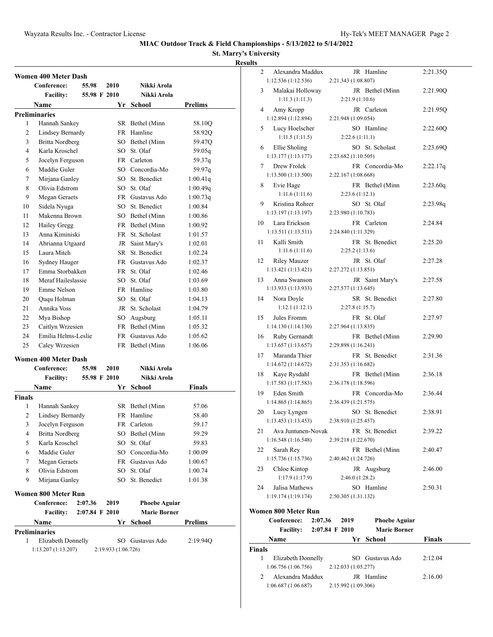**St. Marry's University Results**

|                | Conference:                                | 55.98          | 2010         | Nikki Arola          |                |
|----------------|--------------------------------------------|----------------|--------------|----------------------|----------------|
|                | <b>Facility:</b>                           |                | 55.98 F 2010 | Nikki Arola          |                |
|                | Name                                       |                | Yr           | School               | <b>Prelims</b> |
|                | <b>Preliminaries</b>                       |                |              |                      |                |
| 1              | Hannah Sankey                              |                |              | SR Bethel (Minn      | 58.10Q         |
| 2              | Lindsey Bernardy                           |                |              | FR Hamline           | 58.92Q         |
| 3              | <b>Britta Nordberg</b>                     |                |              | SO Bethel (Minn      | 59.47Q         |
| $\overline{4}$ | Karla Kroschel                             |                |              | SO St. Olaf          | 59.05q         |
| 5              | Jocelyn Ferguson                           |                |              | FR Carleton          | 59.37q         |
| 6              | Maddie Guler                               |                |              | SO Concordia-Mo      | 59.97q         |
| 7              | Mirjana Ganley                             |                |              | SO St. Benedict      | 1:00.41q       |
| 8              | Olivia Edstrom                             |                |              | SO St. Olaf          | 1:00.49q       |
| 9              | Megan Geraets                              |                |              | FR Gustavus Ado      | 1:00.73q       |
| 10             | Sidela Nyuga                               |                |              | SO St. Benedict      | 1:00.84        |
| 11             | Makenna Brown                              |                |              | SO Bethel (Minn      | 1:00.86        |
| 12             | Hailey Gregg                               |                |              | FR Bethel (Minn      | 1:00.92        |
| 13             | Anna Kiminiski                             |                |              | FR St. Scholast      | 1:01.57        |
| 14             | Abrianna Utgaard                           |                |              | JR Saint Mary's      | 1:02.01        |
| 15             | Laura Mitch                                |                |              | SR St. Benedict      | 1:02.24        |
| 16             | Sydney Hauger                              |                |              | FR Gustavus Ado      | 1:02.37        |
| 17             | Emma Storbakken                            |                |              | FR St. Olaf          | 1:02.46        |
| 18             | Meraf Haileslassie                         |                |              | SO St. Olaf          | 1:03.69        |
| 19             | Emme Nelson                                |                |              | FR Hamline           | 1:03.80        |
| 20             | Ququ Holman                                |                |              | SO St. Olaf          | 1:04.13        |
| 21             | Annika Voss                                |                |              | JR St. Scholast      | 1:04.79        |
| 22             | Mya Bishop                                 |                |              | SO Augsburg          | 1:05.11        |
| 23             | Caitlyn Wrzesien                           |                |              | FR Bethel (Minn      | 1:05.32        |
| 24             | Emilia Helms-Leslie                        |                |              | FR Gustavus Ado      | 1:05.62        |
| 25             | Caley Wrzesien                             |                |              | FR Bethel (Minn      | 1:06.06        |
|                |                                            |                |              |                      |                |
|                | <b>Women 400 Meter Dash</b><br>Conference: | 55.98          | 2010         | Nikki Arola          |                |
|                | <b>Facility:</b>                           |                | 55.98 F 2010 | Nikki Arola          |                |
|                | <b>Name</b>                                |                |              | Yr School            | Finals         |
| <b>Finals</b>  |                                            |                |              |                      |                |
| 1              | Hannah Sankey                              |                |              | SR Bethel (Minn      | 57.06          |
| 2              | <b>Lindsey Bernardy</b>                    |                |              | FR Hamline           | 58.40          |
| 3              | Jocelyn Ferguson                           |                |              | FR Carleton          | 59.17          |
| 4              | <b>Britta Nordberg</b>                     |                |              | SO Bethel (Minn      | 59.29          |
| 5              | Karla Kroschel                             |                |              | SO St. Olaf          | 59.83          |
|                | Maddie Guler                               |                |              | SO Concordia-Mo      | 1:00.09        |
|                |                                            |                |              |                      |                |
| 6              |                                            |                |              | FR Gustavus Ado      | 1:00.67        |
| 7              | Megan Geraets                              |                |              |                      |                |
| 8              | Olivia Edstrom                             |                |              | SO St. Olaf          | 1:00.74        |
| 9              | Mirjana Ganley                             |                |              | SO St. Benedict      | 1:01.38        |
|                | Women 800 Meter Run                        |                |              |                      |                |
|                | Conference:                                | 2:07.36        | 2019         | <b>Phoebe Aguiar</b> |                |
|                | <b>Facility:</b>                           | 2:07.84 F 2010 |              | <b>Marie Borner</b>  |                |
|                | <b>Name</b>                                |                |              | Yr School            | <b>Prelims</b> |
|                | <b>Preliminaries</b>                       |                |              |                      |                |
| 1              | Elizabeth Donnelly                         |                |              | SO Gustavus Ado      | 2:19.94Q       |

| uns           |                                                   |                                         |          |
|---------------|---------------------------------------------------|-----------------------------------------|----------|
| 2             | Alexandra Maddux<br>1:12.536(1:12.536)            | JR Hamline<br>2:21.343 (1:08.807)       | 2:21.35Q |
| 3             | Malakai Holloway                                  | JR Bethel (Minn<br>2:21.9(1:10.6)       | 2:21.90Q |
| 4             | 1:11.3(1:11.3)<br>Amy Kropp<br>1:12.894(1:12.894) | JR Carleton<br>2:21.948 (1:09.054)      | 2:21.95Q |
| 5             | Lucy Hoelscher<br>1:11.5(1:11.5)                  | SO Hamline<br>2:22.6(1:11.1)            | 2:22.60Q |
| 6             | Ellie Sholing<br>1:13.177(1:13.177)               | SO St. Scholast<br>2:23.682 (1:10.505)  | 2:23.69Q |
| 7             | Drew Frolek                                       | FR Concordia-Mo                         | 2:22.17q |
|               | 1:13.500(1:13.500)                                | 2:22.167 (1:08.668)                     |          |
| 8             | Evie Hage<br>1:11.6(1:11.6)                       | FR Bethel (Minn<br>2:23.6(1:12.1)       | 2:23.60q |
| 9             | Kristina Rohrer<br>1:13.197(1:13.197)             | SO St. Olaf<br>2:23.980 (1:10.783)      | 2:23.98q |
|               |                                                   |                                         |          |
| 10            | Lara Erickson<br>1:13.511(1:13.511)               | FR Carleton<br>2:24.840 (1:11.329)      | 2:24.84  |
| 11            | Kalli Smith<br>1:11.6(1:11.6)                     | FR St. Benedict<br>2:25.2(1:13.6)       | 2:25.20  |
| 12            | <b>Riley Mauzer</b>                               | JR St. Olaf                             | 2:27.28  |
|               | 1:13.421(1:13.421)                                | 2:27.272 (1:13.851)                     |          |
| 13            | Anna Swanson<br>1:13.933 (1:13.933)               | JR Saint Mary's<br>2:27.577 (1:13.645)  | 2:27.58  |
| 14            | Nora Doyle<br>1:12.1(1:12.1)                      | SR St. Benedict<br>2:27.8(1:15.7)       | 2:27.80  |
| 15            | Jules Fromm<br>1:14.130(1:14.130)                 | FR St. Olaf<br>2:27.964 (1:13.835)      | 2:27.97  |
| 16            | Ruby Gernandt                                     | FR Bethel (Minn                         | 2:29.90  |
| 17            | 1:13.657(1:13.657)<br>Maranda Thier               | 2:29.898 (1:16.241)<br>FR St. Benedict  | 2:31.36  |
|               | 1:14.672 (1:14.672)                               | 2:31.353 (1:16.682)                     |          |
| 18            | Kaye Rysdahl<br>1:17.583(1:17.583)                | FR Bethel (Minn<br>2:36.178 (1:18.596)  | 2:36.18  |
| 19            | Eden Smith<br>1:14.865(1:14.865)                  | FR Concordia-Mo<br>2:36.439 (1:21.575)  | 2:36.44  |
| 20            | Lucy Lyngen<br>1:13.453 (1:13.453)                | SO St. Benedict<br>2:38.910 (1:25.457)  | 2:38.91  |
| 21            | Ava Juntunen-Novak                                | FR St. Benedict                         | 2:39.22  |
|               | 1:16.548(1:16.548)                                | 2:39.218 (1:22.670)                     |          |
| 22            | Sarah Rey<br>1:15.736 (1:15.736)                  | FR Bethel (Minn<br>2:40.462 (1:24.726)  | 2:40.47  |
| 23            | Chloe Kintop<br>1:17.9(1:17.9)                    | JR Augsburg<br>2:46.0(1:28.2)           | 2:46.00  |
| 24            | Jalisa Mathews<br>1:19.174(1:19.174)              | SO Hamline<br>2:50.305 (1:31.132)       | 2:50.31  |
|               | Women 800 Meter Run                               |                                         |          |
|               | Conference:<br>2:07.36                            | <b>Phoebe Aguiar</b><br>2019            |          |
|               | <b>Facility:</b>                                  | <b>Marie Borner</b><br>$2:07.84$ F 2010 |          |
|               | Name                                              | Yr<br>School                            | Finals   |
| <b>Finals</b> |                                                   |                                         |          |
| 1             | Elizabeth Donnelly<br>1:06.756 (1:06.756)         | SO Gustavus Ado<br>2:12.033 (1:05.277)  | 2:12.04  |
| 2             | Alexandra Maddux                                  | JR Hamline                              | 2:16.00  |
|               | 1:06.687(1:06.687)                                | 2:15.992 (1:09.306)                     |          |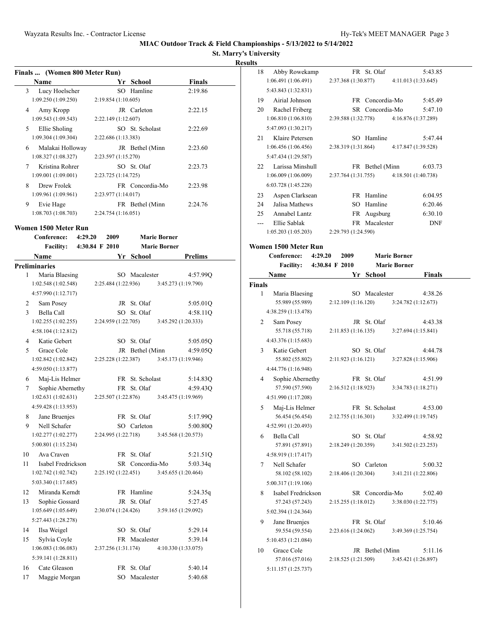## **St. Marry's University Results**

|   | Finals  (Women 800 Meter Run) |                     |                 |               |  |
|---|-------------------------------|---------------------|-----------------|---------------|--|
|   | <b>Name</b>                   |                     | Yr School       | <b>Finals</b> |  |
| 3 | Lucy Hoelscher                |                     | SO Hamline      | 2:19.86       |  |
|   | 1:09.250(1:09.250)            | 2:19.854(1:10.605)  |                 |               |  |
| 4 | Amy Kropp                     |                     | JR Carleton     | 2:22.15       |  |
|   | 1:09.543(1:09.543)            | 2:22.149(1:12.607)  |                 |               |  |
| 5 | Ellie Sholing                 |                     | SO St. Scholast | 2:22.69       |  |
|   | 1:09.304(1:09.304)            | 2:22.686 (1:13.383) |                 |               |  |
| 6 | Malakai Holloway              |                     | JR Bethel (Minn | 2:23.60       |  |
|   | 1:08.327(1:08.327)            | 2:23.597 (1:15.270) |                 |               |  |
| 7 | Kristina Rohrer               |                     | SO St. Olaf     | 2:23.73       |  |
|   | 1:09.001(1:09.001)            | 2:23.725 (1:14.725) |                 |               |  |
| 8 | Drew Frolek                   |                     | FR Concordia-Mo | 2:23.98       |  |
|   | 1:09.961(1:09.961)            | 2:23.977(1:14.017)  |                 |               |  |
| 9 | Evie Hage                     |                     | FR Bethel (Minn | 2:24.76       |  |
|   | 1:08.703 (1:08.703)           | 2:24.754 (1:16.051) |                 |               |  |

### **Women 1500 Meter Run**

|              | Conference:                                       | 4:29.20        | 2009                |    |                 | <b>Marie Borner</b> |                |
|--------------|---------------------------------------------------|----------------|---------------------|----|-----------------|---------------------|----------------|
|              | <b>Facility:</b>                                  | 4:30.84 F 2010 |                     |    |                 | <b>Marie Borner</b> |                |
|              | Name                                              |                |                     | Yr | <b>School</b>   |                     | <b>Prelims</b> |
|              | <b>Preliminaries</b>                              |                |                     |    |                 |                     |                |
| 1            | Maria Blaesing                                    |                |                     |    | SO Macalester   |                     | 4:57.99Q       |
|              | 1:02.548(1:02.548)                                |                | 2:25.484 (1:22.936) |    |                 | 3:45.273 (1:19.790) |                |
|              | 4:57.990 (1:12.717)                               |                |                     |    |                 |                     |                |
| 2            | Sam Posey                                         |                |                     |    | JR St. Olaf     |                     | 5:05.01Q       |
| $\mathbf{3}$ | Bella Call                                        |                |                     |    | SO St. Olaf     |                     | 4:58.11Q       |
|              | 1:02.255(1:02.255)                                |                | 2:24.959 (1:22.705) |    |                 | 3:45.292 (1:20.333) |                |
|              | 4:58.104(1:12.812)                                |                |                     |    |                 |                     |                |
| 4            | Katie Gebert                                      |                |                     |    | SO St. Olaf     |                     | 5:05.05Q       |
| 5            | Grace Cole                                        |                |                     |    | JR Bethel (Minn |                     | 4:59.05Q       |
|              | 1:02.842(1:02.842)                                |                | 2:25.228 (1:22.387) |    |                 | 3:45.173 (1:19.946) |                |
|              | 4:59.050 (1:13.877)                               |                |                     |    |                 |                     |                |
| 6            | Maj-Lis Helmer                                    |                |                     |    | FR St. Scholast |                     | 5:14.83Q       |
| 7            |                                                   |                |                     |    | FR St. Olaf     |                     | 4:59.43O       |
|              | 1:02.631(1:02.631)                                |                | 2:25.507(1:22.876)  |    |                 | 3:45.475 (1:19.969) |                |
|              | 4:59.428 (1:13.953)                               |                |                     |    |                 |                     |                |
| 8            | Jane Bruenjes                                     |                |                     |    | FR St. Olaf     |                     | 5:17.99Q       |
| 9            | Nell Schafer                                      |                |                     |    | SO Carleton     |                     | 5:00.80Q       |
|              | 1:02.277(1:02.277)                                |                | 2:24.995 (1:22.718) |    |                 | 3:45.568 (1:20.573) |                |
|              | 5:00.801 (1:15.234)                               |                |                     |    |                 |                     |                |
| 10           | Ava Craven                                        |                |                     |    | FR St. Olaf     |                     | 5:21.51Q       |
| 11           | Isabel Fredrickson                                |                |                     |    | SR Concordia-Mo |                     | 5:03.34q       |
|              | 1:02.742(1:02.742)                                |                | 2:25.192 (1:22.451) |    |                 | 3:45.655 (1:20.464) |                |
|              | 5:03.340 (1:17.685)                               |                |                     |    |                 |                     |                |
| 12           | Miranda Kerndt                                    |                |                     |    | FR Hamline      |                     | 5:24.35q       |
| 13           | Sophie Gossard                                    |                |                     |    | JR St. Olaf     |                     | 5:27.45        |
|              | 1:05.649(1:05.649)                                |                | 2:30.074 (1:24.426) |    |                 | 3:59.165 (1:29.092) |                |
|              | 5:27.443 (1:28.278)                               |                |                     |    |                 |                     |                |
| 14           | Ilsa Weigel                                       |                |                     |    | SO St. Olaf     |                     | 5:29.14        |
| 15           |                                                   |                |                     |    | FR Macalester   |                     | 5:39.14        |
|              | 1:06.083 (1:06.083)                               |                | 2:37.256 (1:31.174) |    |                 | 4:10.330 (1:33.075) |                |
|              | 5:39.141 (1:28.811)                               |                |                     |    |                 |                     |                |
| 16           | Cate Gleason                                      |                |                     |    | FR St. Olaf     |                     | 5:40.14        |
| 17           |                                                   |                |                     |    | SO Macalester   |                     | 5:40.68        |
|              | Sophie Abernethy<br>Sylvia Coyle<br>Maggie Morgan |                |                     |    |                 |                     |                |

| 18            | Abby Rowekamp          | FR St. Olaf                                | 5:43.85    |
|---------------|------------------------|--------------------------------------------|------------|
|               | 1:06.491(1:06.491)     | 2:37.368 (1:30.877)<br>4:11.013 (1:33.645) |            |
|               | 5:43.843 (1:32.831)    |                                            |            |
| 19            | Airial Johnson         | FR Concordia-Mo                            | 5:45.49    |
| 20            | Rachel Friberg         | SR Concordia-Mo                            | 5:47.10    |
|               | 1:06.810 (1:06.810)    | 2:39.588 (1:32.778)<br>4:16.876 (1:37.289) |            |
|               | 5:47.093 (1:30.217)    |                                            |            |
|               | 21 Klaire Petersen     | SO Hamline                                 | 5:47.44    |
|               | 1:06.456(1:06.456)     | 2:38.319 (1:31.864)<br>4:17.847 (1:39.528) |            |
|               | 5:47.434 (1:29.587)    |                                            |            |
| 22            | Larissa Minshull       | FR Bethel (Minn                            | 6:03.73    |
|               | 1:06.009 (1:06.009)    | 2:37.764 (1:31.755)<br>4:18.501 (1:40.738) |            |
|               | 6:03.728 (1:45.228)    |                                            |            |
|               |                        |                                            |            |
| 23            | Aspen Clarksean        | FR Hamline                                 | 6:04.95    |
| 24            | Jalisa Mathews         | SO Hamline                                 | 6:20.46    |
| 25            | Annabel Lantz          | FR Augsburg                                | 6:30.10    |
| $---$         | Ellie Sablak           | FR Macalester                              | <b>DNF</b> |
|               | 1:05.203(1:05.203)     | 2:29.793 (1:24.590)                        |            |
|               | Women 1500 Meter Run   |                                            |            |
|               | Conference:<br>4:29.20 | <b>Marie Borner</b><br>2009                |            |
|               | <b>Facility:</b>       | <b>Marie Borner</b><br>4:30.84 F 2010      |            |
|               | Name                   | School<br>Yr                               | Finals     |
| <b>Finals</b> |                        |                                            |            |
| 1             | Maria Blaesing         | SO Macalester                              | 4:38.26    |
|               | 55.989 (55.989)        | 2:12.109(1:16.120)<br>3:24.782(1:12.673)   |            |
|               | 4:38.259 (1:13.478)    |                                            |            |
| 2             | Sam Posey              | JR St. Olaf                                | 4:43.38    |
|               | 55.718 (55.718)        | 2:11.853(1:16.135)<br>3:27.694 (1:15.841)  |            |
|               | 4:43.376 (1:15.683)    |                                            |            |
|               |                        |                                            |            |
| 3             | Katie Gebert           | SO St. Olaf<br>2:11.923 (1:16.121)         | 4:44.78    |
|               | 55.802 (55.802)        | 3:27.828 (1:15.906)                        |            |
|               | 4:44.776 (1:16.948)    |                                            |            |
| 4             | Sophie Abernethy       | FR St. Olaf                                | 4:51.99    |
|               | 57.590 (57.590)        | 2:16.512(1:18.923)<br>3:34.783 (1:18.271)  |            |
|               | 4:51.990 (1:17.208)    |                                            |            |
| 5             | Maj-Lis Helmer         | FR St. Scholast                            | 4:53.00    |
|               | 56.454 (56.454)        | 2:12.755(1:16.301)<br>3:32.499 (1:19.745)  |            |
|               | 4:52.991 (1:20.493)    |                                            |            |
| 6             | Bella Call             | SO St. Olaf                                | 4:58.92    |
|               | 57.891 (57.891)        | 2:18.249 (1:20.359)<br>3:41.502 (1:23.253) |            |
|               | 4:58.919 (1:17.417)    |                                            |            |
| 7             | Nell Schafer           | SO Carleton                                | 5:00.32    |
|               | 58.102 (58.102)        | 2:18.406 (1:20.304)<br>3:41.211 (1:22.806) |            |
|               | 5:00.317 (1:19.106)    |                                            |            |
| 8             | Isabel Fredrickson     | SR Concordia-Mo                            | 5:02.40    |
|               | 57.243 (57.243)        | 2:15.255 (1:18.012)<br>3:38.030 (1:22.775) |            |
|               | 5:02.394 (1:24.364)    |                                            |            |
| 9             | Jane Bruenjes          | FR St. Olaf                                | 5:10.46    |
|               | 59.554 (59.554)        | 2:23.616 (1:24.062)<br>3:49.369 (1:25.754) |            |
|               | 5:10.453 (1:21.084)    |                                            |            |
| 10            | Grace Cole             | JR Bethel (Minn                            | 5:11.16    |
|               | 57.016 (57.016)        | 2:18.525 (1:21.509)<br>3:45.421 (1:26.897) |            |
|               | 5:11.157 (1:25.737)    |                                            |            |
|               |                        |                                            |            |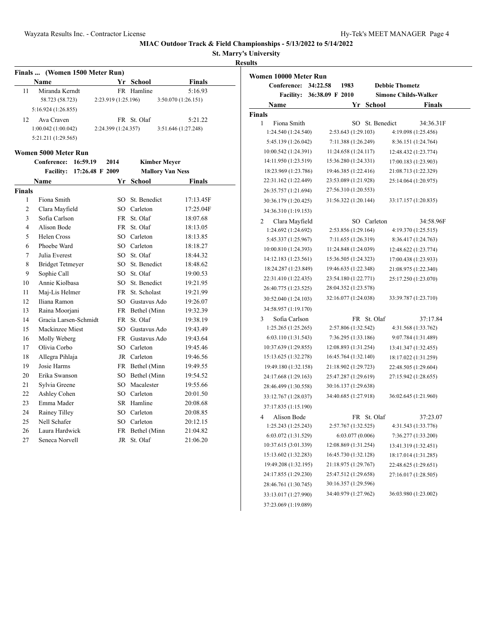**St. Marry's University**

## **Results**

|    | Finals  (Women 1500 Meter Run) |                     |             |                     |  |
|----|--------------------------------|---------------------|-------------|---------------------|--|
|    | <b>Name</b>                    |                     | Yr School   | <b>Finals</b>       |  |
| 11 | Miranda Kerndt                 |                     | FR Hamline  | 5:16.93             |  |
|    | 58.723 (58.723)                | 2:23.919 (1:25.196) |             | 3:50.070(1:26.151)  |  |
|    | 5:16.924(1:26.855)             |                     |             |                     |  |
| 12 | Ava Craven                     |                     | FR St. Olaf | 5:21.22             |  |
|    | 1:00.042(1:00.042)             | 2:24.399 (1:24.357) |             | 3:51.646 (1:27.248) |  |
|    | 5:21.211 (1:29.565)            |                     |             |                     |  |

### **Women 5000 Meter Run**

|                | Conference:             | 16:59.19        | 2014      | <b>Kimber Meyer</b>     |               |
|----------------|-------------------------|-----------------|-----------|-------------------------|---------------|
|                | <b>Facility:</b>        | 17:26.48 F 2009 |           | <b>Mallory Van Ness</b> |               |
|                | Name                    |                 | Yr        | School                  | <b>Finals</b> |
| <b>Finals</b>  |                         |                 |           |                         |               |
| 1              | Fiona Smith             |                 | SO        | St. Benedict            | 17:13.45F     |
| $\overline{2}$ | Clara Mayfield          |                 | SO        | Carleton                | 17:25.04F     |
| 3              | Sofia Carlson           |                 | <b>FR</b> | St. Olaf                | 18:07.68      |
| $\overline{4}$ | Alison Bode             |                 | FR        | St. Olaf                | 18:13.05      |
| 5              | Helen Cross             |                 | SO.       | Carleton                | 18:13.85      |
| 6              | Phoebe Ward             |                 |           | SO Carleton             | 18:18.27      |
| 7              | Julia Everest           |                 | SO        | St. Olaf                | 18:44.32      |
| 8              | <b>Bridget Tetmeyer</b> |                 | SO        | St. Benedict            | 18:48.62      |
| 9              | Sophie Call             |                 | $SO_{-}$  | St. Olaf                | 19:00.53      |
| 10             | Annie Kiolbasa          |                 | $SO_{-}$  | St. Benedict            | 19:21.95      |
| 11             | Maj-Lis Helmer          |                 |           | FR St. Scholast         | 19:21.99      |
| 12             | Iliana Ramon            |                 | SO.       | Gustavus Ado            | 19:26.07      |
| 13             | Raina Moorjani          |                 |           | FR Bethel (Minn         | 19:32.39      |
| 14             | Gracia Larsen-Schmidt   |                 | FR        | St. Olaf                | 19:38.19      |
| 15             | Mackinzee Miest         |                 | SO.       | Gustavus Ado            | 19:43.49      |
| 16             | Molly Weberg            |                 |           | FR Gustavus Ado         | 19:43.64      |
| 17             | Olivia Corbo            |                 | SO.       | Carleton                | 19:45.46      |
| 18             | Allegra Pihlaja         |                 |           | JR Carleton             | 19:46.56      |
| 19             | Josie Harms             |                 | FR        | Bethel (Minn            | 19:49.55      |
| 20             | Erika Swanson           |                 | SO        | Bethel (Minn            | 19:54.52      |
| 21             | Sylvia Greene           |                 | SO.       | Macalester              | 19:55.66      |
| 22             | Ashley Cohen            |                 | SO.       | Carleton                | 20:01.50      |
| 23             | Emma Mader              |                 |           | SR Hamline              | 20:08.68      |
| 24             | Rainey Tilley           |                 | SO        | Carleton                | 20:08.85      |
| 25             | Nell Schafer            |                 |           | SO Carleton             | 20:12.15      |
| 26             | Laura Hardwick          |                 | FR        | Bethel (Minn            | 21:04.82      |
| 27             | Seneca Norvell          |                 | <b>JR</b> | St. Olaf                | 21:06.20      |

| Women 10000 Meter Run |                 |                      |                 |                             |                      |
|-----------------------|-----------------|----------------------|-----------------|-----------------------------|----------------------|
| Conference:           | 34:22.58        | 1983                 |                 | <b>Debbie Thometz</b>       |                      |
| <b>Facility:</b>      | 36:38.09 F 2010 |                      |                 | <b>Simone Childs-Walker</b> |                      |
| Name                  |                 | Yr                   | <b>School</b>   |                             | Finals               |
| <b>Finals</b>         |                 |                      |                 |                             |                      |
| 1<br>Fiona Smith      |                 |                      | SO St. Benedict |                             | 34:36.31F            |
| 1:24.540 (1:24.540)   |                 | 2:53.643 (1:29.103)  |                 |                             | 4:19.098 (1:25.456)  |
| 5:45.139 (1:26.042)   |                 | 7:11.388 (1:26.249)  |                 |                             | 8:36.151 (1:24.764)  |
| 10:00.542 (1:24.391)  |                 | 11:24.658 (1:24.117) |                 |                             | 12:48.432 (1:23.774) |
| 14:11.950 (1:23.519)  |                 | 15:36.280 (1:24.331) |                 |                             | 17:00.183 (1:23.903) |
| 18:23.969 (1:23.786)  |                 | 19:46.385 (1:22.416) |                 |                             | 21:08.713 (1:22.329) |
| 22:31.162 (1:22.449)  |                 | 23:53.089 (1:21.928) |                 |                             | 25:14.064 (1:20.975) |
| 26:35.757 (1:21.694)  |                 | 27:56.310 (1:20.553) |                 |                             |                      |
| 30:36.179 (1:20.425)  |                 | 31:56.322 (1:20.144) |                 |                             | 33:17.157 (1:20.835) |
| 34:36.310 (1:19.153)  |                 |                      |                 |                             |                      |
| Clara Mayfield<br>2   |                 |                      | SO Carleton     |                             | 34:58.96F            |
| 1:24.692 (1:24.692)   |                 | 2:53.856 (1:29.164)  |                 |                             | 4:19.370 (1:25.515)  |
| 5:45.337 (1:25.967)   |                 | 7:11.655 (1:26.319)  |                 |                             | 8:36.417 (1:24.763)  |
| 10:00.810 (1:24.393)  |                 | 11:24.848 (1:24.039) |                 |                             | 12:48.622 (1:23.774) |
| 14:12.183 (1:23.561)  |                 | 15:36.505 (1:24.323) |                 |                             | 17:00.438 (1:23.933) |
| 18:24.287 (1:23.849)  |                 | 19:46.635 (1:22.348) |                 |                             | 21:08.975 (1:22.340) |
| 22:31.410 (1:22.435)  |                 | 23:54.180 (1:22.771) |                 |                             | 25:17.250 (1:23.070) |
| 26:40.775 (1:23.525)  |                 | 28:04.352 (1:23.578) |                 |                             |                      |
| 30:52.040 (1:24.103)  |                 | 32:16.077 (1:24.038) |                 |                             | 33:39.787 (1:23.710) |
| 34:58.957 (1:19.170)  |                 |                      |                 |                             |                      |
| Sofia Carlson<br>3    |                 |                      | FR St. Olaf     |                             | 37:17.84             |
| 1:25.265 (1:25.265)   |                 | 2:57.806 (1:32.542)  |                 |                             | 4:31.568 (1:33.762)  |
| 6:03.110 (1:31.543)   |                 | 7:36.295 (1:33.186)  |                 |                             | 9:07.784 (1:31.489)  |
| 10:37.639 (1:29.855)  |                 | 12:08.893 (1:31.254) |                 |                             | 13:41.347 (1:32.455) |
| 15:13.625 (1:32.278)  |                 | 16:45.764 (1:32.140) |                 |                             | 18:17.022 (1:31.259) |
| 19:49.180 (1:32.158)  |                 | 21:18.902 (1:29.723) |                 |                             | 22:48.505 (1:29.604) |
| 24:17.668 (1:29.163)  |                 | 25:47.287 (1:29.619) |                 |                             | 27:15.942 (1:28.655) |
| 28:46.499 (1:30.558)  |                 | 30:16.137 (1:29.638) |                 |                             |                      |
| 33:12.767 (1:28.037)  |                 | 34:40.685 (1:27.918) |                 |                             | 36:02.645 (1:21.960) |
| 37:17.835 (1:15.190)  |                 |                      |                 |                             |                      |
| 4<br>Alison Bode      |                 |                      | FR St. Olaf     |                             | 37:23.07             |
| 1:25.243 (1:25.243)   |                 | 2:57.767 (1:32.525)  |                 |                             | 4:31.543 (1:33.776)  |
| 6:03.072 (1:31.529)   |                 | 6:03.077(0.006)      |                 |                             | 7:36.277 (1:33.200)  |
| 10:37.615 (3:01.339)  |                 | 12:08.869 (1:31.254) |                 |                             | 13:41.319 (1:32.451) |
| 15:13.602 (1:32.283)  |                 | 16:45.730 (1:32.128) |                 |                             | 18:17.014 (1:31.285) |
| 19:49.208 (1:32.195)  |                 | 21:18.975 (1:29.767) |                 |                             | 22:48.625 (1:29.651) |
| 24:17.855 (1:29.230)  |                 | 25:47.512 (1:29.658) |                 |                             | 27:16.017 (1:28.505) |
| 28:46.761 (1:30.745)  |                 | 30:16.357 (1:29.596) |                 |                             |                      |
| 33:13.017 (1:27.990)  |                 | 34:40.979 (1:27.962) |                 |                             | 36:03.980 (1:23.002) |
| 37:23.069 (1:19.089)  |                 |                      |                 |                             |                      |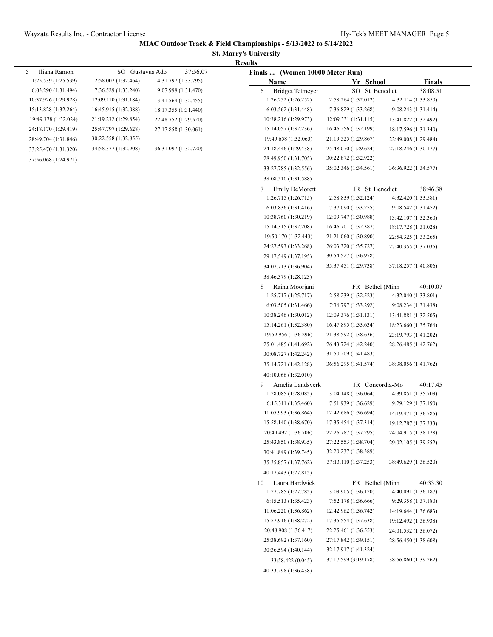### **St. Marry's University Results**

| Iliana Ramon<br>5    | SO Gustavus Ado      | 37:56.07             | Results<br>Finals  (Women 10000 Meter Run) |                      |                      |
|----------------------|----------------------|----------------------|--------------------------------------------|----------------------|----------------------|
| 1:25.539 (1:25.539)  | 2:58.002 (1:32.464)  | 4:31.797 (1:33.795)  | Name                                       | Yr School            | <b>Finals</b>        |
| 6:03.290(1:31.494)   | 7:36.529 (1:33.240)  | 9:07.999 (1:31.470)  | 6<br><b>Bridget Tetmeyer</b>               | SO St. Benedict      | 38:08.51             |
| 10:37.926 (1:29.928) | 12:09.110 (1:31.184) | 13:41.564 (1:32.455) | 1:26.252 (1:26.252)                        | 2:58.264 (1:32.012)  | 4:32.114 (1:33.850)  |
| 15:13.828 (1:32.264) | 16:45.915 (1:32.088) | 18:17.355 (1:31.440) | 6:03.562(1:31.448)                         | 7:36.829 (1:33.268)  | 9:08.243 (1:31.414)  |
| 19:49.378 (1:32.024) | 21:19.232 (1:29.854) | 22:48.752 (1:29.520) | 10:38.216 (1:29.973)                       | 12:09.331 (1:31.115) | 13:41.822 (1:32.492) |
| 24:18.170 (1:29.419) | 25:47.797 (1:29.628) | 27:17.858 (1:30.061) | 15:14.057 (1:32.236)                       | 16:46.256 (1:32.199) | 18:17.596 (1:31.340) |
| 28:49.704 (1:31.846) | 30:22.558 (1:32.855) |                      | 19:49.658 (1:32.063)                       | 21:19.525 (1:29.867) | 22:49.008 (1:29.484) |
| 33:25.470 (1:31.320) | 34:58.377 (1:32.908) | 36:31.097 (1:32.720) | 24:18.446 (1:29.438)                       | 25:48.070 (1:29.624) | 27:18.246 (1:30.177) |
| 37:56.068 (1:24.971) |                      |                      | 28:49.950 (1:31.705)                       | 30:22.872 (1:32.922) |                      |
|                      |                      |                      | 33:27.785 (1:32.556)                       | 35:02.346 (1:34.561) | 36:36.922 (1:34.577) |
|                      |                      |                      | 38:08.510 (1:31.588)                       |                      |                      |
|                      |                      |                      | <b>Emily DeMorett</b><br>7                 | JR St. Benedict      | 38:46.38             |
|                      |                      |                      | 1:26.715(1:26.715)                         | 2:58.839 (1:32.124)  | 4:32.420 (1:33.581)  |
|                      |                      |                      | 6:03.836 (1:31.416)                        | 7:37.090 (1:33.255)  | 9:08.542 (1:31.452)  |
|                      |                      |                      | 10:38.760 (1:30.219)                       | 12:09.747 (1:30.988) | 13:42.107 (1:32.360) |
|                      |                      |                      | 15:14.315 (1:32.208)                       | 16:46.701 (1:32.387) | 18:17.728 (1:31.028) |
|                      |                      |                      | 19:50.170 (1:32.443)                       | 21:21.060 (1:30.890) | 22:54.325 (1:33.265) |
|                      |                      |                      | 24:27.593 (1:33.268)                       | 26:03.320 (1:35.727) | 27:40.355 (1:37.035) |
|                      |                      |                      | 29:17.549 (1:37.195)                       | 30:54.527 (1:36.978) |                      |
|                      |                      |                      | 34:07.713 (1:36.904)                       | 35:37.451 (1:29.738) | 37:18.257 (1:40.806) |
|                      |                      |                      |                                            |                      |                      |
|                      |                      |                      | 38:46.379 (1:28.123)                       |                      |                      |
|                      |                      |                      | 8<br>Raina Moorjani                        | FR Bethel (Minn      | 40:10.07             |
|                      |                      |                      | 1:25.717(1:25.717)                         | 2:58.239 (1:32.523)  | 4:32.040 (1:33.801)  |
|                      |                      |                      | 6:03.505(1:31.466)                         | 7:36.797 (1:33.292)  | 9:08.234 (1:31.438)  |
|                      |                      |                      | 10:38.246 (1:30.012)                       | 12:09.376 (1:31.131) | 13:41.881 (1:32.505) |
|                      |                      |                      | 15:14.261 (1:32.380)                       | 16:47.895 (1:33.634) | 18:23.660 (1:35.766) |
|                      |                      |                      | 19:59.956 (1:36.296)                       | 21:38.592 (1:38.636) | 23:19.793 (1:41.202) |
|                      |                      |                      | 25:01.485 (1:41.692)                       | 26:43.724 (1:42.240) | 28:26.485 (1:42.762) |
|                      |                      |                      | 30:08.727 (1:42.242)                       | 31:50.209 (1:41.483) |                      |
|                      |                      |                      | 35:14.721 (1:42.128)                       | 36:56.295 (1:41.574) | 38:38.056 (1:41.762) |
|                      |                      |                      | 40:10.066 (1:32.010)                       |                      |                      |
|                      |                      |                      | Amelia Landsverk<br>9                      | JR Concordia-Mo      | 40:17.45             |
|                      |                      |                      | 1:28.085 (1:28.085)                        | 3:04.148 (1:36.064)  | 4:39.851 (1:35.703)  |
|                      |                      |                      | 6:15.311(1:35.460)                         | 7:51.939 (1:36.629)  | 9:29.129 (1:37.190)  |
|                      |                      |                      | 11:05.993 (1:36.864)                       | 12:42.686 (1:36.694) | 14:19.471 (1:36.785) |
|                      |                      |                      | 15:58.140 (1:38.670)                       | 17:35.454 (1:37.314) | 19:12.787 (1:37.333) |
|                      |                      |                      | 20:49.492 (1:36.706)                       | 22:26.787 (1:37.295) | 24:04.915 (1:38.128) |
|                      |                      |                      | 25:43.850 (1:38.935)                       | 27:22.553 (1:38.704) | 29:02.105 (1:39.552) |
|                      |                      |                      | 30:41.849 (1:39.745)                       | 32:20.237 (1:38.389) |                      |
|                      |                      |                      | 35:35.857 (1:37.762)                       | 37:13.110 (1:37.253) | 38:49.629 (1:36.520) |
|                      |                      |                      | 40:17.443 (1:27.815)                       |                      |                      |
|                      |                      |                      | 10<br>Laura Hardwick                       | FR Bethel (Minn      | 40:33.30             |
|                      |                      |                      | 1:27.785(1:27.785)                         | 3:03.905 (1:36.120)  | 4:40.091 (1:36.187)  |
|                      |                      |                      | 6:15.513(1:35.423)                         | 7:52.178 (1:36.666)  | 9:29.358 (1:37.180)  |
|                      |                      |                      | 11:06.220(1:36.862)                        | 12:42.962 (1:36.742) | 14:19.644 (1:36.683) |
|                      |                      |                      | 15:57.916 (1:38.272)                       | 17:35.554 (1:37.638) | 19:12.492 (1:36.938) |
|                      |                      |                      | 20:48.908 (1:36.417)                       | 22:25.461 (1:36.553) | 24:01.532 (1:36.072) |
|                      |                      |                      | 25:38.692 (1:37.160)                       | 27:17.842 (1:39.151) | 28:56.450 (1:38.608) |
|                      |                      |                      | 30:36.594 (1:40.144)                       | 32:17.917 (1:41.324) |                      |
|                      |                      |                      | 33:58.422 (0.045)                          | 37:17.599 (3:19.178) | 38:56.860 (1:39.262) |
|                      |                      |                      | 40:33.298 (1:36.438)                       |                      |                      |
|                      |                      |                      |                                            |                      |                      |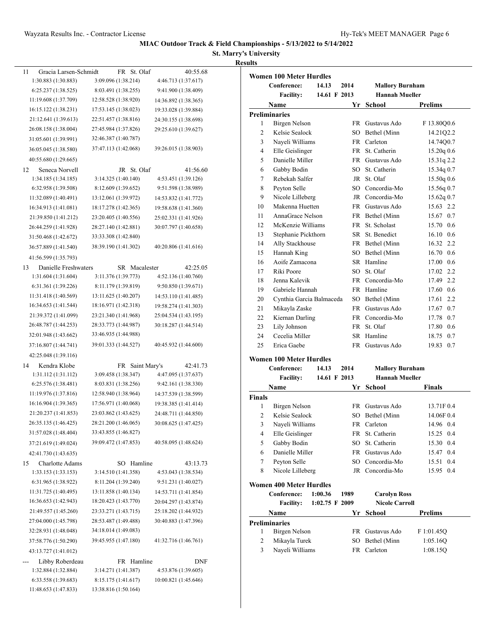### **St. Marry's University Results**

| 11<br>Gracia Larsen-Schmidt | FR.<br>St. Olaf      | 40:55.68             |
|-----------------------------|----------------------|----------------------|
| 1:30.883 (1:30.883)         | 3:09.096 (1:38.214)  | 4:46.713 (1:37.617)  |
| 6:25.237 (1:38.525)         | 8:03.491 (1:38.255)  | 9:41.900 (1:38.409)  |
| 11:19.608 (1:37.709)        | 12:58.528 (1:38.920) | 14:36.892 (1:38.365) |
| 16:15.122 (1:38.231)        | 17:53.145 (1:38.023) | 19:33.028 (1:39.884) |
| 21:12.641 (1:39.613)        | 22:51.457 (1:38.816) | 24:30.155 (1:38.698) |
| 26:08.158 (1:38.004)        | 27:45.984 (1:37.826) | 29:25.610 (1:39.627) |
| 31:05.601 (1:39.991)        | 32:46.387 (1:40.787) |                      |
| 36:05.045 (1:38.580)        | 37:47.113 (1:42.068) | 39:26.015 (1:38.903) |
| 40:55.680 (1:29.665)        |                      |                      |
| Seneca Norvell<br>12        | St. Olaf<br>JR       | 41:56.60             |
| 1:34.185 (1:34.185)         | 3:14.325 (1:40.140)  | 4:53.451 (1:39.126)  |
| 6:32.958 (1:39.508)         | 8:12.609 (1:39.652)  | 9:51.598 (1:38.989)  |
| 11:32.089 (1:40.491)        | 13:12.061 (1:39.972) | 14:53.832 (1:41.772) |
| 16:34.913 (1:41.081)        | 18:17.278 (1:42.365) | 19:58.638 (1:41.360) |
| 21:39.850 (1:41.212)        | 23:20.405 (1:40.556) | 25:02.331 (1:41.926) |
| 26:44.259 (1:41.928)        | 28:27.140 (1:42.881) | 30:07.797 (1:40.658) |
| 31:50.468 (1:42.672)        | 33:33.308 (1:42.840) |                      |
| 36:57.889 (1:41.540)        | 38:39.190 (1:41.302) | 40:20.806 (1:41.616) |
| 41:56.599 (1:35.793)        |                      |                      |
| 13<br>Danielle Freshwaters  | SR Macalester        | 42:25.05             |
| 1:31.604 (1:31.604)         | 3:11.376 (1:39.773)  | 4:52.136 (1:40.760)  |
| 6:31.361 (1:39.226)         | 8:11.179 (1:39.819)  | 9:50.850(1:39.671)   |
| 11:31.418 (1:40.569)        | 13:11.625 (1:40.207) | 14:53.110 (1:41.485) |
| 16:34.653 (1:41.544)        | 18:16.971 (1:42.318) | 19:58.274 (1:41.303) |
| 21:39.372 (1:41.099)        | 23:21.340 (1:41.968) | 25:04.534 (1:43.195) |
| 26:48.787 (1:44.253)        | 28:33.773 (1:44.987) | 30:18.287 (1:44.514) |
| 32:01.948 (1:43.662)        | 33:46.935 (1:44.988) |                      |
| 37:16.807 (1:44.741)        | 39:01.333 (1:44.527) | 40:45.932 (1:44.600) |
| 42:25.048 (1:39.116)        |                      |                      |
| Kendra Klobe<br>14          | Saint Mary's<br>FR   | 42:41.73             |
| 1:31.112 (1:31.112)         | 3:09.458 (1:38.347)  | 4:47.095 (1:37.637)  |
| 6:25.576 (1:38.481)         | 8:03.831 (1:38.256)  | 9:42.161 (1:38.330)  |
| 11:19.976 (1:37.816)        | 12:58.940 (1:38.964) | 14:37.539 (1:38.599) |
| 16:16.904 (1:39.365)        | 17:56.971 (1:40.068) | 19:38.385 (1:41.414) |
| 21:20.237 (1:41.853)        | 23:03.862 (1:43.625) | 24:48.711 (1:44.850) |
| 26:35.135 (1:46.425)        | 28:21.200 (1:46.065) | 30:08.625 (1:47.425) |
| 31:57.028 (1:48.404)        | 33:43.855 (1:46.827) |                      |
| 37:21.619 (1:49.024)        | 39:09.472 (1:47.853) | 40:58.095 (1:48.624) |
| 42:41.730 (1:43.635)        |                      |                      |
| Charlotte Adams<br>15       | SO Hamline           | 43:13.73             |
| 1:33.153 (1:33.153)         | 3:14.510 (1:41.358)  | 4:53.043 (1:38.534)  |
| 6:31.965 (1:38.922)         | 8:11.204 (1:39.240)  | 9:51.231 (1:40.027)  |
| 11:31.725 (1:40.495)        | 13:11.858 (1:40.134) | 14:53.711 (1:41.854) |
| 16:36.653 (1:42.943)        | 18:20.423 (1:43.770) | 20:04.297 (1:43.874) |
| 21:49.557 (1:45.260)        | 23:33.271 (1:43.715) | 25:18.202 (1:44.932) |
| 27:04.000 (1:45.798)        | 28:53.487 (1:49.488) | 30:40.883 (1:47.396) |
| 32:28.931 (1:48.048)        | 34:18.014 (1:49.083) |                      |
| 37:58.776 (1:50.290)        | 39:45.955 (1:47.180) | 41:32.716 (1:46.761) |
|                             |                      |                      |
| 43:13.727 (1:41.012)        |                      |                      |
| Libby Roberdeau<br>---      | FR Hamline           | DNF                  |
| 1:32.884 (1:32.884)         | 3:14.271 (1:41.387)  | 4:53.876 (1:39.605)  |
| 6:33.558 (1:39.683)         | 8:15.175 (1:41.617)  | 10:00.821 (1:45.646) |
| 11:48.653 (1:47.833)        | 13:38.816 (1:50.164) |                      |

| <b>Women 100 Meter Hurdles</b> |                                |              |           |                        |                |  |  |  |
|--------------------------------|--------------------------------|--------------|-----------|------------------------|----------------|--|--|--|
|                                | Conference:<br>14.13           |              | 2014      | <b>Mallory Burnham</b> |                |  |  |  |
|                                | <b>Facility:</b>               | 14.61 F 2013 |           | <b>Hannah Mueller</b>  |                |  |  |  |
|                                | <b>Name</b>                    |              | Yr        | <b>School</b>          | <b>Prelims</b> |  |  |  |
|                                | <b>Preliminaries</b>           |              |           |                        |                |  |  |  |
| 1                              | <b>Birgen Nelson</b>           |              | <b>FR</b> | Gustavus Ado           | F 13.80O0.6    |  |  |  |
| $\overline{c}$                 | Kelsie Sealock                 |              | SO.       | Bethel (Minn           | 14.21Q2.2      |  |  |  |
| 3                              | Nayeli Williams                |              | <b>FR</b> | Carleton               | 14.74Q0.7      |  |  |  |
| 4                              | Elle Geislinger                |              |           | FR St. Catherin        | 15.20q 0.6     |  |  |  |
| 5                              | Danielle Miller                |              | FR        | Gustavus Ado           | 15.31q 2.2     |  |  |  |
| 6                              | Gabby Bodin                    |              | SO.       | St. Catherin           | 15.34q 0.7     |  |  |  |
| 7                              | Rebekah Salfer                 |              | JR        | St. Olaf               | 15.50q 0.6     |  |  |  |
| 8                              | Peyton Selle                   |              | SO.       | Concordia-Mo           | 15.56q 0.7     |  |  |  |
| 9                              | Nicole Lilleberg               |              | JR        | Concordia-Mo           | 15.62q 0.7     |  |  |  |
| 10                             | Makenna Huetten                |              |           | FR Gustavus Ado        | 15.63 2.2      |  |  |  |
| 11                             | AnnaGrace Nelson               |              |           | FR Bethel (Minn        | 15.67 0.7      |  |  |  |
| 12                             | McKenzie Williams              |              | FR        | St. Scholast           | 15.70 0.6      |  |  |  |
| 13                             | Stephanie Pickthorn            |              | SR        | St. Benedict           | 16.10 0.6      |  |  |  |
| 14                             | Ally Stackhouse                |              |           | FR Bethel (Minn        | 16.32 2.2      |  |  |  |
| 15                             | Hannah King                    |              | SO        | Bethel (Minn           | 16.70 0.6      |  |  |  |
| 16                             | Aoife Zamacona                 |              |           | SR Hamline             | 17.00 0.6      |  |  |  |
| 17                             | Riki Poore                     |              | $SO^-$    | St. Olaf               | 17.02 2.2      |  |  |  |
| 18                             | Jenna Kalevik                  |              | <b>FR</b> | Concordia-Mo           | 17.49 2.2      |  |  |  |
| 19                             | Gabriele Hannah                |              |           | FR Hamline             | 17.60 0.6      |  |  |  |
| 20                             | Cynthia Garcia Balmaceda       |              |           | SO Bethel (Minn        | 17.61<br>2.2   |  |  |  |
| 21                             | Mikayla Zaske                  |              | <b>FR</b> | Gustavus Ado           | 17.67 0.7      |  |  |  |
| 22                             | Kiernan Darling                |              | FR        | Concordia-Mo           | 17.78 0.7      |  |  |  |
| 23                             | Lily Johnson                   |              |           | FR St. Olaf            | 17.80 0.6      |  |  |  |
| 24                             | Cecelia Miller                 |              |           | SR Hamline             | 18.75 0.7      |  |  |  |
| 25                             | Erica Gaebe                    |              | FR -      | Gustavus Ado           | 19.83<br>0.7   |  |  |  |
|                                | <b>Women 100 Meter Hurdles</b> |              |           |                        |                |  |  |  |
|                                | Conference:<br>14.13           |              | 2014      | <b>Mallory Burnham</b> |                |  |  |  |

|               | <b>Facility:</b> | 14.61 F 2013 | <b>Hannah Mueller</b> |                   |
|---------------|------------------|--------------|-----------------------|-------------------|
|               | Name             |              | Yr School             | Finals            |
| <b>Finals</b> |                  |              |                       |                   |
| 1             | Birgen Nelson    |              | FR Gustavus Ado       | 13.71F 0.4        |
| 2             | Kelsie Sealock   |              | SO Bethel (Minn       | 14.06F 0.4        |
| 3             | Nayeli Williams  |              | FR Carleton           | 14.96 0.4         |
| 4             | Elle Geislinger  |              | FR St. Catherin       | $15.25 \quad 0.4$ |
| 5             | Gabby Bodin      |              | SO St. Catherin       | 15.30 0.4         |
| 6             | Danielle Miller  |              | FR Gustavus Ado       | 15.47 0.4         |
| 7             | Peyton Selle     |              | SO Concordia-Mo       | 15.51 0.4         |
| 8             | Nicole Lilleberg |              | JR Concordia-Mo       | 15.95 0.4         |
|               |                  |              |                       |                   |

**Women 400 Meter Hurdles**

|   | Conference:<br><b>Facility:</b> | 1:00.36<br>$1:02.75 \text{ F } 2009$ | 1989 | <b>Carolyn Ross</b><br><b>Nicole Carroll</b> |                |
|---|---------------------------------|--------------------------------------|------|----------------------------------------------|----------------|
|   | <b>Name</b>                     |                                      |      | Yr School                                    | <b>Prelims</b> |
|   | <b>Preliminaries</b>            |                                      |      |                                              |                |
|   | Birgen Nelson                   |                                      |      | FR Gustavus Ado                              | F 1:01.45Q     |
| 2 | Mikayla Turek                   |                                      |      | SO Bethel (Minn                              | 1:05.16O       |
| 3 | Nayeli Williams                 |                                      | FR.  | Carleton                                     | 1:08.15Q       |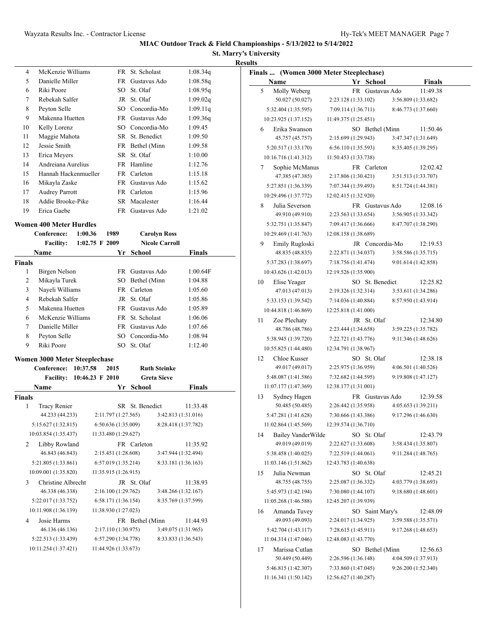**St. Marry's University Results**

|                    |                                                       |                  |                      |                       |                     | <b>Resul</b> |
|--------------------|-------------------------------------------------------|------------------|----------------------|-----------------------|---------------------|--------------|
| 4                  | McKenzie Williams                                     |                  |                      | FR St. Scholast       | 1:08.34q            |              |
| 5                  | Danielle Miller                                       |                  |                      | FR Gustavus Ado       | 1:08.58q            |              |
| 6                  | Riki Poore                                            |                  |                      | SO St. Olaf           | 1:08.95q            |              |
| 7                  | Rebekah Salfer                                        |                  |                      | JR St. Olaf           | 1:09.02q            |              |
| 8                  | Peyton Selle                                          |                  |                      | SO Concordia-Mo       | 1:09.11q            |              |
| 9                  | Makenna Huetten                                       |                  |                      | FR Gustavus Ado       | 1:09.36q            |              |
| 10                 | Kelly Lorenz                                          |                  |                      | SO Concordia-Mo       | 1:09.45             |              |
| 11                 | Maggie Mahota                                         |                  |                      | SR St. Benedict       | 1:09.50             |              |
| 12                 | Jessie Smith                                          |                  |                      | FR Bethel (Minn       | 1:09.58             |              |
| 13                 | Erica Meyers                                          |                  |                      | SR St. Olaf           | 1:10.00             |              |
| 14                 | Andreiana Aurelius                                    |                  |                      | FR Hamline            | 1:12.76             |              |
| 15                 | Hannah Hackenmueller                                  |                  |                      | FR Carleton           | 1:15.18             |              |
| 16                 | Mikayla Zaske                                         |                  |                      | FR Gustavus Ado       | 1:15.62             |              |
| 17                 | <b>Audrey Parrott</b>                                 |                  |                      | FR Carleton           | 1:15.96             |              |
| 18                 | Addie Brooke-Pike                                     |                  |                      | SR Macalester         | 1:16.44             |              |
| 19                 | Erica Gaebe                                           |                  |                      | FR Gustavus Ado       | 1:21.02             |              |
|                    | <b>Women 400 Meter Hurdles</b>                        |                  |                      |                       |                     |              |
|                    | Conference:                                           | 1:00.36          | 1989                 | <b>Carolyn Ross</b>   |                     |              |
|                    | <b>Facility:</b>                                      | $1:02.75$ F 2009 |                      | <b>Nicole Carroll</b> |                     |              |
|                    | Name                                                  |                  |                      | Yr School             | <b>Finals</b>       |              |
| <b>Finals</b>      |                                                       |                  |                      |                       |                     |              |
| 1                  | Birgen Nelson                                         |                  |                      | FR Gustavus Ado       | 1:00.64F            |              |
| 2                  | Mikayla Turek                                         |                  |                      | SO Bethel (Minn       | 1:04.88             |              |
| 3                  | Nayeli Williams                                       |                  |                      | FR Carleton           | 1:05.60             |              |
| 4                  | Rebekah Salfer                                        |                  |                      | JR St. Olaf           | 1:05.86             |              |
| 5                  | Makenna Huetten                                       |                  |                      | FR Gustavus Ado       | 1:05.89             |              |
| 6                  | McKenzie Williams                                     |                  |                      | FR St. Scholast       | 1:06.06             |              |
| 7                  | Danielle Miller                                       |                  |                      | FR Gustavus Ado       | 1:07.66             |              |
| 8                  | Peyton Selle                                          |                  |                      | SO Concordia-Mo       | 1:08.94             |              |
| 9                  | Riki Poore                                            |                  |                      | SO St. Olaf           | 1:12.40             |              |
|                    |                                                       |                  |                      |                       |                     |              |
|                    |                                                       |                  |                      |                       |                     |              |
|                    | Women 3000 Meter Steeplechase<br>Conference: 10:37.58 |                  | 2015                 | <b>Ruth Steinke</b>   |                     |              |
|                    | Facility: 10:46.23 F 2010                             |                  |                      | <b>Greta Sieve</b>    |                     |              |
|                    | Name                                                  |                  |                      | Yr School             | Finals              |              |
|                    |                                                       |                  |                      |                       |                     |              |
| 1                  | <b>Tracy Renier</b>                                   |                  |                      | SR St. Benedict       | 11:33.48            |              |
|                    | 44.233 (44.233)                                       |                  | 2:11.797 (1:27.565)  |                       | 3:42.813 (1:31.016) |              |
|                    | 5:15.627 (1:32.815)                                   |                  | 6:50.636 (1:35.009)  |                       | 8:28.418 (1:37.782) |              |
|                    | 10:03.854 (1:35.437)                                  |                  | 11:33.480 (1:29.627) |                       |                     |              |
| <b>Finals</b><br>2 | Libby Rowland                                         |                  |                      | FR Carleton           | 11:35.92            |              |
|                    | 46.843 (46.843)                                       |                  | 2:15.451 (1:28.608)  |                       | 3:47.944 (1:32.494) |              |
|                    | 5:21.805 (1:33.861)                                   |                  | 6:57.019(1:35.214)   |                       | 8:33.181 (1:36.163) |              |
|                    | 10:09.001 (1:35.820)                                  |                  | 11:35.915 (1:26.915) |                       |                     |              |
| 3                  | Christine Albrecht                                    |                  |                      | JR St. Olaf           | 11:38.93            |              |
|                    | 46.338 (46.338)                                       |                  | 2:16.100 (1:29.762)  |                       | 3:48.266 (1:32.167) |              |
|                    | 5:22.017 (1:33.752)                                   |                  | 6:58.171 (1:36.154)  |                       | 8:35.769 (1:37.599) |              |
|                    | 10:11.908 (1:36.139)                                  |                  | 11:38.930 (1:27.023) |                       |                     |              |
| 4                  | Josie Harms                                           |                  |                      | FR Bethel (Minn       | 11:44.93            |              |
|                    | 46.136 (46.136)                                       |                  | 2:17.110 (1:30.975)  |                       | 3:49.075 (1:31.965) |              |
|                    | 5:22.513 (1:33.439)                                   |                  | 6:57.290 (1:34.778)  |                       | 8:33.833 (1:36.543) |              |

|      | Finals  (Women 3000 Meter Steeplechase) |                      |                 |                                 |  |
|------|-----------------------------------------|----------------------|-----------------|---------------------------------|--|
| Name |                                         |                      | Yr School       | <b>Finals</b>                   |  |
| 5    | Molly Weberg                            |                      | FR Gustavus Ado | 11:49.38                        |  |
|      | 50.027 (50.027)                         | 2:23.128 (1:33.102)  |                 | 3:56.809 (1:33.682)             |  |
|      | 5:32.404 (1:35.595)                     | 7:09.114 (1:36.711)  |                 | 8:46.773 (1:37.660)             |  |
|      | 10:23.925 (1:37.152)                    | 11:49.375 (1:25.451) |                 |                                 |  |
| 6    | Erika Swanson                           |                      | SO Bethel (Minn | 11:50.46                        |  |
|      | 45.757 (45.757)                         | 2:15.699 (1:29.943)  |                 | 3:47.347 (1:31.649)             |  |
|      | 5:20.517 (1:33.170)                     | 6:56.110 (1:35.593)  |                 | 8:35.405 (1:39.295)             |  |
|      | 10:16.716 (1:41.312)                    | 11:50.453 (1:33.738) |                 |                                 |  |
| 7    | Sophie McManus                          |                      | FR Carleton     | 12:02.42                        |  |
|      | 47.385 (47.385)                         | 2:17.806 (1:30.421)  |                 | 3:51.513 (1:33.707)             |  |
|      | 5:27.851 (1:36.339)                     | 7:07.344 (1:39.493)  |                 | 8:51.724 (1:44.381)             |  |
|      | 10:29.496 (1:37.772)                    | 12:02.415 (1:32.920) |                 |                                 |  |
| 8    | Julia Severson                          |                      | FR Gustavus Ado | 12:08.16                        |  |
|      | 49.910 (49.910)                         | 2:23.563 (1:33.654)  |                 | 3:56.905 (1:33.342)             |  |
|      | 5:32.751 (1:35.847)                     | 7:09.417 (1:36.666)  |                 | 8:47.707 (1:38.290)             |  |
|      | 10:29.469 (1:41.763)                    | 12:08.158 (1:38.689) |                 |                                 |  |
| 9    | Emily Rugloski                          |                      | JR Concordia-Mo | 12:19.53                        |  |
|      | 48.835 (48.835)                         | 2:22.871 (1:34.037)  |                 | 3:58.586 (1:35.715)             |  |
|      | 5:37.283 (1:38.697)                     | 7:18.756 (1:41.474)  |                 | 9:01.614 (1:42.858)             |  |
|      | 10:43.626 (1:42.013)                    | 12:19.526 (1:35.900) |                 |                                 |  |
| 10   | Elise Yeager                            |                      | SO St. Benedict | 12:25.82                        |  |
|      | 47.013 (47.013)                         | 2:19.326 (1:32.314)  |                 | 3:53.611 (1:34.286)             |  |
|      | 5:33.153 (1:39.542)                     | 7:14.036 (1:40.884)  |                 | 8:57.950 (1:43.914)             |  |
|      | 10:44.818 (1:46.869)                    | 12:25.818 (1:41.000) |                 |                                 |  |
| 11   | Zoe Plechaty                            |                      | JR St. Olaf     | 12:34.80                        |  |
|      | 48.786 (48.786)                         | 2:23.444 (1:34.658)  |                 | 3:59.225 (1:35.782)             |  |
|      | 5:38.945 (1:39.720)                     | 7:22.721 (1:43.776)  |                 | 9:11.346 (1:48.626)             |  |
| 12   | 10:55.825 (1:44.480)                    | 12:34.791 (1:38.967) |                 |                                 |  |
|      | Chloe Kusser<br>49.017 (49.017)         | 2:25.975 (1:36.959)  | SO St. Olaf     | 12:38.18<br>4:06.501 (1:40.526) |  |
|      | 5:48.087 (1:41.586)                     | 7:32.682 (1:44.595)  |                 | 9:19.808 (1:47.127)             |  |
|      | 11:07.177 (1:47.369)                    | 12:38.177 (1:31.001) |                 |                                 |  |
| 13   | Sydney Hagen                            |                      | FR Gustavus Ado | 12:39.58                        |  |
|      | 50.485 (50.485)                         | 2:26.442 (1:35.958)  |                 | 4:05.653 (1:39.211)             |  |
|      | 5:47.281 (1:41.628)                     | 7:30.666 (1:43.386)  |                 | 9:17.296 (1:46.630)             |  |
|      | 11:02.864 (1:45.569)                    | 12:39.574 (1:36.710) |                 |                                 |  |
| 14   | <b>Bailey VanderWilde</b>               |                      | SO St. Olaf     | 12:43.79                        |  |
|      | 49.019 (49.019)                         | 2:22.627 (1:33.608)  |                 | 3:58.434 (1:35.807)             |  |
|      | 5:38.458 (1:40.025)                     | 7:22.519 (1:44.061)  |                 | 9:11.284 (1:48.765)             |  |
|      | 11:03.146 (1:51.862)                    | 12:43.783 (1:40.638) |                 |                                 |  |
| 15   | Julia Newman                            |                      | SO St. Olaf     | 12:45.21                        |  |
|      | 48.755 (48.755)                         | 2:25.087 (1:36.332)  |                 | 4:03.779 (1:38.693)             |  |
|      | 5:45.973 (1:42.194)                     | 7:30.080 (1:44.107)  |                 | 9:18.680 (1:48.601)             |  |
|      | 11:05.268 (1:46.588)                    | 12:45.207 (1:39.939) |                 |                                 |  |
| 16   | Amanda Tuvey                            |                      | SO Saint Mary's | 12:48.09                        |  |
|      | 49.093 (49.093)                         | 2:24.017 (1:34.925)  |                 | 3:59.588 (1:35.571)             |  |
|      | 5:42.704 (1:43.117)                     | 7:28.615 (1:45.911)  |                 | 9:17.268 (1:48.653)             |  |
|      | 11:04.314 (1:47.046)                    | 12:48.083 (1:43.770) |                 |                                 |  |
| 17   | Marissa Cutlan                          |                      | SO Bethel (Minn | 12:56.63                        |  |
|      | 50.449 (50.449)                         | 2:26.596 (1:36.148)  |                 | 4:04.509 (1:37.913)             |  |
|      | 5:46.815 (1:42.307)                     | 7:33.860 (1:47.045)  |                 | 9:26.200 (1:52.340)             |  |
|      | 11:16.341 (1:50.142)                    | 12:56.627 (1:40.287) |                 |                                 |  |
|      |                                         |                      |                 |                                 |  |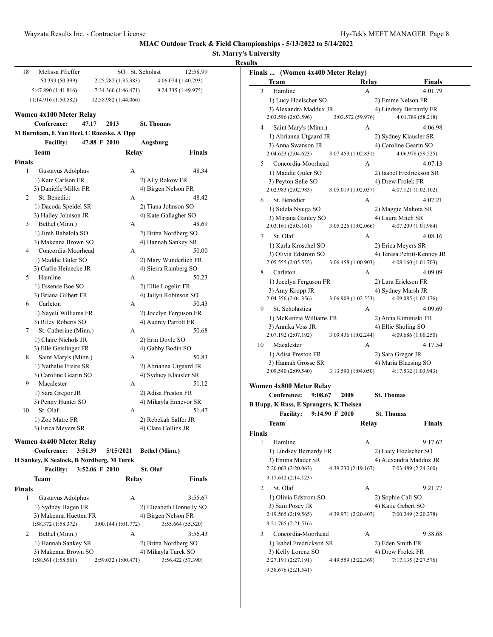|                                               |                             | MIAC Outdoor Track & Field Championships - 5/13/2022 to 5/14/2022 | <b>St. Marry's University</b>                 |                                                |                                   |                                             |                            |
|-----------------------------------------------|-----------------------------|-------------------------------------------------------------------|-----------------------------------------------|------------------------------------------------|-----------------------------------|---------------------------------------------|----------------------------|
| Melissa Pfieffer<br>18                        | SO St. Scholast             | 12:58.99                                                          | <b>Results</b>                                |                                                |                                   |                                             |                            |
| 50.399 (50.399)                               | 2:25.782 (1:35.383)         | 4:06.074 (1:40.293)                                               |                                               |                                                | Finals  (Women 4x400 Meter Relay) |                                             |                            |
| 5:47.890 (1:41.816)                           | 7:34.360 (1:46.471)         | 9:24.335 (1:49.975)                                               | <b>Team</b><br>Hamline<br>$\mathbf{3}$        |                                                | Relay                             |                                             | Finals                     |
|                                               |                             |                                                                   |                                               |                                                | A                                 |                                             | 4:01.79                    |
| 11:14.916 (1:50.582)                          | 12:58.982 (1:44.066)        |                                                                   |                                               | 1) Lucy Hoelscher SO<br>3) Alexandra Maddux JR |                                   | 2) Emme Nelson FR<br>4) Lindsey Bernardy FR |                            |
| Women 4x100 Meter Relay                       |                             |                                                                   |                                               | 2:03.596 (2:03.596)                            | 3:03.572 (59.976)                 |                                             | 4:01.789 (58.218)          |
| Conference:<br>47.17                          | 2013<br><b>St. Thomas</b>   |                                                                   | 4                                             | Saint Mary's (Minn.)                           | А                                 |                                             | 4:06.98                    |
| M Burnham, E Van Heel, C Rozeske, A Tipp      |                             |                                                                   |                                               | 1) Abrianna Utgaard JR                         |                                   | 2) Sydney Klausler SR                       |                            |
| <b>Facility:</b>                              | 47.88 F 2010<br>Augsburg    |                                                                   |                                               | 3) Anna Swanson JR                             |                                   | 4) Caroline Gearin SO                       |                            |
| Team                                          | Relay                       | Finals                                                            |                                               | 2:04.623 (2:04.623)                            | 3:07.453 (1:02.831)               |                                             | 4:06.978 (59.525)          |
| <b>Finals</b>                                 |                             |                                                                   | 5                                             | Concordia-Moorhead                             | A                                 |                                             | 4:07.13                    |
| $\mathbf{1}$<br>Gustavus Adolphus             | А                           | 48.34                                                             |                                               | 1) Maddie Guler SO                             |                                   |                                             | 2) Isabel Fredrickson SR   |
| 1) Kate Carlson FR                            |                             | 2) Ally Rakow FR                                                  |                                               | 3) Peyton Selle SO                             |                                   | 4) Drew Frolek FR                           |                            |
| 3) Danielle Miller FR                         |                             | 4) Birgen Nelson FR                                               |                                               | 2:02.983 (2:02.983)                            | 3:05.019 (1:02.037)               |                                             | 4:07.121 (1:02.102)        |
| St. Benedict<br>2                             | A                           | 48.42                                                             | 6                                             | St. Benedict                                   | A                                 |                                             | 4:07.21                    |
| 1) Dacoda Speidel SR                          |                             | 2) Tiana Johnson SO                                               |                                               | 1) Sidela Nyuga SO                             |                                   | 2) Maggie Mahota SR                         |                            |
| 3) Hailey Johnson JR                          |                             | 4) Kate Gallagher SO                                              |                                               | 3) Mirjana Ganley SO                           |                                   | 4) Laura Mitch SR                           |                            |
| Bethel (Minn.)<br>3                           | A                           | 48.69                                                             |                                               | 2:03.161 (2:03.161)                            | 3:05.226 (1:02.066)               |                                             | 4:07.209 (1:01.984)        |
| 1) Jireh Babalola SO                          |                             | 2) Britta Nordberg SO                                             | 7<br>St. Olaf                                 |                                                | A                                 |                                             | 4:08.16                    |
| 3) Makenna Brown SO                           |                             | 4) Hannah Sankey SR                                               |                                               | 1) Karla Kroschel SO                           |                                   | 2) Erica Meyers SR                          |                            |
| Concordia-Moorhead<br>4                       | A                           | 50.00                                                             |                                               | 3) Olivia Edstrom SO                           |                                   |                                             | 4) Teresa Pettitt-Kenney J |
| 1) Maddie Guler SO                            |                             | 2) Mary Wunderlich FR                                             |                                               | 2:05.555 (2:05.555)                            | 3:06.458 (1:00.903)               |                                             | 4:08.160 (1:01.703)        |
| 3) Carlie Heinecke JR                         |                             | 4) Sierra Ramberg SO                                              | 8<br>Carleton                                 |                                                | А                                 |                                             | 4:09.09                    |
| Hamline<br>5                                  | A                           | 50.23                                                             |                                               | 1) Jocelyn Ferguson FR                         |                                   | 2) Lara Erickson FR                         |                            |
| 1) Essence Boe SO                             |                             | 2) Ellie Logelin FR                                               |                                               | 3) Amy Kropp JR                                |                                   | 4) Sydney Marsh JR                          |                            |
| 3) Briana Gilbert FR                          |                             | 4) Jailyn Robinson SO                                             |                                               | 2:04.356 (2:04.356)                            | 3:06.909 (1:02.553)               |                                             | 4:09.085 (1:02.176)        |
| Carleton<br>6                                 | A                           | 50.43                                                             | 9                                             | St. Scholastica                                | A                                 |                                             | 4:09.69                    |
| 1) Nayeli Williams FR                         |                             | 2) Jocelyn Ferguson FR                                            |                                               | 1) McKenzie Williams FR                        |                                   | 2) Anna Kiminiski FR                        |                            |
| 3) Riley Roberts SO<br>7                      |                             | 4) Audrey Parrott FR                                              |                                               | 3) Annika Voss JR                              |                                   | 4) Ellie Sholing SO                         |                            |
| St. Catherine (Minn.)<br>1) Claire Nichols JR | А                           | 50.68                                                             |                                               | 2:07.192 (2:07.192)                            | 3:09.436 (1:02.244)               |                                             | 4:09.686 (1:00.250)        |
| 3) Elle Geislinger FR                         | 2) Erin Doyle SO            | 4) Gabby Bodin SO                                                 | 10                                            | Macalester                                     | А                                 |                                             | 4:17.54                    |
| 8<br>Saint Mary's (Minn.)                     | А                           | 50.83                                                             |                                               | 1) Adisa Preston FR                            |                                   | 2) Sara Gregor JR                           |                            |
| 1) Nathalie Freire SR                         |                             | 2) Abrianna Utgaard JR                                            |                                               | 3) Hannah Grosse SR                            |                                   | 4) Maria Blaesing SO                        |                            |
| 3) Caroline Gearin SO                         |                             | 4) Sydney Klausler SR                                             |                                               | 2:09.540 (2:09.540)                            | 3:13.590 (1:04.050)               |                                             | 4:17.532 (1:03.943)        |
| 9<br>Macalester                               | А                           | 51.12                                                             |                                               |                                                |                                   |                                             |                            |
| 1) Sara Gregor JR                             |                             | 2) Adisa Preston FR                                               | Women 4x800 Meter Relay                       |                                                |                                   |                                             |                            |
| 3) Penny Hunter SO                            |                             | 4) Mikayla Ennevor SR                                             | Conference:                                   | 9:08.67                                        | 2008                              | <b>St. Thomas</b>                           |                            |
| St. Olaf<br>10                                | А                           | 51.47                                                             | <b>B Hupp, K Russ, E Sprangers, K Theisen</b> |                                                |                                   |                                             |                            |
| 1) Zoe Matre FR                               |                             | 2) Rebekah Salfer JR                                              |                                               | <b>Facility:</b>                               | 9:14.90 F 2010                    | <b>St. Thomas</b>                           |                            |
| 3) Erica Meyers SR                            |                             | 4) Clare Collins JR                                               | <b>Team</b>                                   |                                                | <b>Relay</b>                      |                                             | <b>Finals</b>              |
|                                               |                             |                                                                   | <b>Finals</b>                                 |                                                |                                   |                                             |                            |
| Women 4x400 Meter Relay                       |                             |                                                                   | Hamline<br>1                                  |                                                | A                                 |                                             | 9:17.62                    |
| 3:51.39<br>Conference:                        | 5/15/2021<br>Bethel (Minn.) |                                                                   |                                               | 1) Lindsey Bernardy FR                         |                                   | 2) Lucy Hoelscher SO                        |                            |
| H Sankey, K Sealock, B Nordberg, M Turek      |                             |                                                                   |                                               | 3) Emma Mader SR                               |                                   |                                             | 4) Alexandra Maddux JR     |
| <b>Facility:</b>                              | St. Olaf<br>3:52.06 F 2010  |                                                                   |                                               | 2:20.063 (2:20.063)                            | 4:39.230 (2:19.167)               |                                             | 7:03.489 (2:24.260)        |
| <b>Team</b>                                   | Relay                       | <b>Finals</b>                                                     |                                               | 9:17.612 (2:14.123)                            |                                   |                                             |                            |
| <b>Finals</b>                                 |                             |                                                                   | St. Olaf<br>2                                 |                                                | A                                 |                                             | 9:21.77                    |
| Gustavus Adolphus<br>1                        | A                           | 3:55.67                                                           |                                               | 1) Olivia Edstrom SO                           |                                   | 2) Sophie Call SO                           |                            |
| 1) Sydney Hagen FR                            |                             | 2) Elizabeth Donnelly SO                                          |                                               | 3) Sam Posey JR                                |                                   | 4) Katie Gebert SO                          |                            |
| 3) Makenna Huetten FR                         |                             | 4) Birgen Nelson FR                                               |                                               | 2:19.565 (2:19.565)                            | 4:39.971 (2:20.407)               |                                             | 7:00.249 (2:20.278)        |
| 1:58.372 (1:58.372)                           | 3:00.144(1:01.772)          | 3:55.664 (55.520)                                                 |                                               | 9:21.765 (2:21.516)                            |                                   |                                             |                            |
| Bethel (Minn.)<br>2                           | А                           | 3:56.43                                                           | 3                                             | Concordia-Moorhead                             | A                                 |                                             | 9:38.68                    |
| 1) Hannah Sankey SR                           |                             | 2) Britta Nordberg SO                                             |                                               | 1) Isabel Fredrickson SR                       |                                   | 2) Eden Smith FR                            |                            |
| 3) Makenna Brown SO                           |                             | 4) Mikayla Turek SO                                               |                                               | 3) Kelly Lorenz SO                             |                                   | 4) Drew Frolek FR                           |                            |

1:58.561 (1:58.561) 2:59.032 (1:00.471) 3:56.422 (57.390)

| 3      | Hamline                                        | А                   | 4:01.79                                           |  |
|--------|------------------------------------------------|---------------------|---------------------------------------------------|--|
|        | 1) Lucy Hoelscher SO                           |                     | 2) Emme Nelson FR                                 |  |
|        | 3) Alexandra Maddux JR                         |                     | 4) Lindsey Bernardy FR                            |  |
|        | 2:03.596 (2:03.596)                            | 3:03.572 (59.976)   | 4:01.789 (58.218)                                 |  |
| 4      | Saint Mary's (Minn.)                           | А                   | 4:06.98                                           |  |
|        | 1) Abrianna Utgaard JR                         |                     | 2) Sydney Klausler SR                             |  |
|        | 3) Anna Swanson JR                             |                     | 4) Caroline Gearin SO                             |  |
|        | 2:04.623 (2:04.623)                            | 3:07.453 (1:02.831) | 4:06.978 (59.525)                                 |  |
| 5      | Concordia-Moorhead                             | А                   | 4:07.13                                           |  |
|        | 1) Maddie Guler SO                             |                     | 2) Isabel Fredrickson SR                          |  |
|        | 3) Peyton Selle SO                             |                     | 4) Drew Frolek FR                                 |  |
|        | 2:02.983 (2:02.983)                            | 3:05.019 (1:02.037) | 4:07.121 (1:02.102)                               |  |
| 6      | St. Benedict                                   | А                   | 4:07.21                                           |  |
|        | 1) Sidela Nyuga SO                             |                     | 2) Maggie Mahota SR                               |  |
|        | 3) Mirjana Ganley SO                           |                     | 4) Laura Mitch SR                                 |  |
|        | 2:03.161 (2:03.161)                            | 3:05.226 (1:02.066) | 4:07.209 (1:01.984)                               |  |
| 7      | St. Olaf                                       | А                   | 4:08.16                                           |  |
|        | 1) Karla Kroschel SO<br>3) Olivia Edstrom SO   |                     | 2) Erica Meyers SR<br>4) Teresa Pettitt-Kenney JR |  |
|        | 2:05.555 (2:05.555)                            | 3:06.458 (1:00.903) | 4:08.160 (1:01.703)                               |  |
| 8      | Carleton                                       | А                   | 4:09.09                                           |  |
|        | 1) Jocelyn Ferguson FR                         |                     | 2) Lara Erickson FR                               |  |
|        | 3) Amy Kropp JR                                |                     | 4) Sydney Marsh JR                                |  |
|        | 2:04.356 (2:04.356)                            | 3:06.909 (1:02.553) | 4:09.085 (1:02.176)                               |  |
| 9      | St. Scholastica                                | А                   | 4:09.69                                           |  |
|        | 1) McKenzie Williams FR                        |                     | 2) Anna Kiminiski FR                              |  |
|        | 3) Annika Voss JR                              |                     | 4) Ellie Sholing SO                               |  |
|        | 2:07.192 (2:07.192)                            | 3:09.436 (1:02.244) | 4:09.686 (1:00.250)                               |  |
| 10     | Macalester                                     | А                   | 4:17.54                                           |  |
|        | 1) Adisa Preston FR                            |                     | 2) Sara Gregor JR                                 |  |
|        | 3) Hannah Grosse SR                            |                     | 4) Maria Blaesing SO                              |  |
|        | 2:09.540 (2:09.540)                            | 3:13.590 (1:04.050) | 4:17.532 (1:03.943)                               |  |
|        | Women 4x800 Meter Relay                        |                     |                                                   |  |
|        | Conference:<br>9:08.67                         | 2008                | <b>St. Thomas</b>                                 |  |
|        | <b>B Hupp, K Russ, E Sprangers, K Theisen</b>  |                     |                                                   |  |
|        | <b>Facility:</b>                               | 9:14.90 F 2010      | <b>St. Thomas</b>                                 |  |
|        | Team                                           | Relay               | Finals                                            |  |
| Finals |                                                |                     |                                                   |  |
| 1      | Hamline                                        | A                   | 9:17.62                                           |  |
|        | 1) Lindsey Bernardy FR                         |                     | 2) Lucy Hoelscher SO                              |  |
|        | 3) Emma Mader SR                               |                     | 4) Alexandra Maddux JR                            |  |
|        | 2:20.063 (2:20.063)                            | 4:39.230 (2:19.167) | 7:03.489 (2:24.260)                               |  |
|        | 9:17.612 (2:14.123)                            |                     |                                                   |  |
| 2      | St. Olaf                                       | А                   | 9:21.77                                           |  |
|        | 1) Olivia Edstrom SO                           |                     | 2) Sophie Call SO                                 |  |
|        | 3) Sam Posey JR<br>2:19.565 (2:19.565)         |                     | 4) Katie Gebert SO                                |  |
|        | 9:21.765 (2:21.516)                            | 4:39.971 (2:20.407) | 7:00.249 (2:20.278)                               |  |
|        | Concordia-Moorhead                             |                     |                                                   |  |
| 3      |                                                | А                   | 9:38.68                                           |  |
|        | 1) Isabel Fredrickson SR<br>3) Kelly Lorenz SO |                     | 2) Eden Smith FR<br>4) Drew Frolek FR             |  |
|        | 2:27.191 (2:27.191)                            | 4:49.559 (2:22.369) | 7:17.135 (2:27.576)                               |  |
|        | 9:38.676 (2:21.541)                            |                     |                                                   |  |
|        |                                                |                     |                                                   |  |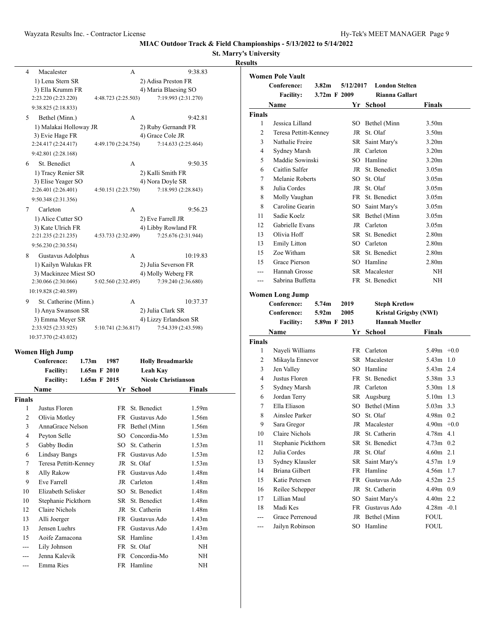### **St. Marry's University Results**

| Macalester<br>4            | A                   | 9:38.83               |
|----------------------------|---------------------|-----------------------|
| 1) Lena Stern SR           |                     | 2) Adisa Preston FR   |
| 3) Ella Krumm FR           |                     | 4) Maria Blaesing SO  |
| 2:23.220 (2:23.220)        | 4:48.723 (2:25.503) | 7:19.993 (2:31.270)   |
| 9:38.825 (2:18.833)        |                     |                       |
| 5<br>Bethel (Minn.)        | A                   | 9:42.81               |
| 1) Malakai Holloway JR     |                     | 2) Ruby Gernandt FR   |
| 3) Evie Hage FR            |                     | 4) Grace Cole JR      |
| 2:24.417 (2:24.417)        | 4:49.170 (2:24.754) | 7:14.633 (2:25.464)   |
| 9:42.801 (2:28.168)        |                     |                       |
| St. Benedict<br>6          | A                   | 9:50.35               |
| 1) Tracy Renier SR         |                     | 2) Kalli Smith FR     |
| 3) Elise Yeager SO         |                     | 4) Nora Doyle SR      |
| 2:26.401 (2:26.401)        | 4:50.151 (2:23.750) | 7:18.993 (2:28.843)   |
| 9:50.348 (2:31.356)        |                     |                       |
| Carleton<br>7              | A                   | 9:56.23               |
| 1) Alice Cutter SO         |                     | 2) Eve Farrell JR     |
| 3) Kate Ulrich FR          |                     | 4) Libby Rowland FR   |
| 2:21.235 (2:21.235)        | 4:53.733 (2:32.499) | 7:25.676 (2:31.944)   |
| 9:56.230 (2:30.554)        |                     |                       |
| 8<br>Gustavus Adolphus     | A                   | 10:19.83              |
| 1) Kailyn Walukas FR       |                     | 2) Julia Severson FR  |
| 3) Mackinzee Miest SO      |                     | 4) Molly Weberg FR    |
| 2:30.066 (2:30.066)        | 5:02.560 (2:32.495) | 7:39.240 (2:36.680)   |
| 10:19.828 (2:40.589)       |                     |                       |
| St. Catherine (Minn.)<br>9 | A                   | 10:37.37              |
| 1) Anya Swanson SR         |                     | 2) Julia Clark SR     |
| 3) Emma Meyer SR           |                     | 4) Lizzy Erlandson SR |
| 2:33.925 (2:33.925)        | 5:10.741 (2:36.817) | 7:54.339 (2:43.598)   |

10:37.370 (2:43.032)

### **Women High Jump**

|                | Conference:           | 1.73 <sub>m</sub> | 1987            | <b>Holly Broadmarkle</b>   |                   |  |
|----------------|-----------------------|-------------------|-----------------|----------------------------|-------------------|--|
|                | <b>Facility:</b>      |                   | 1.65m F 2010    | Leah Kay                   |                   |  |
|                | <b>Facility:</b>      |                   | $1.65m$ F 2015  | <b>Nicole Christianson</b> |                   |  |
|                | <b>Name</b>           |                   | Yr              | School                     | Finals            |  |
| Finals         |                       |                   |                 |                            |                   |  |
| 1              | Justus Floren         |                   |                 | FR St. Benedict            | 1.59m             |  |
| 2              | Olivia Motley         |                   | FR.             | Gustavus Ado               | 1.56m             |  |
| 3              | AnnaGrace Nelson      |                   |                 | FR Bethel (Minn            | 1.56m             |  |
| $\overline{4}$ | Peyton Selle          |                   |                 | SO Concordia-Mo            | 1.53m             |  |
| 5              | Gabby Bodin           |                   | SO.             | St. Catherin               | 1.53m             |  |
| 6              | <b>Lindsay Bangs</b>  |                   | FR -            | Gustavus Ado               | 1.53m             |  |
| 7              | Teresa Pettitt-Kenney |                   |                 | JR St. Olaf                | 1.53m             |  |
| 8              | Ally Rakow            |                   |                 | FR Gustavus Ado            | 1.48 <sub>m</sub> |  |
| 9              | Eve Farrell           |                   |                 | JR Carleton                | 1.48 <sub>m</sub> |  |
| 10             | Elizabeth Selisker    |                   | SO <sub>1</sub> | St. Benedict               | 1.48m             |  |
| 10             | Stephanie Pickthorn   |                   |                 | SR St. Benedict            | 1.48m             |  |
| 12             | Claire Nichols        |                   | JR              | St. Catherin               | 1.48 <sub>m</sub> |  |
| 13             | Alli Joerger          |                   | FR              | Gustavus Ado               | 1.43m             |  |
| 13             | Jensen Luehrs         |                   | FR -            | Gustavus Ado               | 1.43 <sub>m</sub> |  |
| 15             | Aoife Zamacona        |                   | SR              | Hamline                    | 1.43m             |  |
| ---            | Lily Johnson          |                   |                 | FR St. Olaf                | NH                |  |
|                | Jenna Kalevik         |                   | FR.             | Concordia-Mo               | NH                |  |
| ---            | Emma Ries             |                   |                 | FR Hamline                 | NH                |  |

|                    | <b>Women Pole Vault</b>           |                   |           |                                 |                              |
|--------------------|-----------------------------------|-------------------|-----------|---------------------------------|------------------------------|
|                    | Conference:                       | 3.82 <sub>m</sub> | 5/12/2017 | <b>London Stelten</b>           |                              |
|                    | <b>Facility:</b>                  | 3.72m F 2009      |           | <b>Rianna Gallart</b>           |                              |
|                    | Name                              |                   |           | Yr School                       | Finals                       |
| <b>Finals</b>      |                                   |                   |           |                                 |                              |
| 1                  | Jessica Lilland                   |                   |           | SO Bethel (Minn                 | 3.50 <sub>m</sub>            |
| 2                  | Teresa Pettitt-Kenney             |                   |           | JR St. Olaf                     | 3.50 <sub>m</sub>            |
| 3                  | Nathalie Freire                   |                   |           | SR Saint Mary's                 | 3.20 <sub>m</sub>            |
| 4                  | Sydney Marsh                      |                   |           | JR Carleton                     | 3.20 <sub>m</sub>            |
| 5                  | Maddie Sowinski                   |                   |           | SO Hamline                      | 3.20 <sub>m</sub>            |
| 6                  | Caitlin Salfer                    |                   |           | JR St. Benedict                 | 3.05m                        |
| 7                  | Melanie Roberts                   |                   |           | SO St. Olaf                     | 3.05 <sub>m</sub>            |
| 8                  | Julia Cordes                      |                   |           | JR St. Olaf                     | 3.05 <sub>m</sub>            |
| 8                  | Molly Vaughan                     |                   |           | FR St. Benedict                 | 3.05 <sub>m</sub>            |
| 8                  | Caroline Gearin                   |                   |           | SO Saint Mary's                 | 3.05 <sub>m</sub>            |
| 11                 | Sadie Koelz                       |                   |           | SR Bethel (Minn                 | 3.05 <sub>m</sub>            |
| 12                 | Gabrielle Evans                   |                   |           | JR Carleton                     | 3.05 <sub>m</sub>            |
| 13                 | Olivia Hoff                       |                   |           | SR St. Benedict                 | 2.80 <sub>m</sub>            |
| 13                 | <b>Emily Litton</b>               |                   |           | SO Carleton                     | 2.80 <sub>m</sub>            |
| 15                 | Zoe Witham                        |                   |           | SR St. Benedict                 | 2.80 <sub>m</sub>            |
| 15                 | Grace Pierson                     |                   |           | SO Hamline                      | 2.80 <sub>m</sub>            |
| ---                | Hannah Grosse                     |                   |           | SR Macalester                   | NH                           |
| $-$ --             | Sabrina Buffetta                  |                   |           | FR St. Benedict                 | ΝH                           |
|                    |                                   |                   |           |                                 |                              |
|                    | <b>Women Long Jump</b>            |                   |           |                                 |                              |
|                    | Conference:                       | 5.74 <sub>m</sub> | 2019      | <b>Steph Kretlow</b>            |                              |
|                    | Conference:                       | 5.92 <sub>m</sub> | 2005      | <b>Hannah Mueller</b>           | <b>Kristal Grigsby (NWI)</b> |
|                    | <b>Facility:</b>                  | 5.89m F 2013      |           |                                 |                              |
|                    | Name                              |                   |           | Yr School                       | Finals                       |
| <b>Finals</b><br>1 | Nayeli Williams                   |                   |           | FR Carleton                     | $5.49m +0.0$                 |
| 2                  | Mikayla Ennevor                   |                   |           | SR Macalester                   | 5.43m<br>1.0                 |
| 3                  | Jen Valley                        |                   |           | SO Hamline                      | 5.43m 2.4                    |
| 4                  | Justus Floren                     |                   |           | FR St. Benedict                 | 5.38m 3.3                    |
| 5                  | Sydney Marsh                      |                   |           | JR Carleton                     | $5.30m$ 1.8                  |
| 6                  | Jordan Terry                      |                   |           | SR Augsburg                     | 5.10m 1.3                    |
| 7                  | Ella Eliason                      |                   |           | SO Bethel (Minn                 | 5.03m 3.3                    |
| 8                  | Ainslee Parker                    |                   |           | SO St. Olaf                     | $4.98m$ 0.2                  |
| 9                  | Sara Gregor                       |                   |           | JR Macalester                   | $4.90m +0.0$                 |
| 10                 | Claire Nichols                    |                   |           | JR St. Catherin                 | 4.78m 4.1                    |
| 11                 | Stephanie Pickthorn               |                   |           | SR St. Benedict                 | $4.73m$ 0.2                  |
| 12                 | Julia Cordes                      |                   | JR        | St. Olaf                        | $4.60m$ 2.1                  |
|                    |                                   |                   |           |                                 |                              |
| 13<br>14           | Sydney Klausler<br>Briana Gilbert |                   | SR<br>FR  | Saint Mary's<br>Hamline         | 4.57m<br>1.9<br>4.56m<br>1.7 |
| 15                 | Katie Petersen                    |                   | FR        | Gustavus Ado                    |                              |
| 16                 | Reilee Schepper                   |                   | JR        | St. Catherin                    | $4.52m$ 2.5<br>4.49m 0.9     |
| 17                 | Lillian Maul                      |                   | SO        |                                 | 4.40m 2.2                    |
| 18                 | Madi Kes                          |                   |           | Saint Mary's<br>FR Gustavus Ado | $4.28m - 0.1$                |
| ---                | Grace Perrenoud                   |                   |           | JR Bethel (Minn                 | <b>FOUL</b>                  |
| ---                | Jailyn Robinson                   |                   |           | SO Hamline                      | <b>FOUL</b>                  |
|                    |                                   |                   |           |                                 |                              |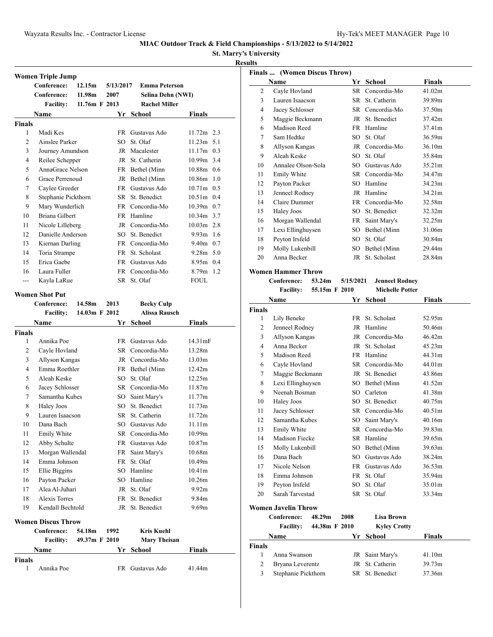**St. Marry's University**

### **Results**

|                    | <b>Women Triple Jump</b><br>Conference: | 12.15m        | 5/13/2017 | <b>Emma Peterson</b> |                    |
|--------------------|-----------------------------------------|---------------|-----------|----------------------|--------------------|
|                    | Conference:                             | 11.98m        | 2007      | Selina Dehn (NWI)    |                    |
|                    | <b>Facility:</b>                        | 11.76m F 2013 |           | <b>Rachel Miller</b> |                    |
|                    | Name                                    |               |           | Yr School            | <b>Finals</b>      |
| <b>Finals</b>      |                                         |               |           |                      |                    |
| 1                  | Madi Kes                                |               | FR        | Gustavus Ado         | $11.72m$ 2.3       |
| 2                  | Ainslee Parker                          |               | SO        | St. Olaf             | $11.23m$ 5.1       |
| 3                  | Journey Amundson                        |               |           | JR Macalester        | $11.17m$ 0.3       |
| $\overline{4}$     | Reilee Schepper                         |               | JR        | St. Catherin         | 10.99m 3.4         |
| 5                  | AnnaGrace Nelson                        |               |           | FR Bethel (Minn      | 10.88m 0.6         |
| 6                  | Grace Perrenoud                         |               |           | JR Bethel (Minn      | 10.86m 1.0         |
| 7                  | Caylee Greeder                          |               |           | FR Gustavus Ado      | 10.71m 0.5         |
| 8                  | Stephanie Pickthorn                     |               | SR        | St. Benedict         | $10.51m$ 0.4       |
| 9                  | Mary Wunderlich                         |               |           | FR Concordia-Mo      | $10.39m$ 0.7       |
| 10                 | Briana Gilbert                          |               |           | FR Hamline           | 10.34m 3.7         |
| 11                 | Nicole Lilleberg                        |               |           | JR Concordia-Mo      | $10.03m$ 2.8       |
| 12                 | Danielle Anderson                       |               | SO.       | St. Benedict         | $9.93m$ 1.6        |
| 13                 | Kiernan Darling                         |               |           | FR Concordia-Mo      | $9.40m$ 0.7        |
| 14                 | Toria Strampe                           |               | FR        | St. Scholast         | $9.28m$ 5.0        |
| 15                 | Erica Gaebe                             |               | FR        | Gustavus Ado         | $8.95m$ 0.4        |
| 16                 | Laura Fuller                            |               | FR -      | Concordia-Mo         | 8.79m 1.2          |
| ---                | Kayla LaRue                             |               |           | SR St. Olaf          | <b>FOUL</b>        |
|                    |                                         |               |           |                      |                    |
|                    | <b>Women Shot Put</b>                   |               |           |                      |                    |
|                    | Conference:                             | 14.58m        | 2013      | <b>Becky Culp</b>    |                    |
|                    | <b>Facility:</b>                        | 14.03m F 2012 |           | <b>Alissa Rausch</b> |                    |
|                    | Name                                    |               |           | Yr School            | <b>Finals</b>      |
| <b>Finals</b>      |                                         |               |           |                      |                    |
| 1                  | Annika Poe                              |               | FR -      | Gustavus Ado         | 14.31mF            |
| 2                  | Cayle Hovland                           |               | SR        | Concordia-Mo         | 13.28m             |
| 3                  | Allyson Kangas                          |               |           | JR Concordia-Mo      | 13.03m             |
| 4                  | Emma Roethler                           |               |           | FR Bethel (Minn      | 12.42m             |
| 5                  | Aleah Keske                             |               | SO.       | St. Olaf             | 12.25m             |
| 6                  | Jacey Schlosser                         |               | SR        | Concordia-Mo         | 11.87m             |
| 7                  | Samantha Kubes                          |               | SO        | Saint Mary's         | 11.77m             |
| 8                  | Haley Joos                              |               | SO        | St. Benedict         | 11.73m             |
| 9                  | Lauren Isaacson                         |               |           | SR St. Catherin      | 11.72m             |
| 10                 | Dana Bach                               |               |           | SO Gustavus Ado      | 11.11m             |
| 11                 | Emily White                             |               |           | SR Concordia-Mo      | 10.99m             |
| 12                 | Abby Schulte                            |               | <b>FR</b> | Gustavus Ado         | 10.87 <sub>m</sub> |
| 13                 | Morgan Wallendal                        |               | FR        | Saint Mary's         | 10.68m             |
| 14                 | Emma Johnson                            |               | FR        | St. Olaf             | 10.49m             |
| 15                 | Ellie Biggins                           |               | SO        | Hamline              | 10.41m             |
| 16                 | Payton Packer                           |               | SO        | Hamline              | 10.26m             |
| 17                 | Alea Al-Juhari                          |               | JR        | St. Olaf             | 9.92 <sub>m</sub>  |
| 18                 | <b>Alexis Torres</b>                    |               | FR        | St. Benedict         | 9.84m              |
| 19                 | Kendall Bechtold                        |               | JR        | St. Benedict         | 9.69m              |
|                    | <b>Women Discus Throw</b>               |               |           |                      |                    |
|                    | Conference:                             |               | 1992      | <b>Kris Kuehl</b>    |                    |
|                    |                                         |               |           |                      |                    |
|                    |                                         | 54.18m        |           |                      |                    |
|                    | <b>Facility:</b>                        | 49.37m F 2010 |           | <b>Mary Theisan</b>  |                    |
|                    | Name                                    |               | Yr        | <b>School</b>        | <b>Finals</b>      |
| <b>Finals</b><br>1 | Annika Poe                              |               |           | FR Gustavus Ado      | 41.44m             |

|    | Finals  (Women Discus Throw) |      |                 |               |
|----|------------------------------|------|-----------------|---------------|
|    | Name                         | Yr   | School          | <b>Finals</b> |
| 2  | Cayle Hovland                | SR.  | Concordia-Mo    | 41.02m        |
| 3  | Lauren Isaacson              | SR - | St. Catherin    | 39.89m        |
| 4  | Jacey Schlosser              | SR.  | Concordia-Mo    | 37.50m        |
| 5  | Maggie Beckmann              |      | JR St. Benedict | 37.42m        |
| 6  | Madison Reed                 |      | FR Hamline      | 37.41m        |
| 7  | Sam Hedtke                   | SO.  | St. Olaf        | 36.59m        |
| 8  | Allyson Kangas               |      | JR Concordia-Mo | 36.10m        |
| 9  | Aleah Keske                  | SO.  | St. Olaf        | 35.84m        |
| 10 | Annalee Olson-Sola           | SO.  | Gustavus Ado    | 35.21m        |
| 11 | Emily White                  | SR - | Concordia-Mo    | 34.47m        |
| 12 | Payton Packer                | SO.  | Hamline         | 34.23m        |
| 13 | Jenneel Rodney               |      | JR Hamline      | 34.21m        |
| 14 | Claire Dummer                | FR   | Concordia-Mo    | 32.58m        |
| 15 | Haley Joos                   | SO.  | St. Benedict    | 32.32m        |
| 16 | Morgan Wallendal             | FR   | Saint Mary's    | 32.25m        |
| 17 | Lexi Ellinghuysen            | SO   | Bethel (Minn    | 31.06m        |
| 18 | Peyton Irsfeld               | SO.  | St. Olaf        | 30.84m        |
| 19 | Molly Lukenbill              | SO   | Bethel (Minn    | 29.44m        |
| 20 | Anna Becker                  | JR   | St. Scholast    | 28.84m        |
|    |                              |      |                 |               |

### **Women Hammer Throw**

**Conference: 53.24m 5/15/2021 Jenneel Rodney Facility: 55.15m F 2010 Michelle Potter**

| Name           |                            |               |             | Yr School           | <b>Finals</b>      |
|----------------|----------------------------|---------------|-------------|---------------------|--------------------|
| <b>Finals</b>  |                            |               |             |                     |                    |
| 1              | Lily Beneke                |               | FR          | St. Scholast        | 52.95m             |
| $\overline{c}$ | Jenneel Rodney             |               | <b>JR</b>   | Hamline             | 50.46m             |
| 3              | Allyson Kangas             |               | $_{\rm JR}$ | Concordia-Mo        | 46.42m             |
| 4              | Anna Becker                |               | $_{\rm JR}$ | St. Scholast        | 45.23m             |
| 5              | Madison Reed               |               | FR          | Hamline             | 44.31m             |
| 6              | Cayle Hovland              |               | SR.         | Concordia-Mo        | 44.01m             |
| 7              | Maggie Beckmann            |               |             | JR St. Benedict     | 43.86m             |
| 8              | Lexi Ellinghuysen          |               | SO          | Bethel (Minn        | 41.52m             |
| 9              | Neenah Bosman              |               |             | SO Carleton         | 41.38m             |
| 10             | <b>Haley Joos</b>          |               | SO.         | St. Benedict        | 40.75m             |
| 11             | Jacey Schlosser            |               | SR –        | Concordia-Mo        | 40.51m             |
| 12             | Samantha Kubes             |               | SO          | Saint Mary's        | 40.16m             |
| 13             | Emily White                |               | SR –        | Concordia-Mo        | 39.83m             |
| 14             | Madison Fiecke             |               | SR          | Hamline             | 39.65m             |
| 15             | Molly Lukenbill            |               | SO          | Bethel (Minn        | 39.63m             |
| 16             | Dana Bach                  |               | SO          | Gustavus Ado        | 38.24m             |
| 17             | Nicole Nelson              |               | <b>FR</b>   | Gustavus Ado        | 36.53m             |
| 18             | Emma Johnson               |               | <b>FR</b>   | St. Olaf            | 35.94m             |
| 19             | Peyton Irsfeld             |               | SO.         | St. Olaf            | 35.01 <sub>m</sub> |
| 20             | Sarah Tarvestad            |               | SR –        | St. Olaf            | 33.34m             |
|                | <b>Women Javelin Throw</b> |               |             |                     |                    |
|                | Conference:                | 48.29m        | 2008        | <b>Lisa Brown</b>   |                    |
|                | <b>Facility:</b>           | 44.38m F 2010 |             | <b>Kyley Crotty</b> |                    |
|                | Name                       |               | Yr          | <b>School</b>       | <b>Finals</b>      |
| <b>Finals</b>  |                            |               |             |                     |                    |
| 1              | Anna Swanson               |               | JR          | Saint Mary's        | 41.10m             |
| $\overline{2}$ | Bryana Leverentz           |               | <b>JR</b>   | St. Catherin        | 39.73m             |

Stephanie Pickthorn SR St. Benedict 37.36m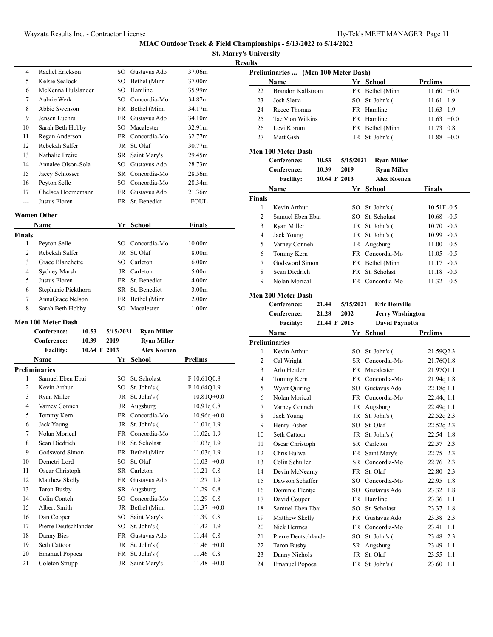**St. Marry's University**

| <b>Results</b> |
|----------------|

| 4  | Rachel Erickson    | SO.  | Gustavus Ado    | 37.06m |
|----|--------------------|------|-----------------|--------|
| 5  | Kelsie Sealock     |      | SO Bethel (Minn | 37.00m |
| 6  | McKenna Hulslander | SO.  | Hamline         | 35.99m |
| 7  | Aubrie Werk        |      | SO Concordia-Mo | 34.87m |
| 8  | Abbie Swenson      |      | FR Bethel (Minn | 34.17m |
| 9  | Jensen Luehrs      | FR - | Gustavus Ado    | 34.10m |
| 10 | Sarah Beth Hobby   |      | SO Macalester   | 32.91m |
| 11 | Regan Anderson     |      | FR Concordia-Mo | 32.77m |
| 12 | Rebekah Salfer     | JR   | St. Olaf        | 30.77m |
| 13 | Nathalie Freire    | SR   | Saint Mary's    | 29.45m |
| 14 | Annalee Olson-Sola | SO.  | Gustavus Ado    | 28.73m |
| 15 | Jacey Schlosser    |      | SR Concordia-Mo | 28.56m |
| 16 | Peyton Selle       | SO.  | Concordia-Mo    | 28.34m |
| 17 | Chelsea Hoernemann | FR   | Gustavus Ado    | 21.36m |
|    | Justus Floren      | FR   | St. Benedict    | FOUL.  |

### **Women Other**

| Name           |                     | Yr School       | <b>Finals</b>      |  |
|----------------|---------------------|-----------------|--------------------|--|
| <b>Finals</b>  |                     |                 |                    |  |
| 1              | Peyton Selle        | SO Concordia-Mo | 10.00 <sub>m</sub> |  |
| $\mathfrak{D}$ | Rebekah Salfer      | JR St. Olaf     | 8.00 <sub>m</sub>  |  |
| 3              | Grace Blanchette    | SO Carleton     | 6.00 <sub>m</sub>  |  |
| 4              | Sydney Marsh        | JR Carleton     | 5.00 <sub>m</sub>  |  |
| 5              | Justus Floren       | FR St. Benedict | 4.00 <sub>m</sub>  |  |
| 6              | Stephanie Pickthorn | SR St. Benedict | 3.00 <sub>m</sub>  |  |
| 7              | AnnaGrace Nelson    | FR Bethel (Minn | 2.00 <sub>m</sub>  |  |
| 8              | Sarah Beth Hobby    | SO Macalester   | 1.00 <sub>m</sub>  |  |

### **Men 100 Meter Dash**

|                | Conference:           | 10.53        | 5/15/2021 | <b>Ryan Miller</b> |                 |
|----------------|-----------------------|--------------|-----------|--------------------|-----------------|
|                | Conference:           | 10.39        | 2019      | <b>Ryan Miller</b> |                 |
|                | <b>Facility:</b>      | 10.64 F 2013 |           | <b>Alex Koenen</b> |                 |
|                | Name                  |              |           | Yr School          | <b>Prelims</b>  |
|                | Preliminaries         |              |           |                    |                 |
| 1              | Samuel Eben Ebai      |              | SO.       | St. Scholast       | F 10.61Q0.8     |
| $\overline{c}$ | Kevin Arthur          |              | SO        | St. John's (       | F 10.64Q1.9     |
| 3              | Ryan Miller           |              |           | JR St. John's (    | $10.81O + 0.0$  |
| $\overline{4}$ | Varney Conneh         |              | JR        | Augsburg           | 10.91q0.8       |
| 5              | Tommy Kern            |              | <b>FR</b> | Concordia-Mo       | $10.96q + 0.0$  |
| 6              | Jack Young            |              | JR        | St. John's (       | 11.01q 1.9      |
| 7              | Nolan Morical         |              | FR -      | Concordia-Mo       | 11.02q 1.9      |
| 8              | Sean Diedrich         |              |           | FR St. Scholast    | 11.03q 1.9      |
| 9              | Godsword Simon        |              |           | FR Bethel (Minn    | 11.03q 1.9      |
| 10             | Demetri Lord          |              | SO.       | St. Olaf           | $11.03 + 0.0$   |
| 11             | Oscar Christoph       |              | SR        | Carleton           | 11.21<br>0.8    |
| 12             | Matthew Skelly        |              | <b>FR</b> | Gustavus Ado       | 11.27 1.9       |
| 13             | Taron Busby           |              | SR        | Augsburg           | 0.8<br>11.29    |
| 14             | Colin Conteh          |              | SO.       | Concordia-Mo       | 11.29<br>0.8    |
| 15             | Albert Smith          |              | JR        | Bethel (Minn       | $+0.0$<br>11.37 |
| 16             | Dan Cooper            |              | SO.       | Saint Mary's       | 11.39<br>0.8    |
| 17             | Pierre Deutschlander  |              | SO        | St. John's (       | 11.42<br>1.9    |
| 18             | Danny Bies            |              | FR        | Gustavus Ado       | 11.44 0.8       |
| 19             | Seth Cattoor          |              | JR        | St. John's (       | $11.46 + 0.0$   |
| 20             | <b>Emanuel Popoca</b> |              | FR        | St. John's (       | 11.46<br>0.8    |
| 21             | Coleton Strupp        |              |           | JR Saint Mary's    | $+0.0$<br>11.48 |

| Preliminaries  (Men 100 Meter Dash) |                                        |              |              |                             |                              |  |
|-------------------------------------|----------------------------------------|--------------|--------------|-----------------------------|------------------------------|--|
|                                     | Name                                   |              |              | Yr School                   | <b>Prelims</b>               |  |
| 22                                  | <b>Brandon Kallstrom</b>               |              |              | FR Bethel (Minn             | 11.60<br>$+0.0$              |  |
| 23                                  | Josh Sletta                            |              | SO           | St. John's (                | 11.61<br>1.9                 |  |
| 24                                  | Reece Thomas                           |              |              | FR Hamline                  | 11.63<br>1.9                 |  |
| 25                                  | Tae'Vion Wilkins                       |              |              | FR Hamline                  | $11.63 +0.0$                 |  |
|                                     | Levi Korum                             |              |              |                             |                              |  |
| 26                                  |                                        |              |              | FR Bethel (Minn             | 11.73 0.8                    |  |
| 27                                  | Matt Gish                              |              |              | JR St. John's (             | 11.88<br>$+0.0$              |  |
|                                     | Men 100 Meter Dash                     |              |              |                             |                              |  |
|                                     | Conference:                            | 10.53        | 5/15/2021    | <b>Ryan Miller</b>          |                              |  |
|                                     | Conference:                            | 10.39        | 2019         | <b>Ryan Miller</b>          |                              |  |
|                                     | <b>Facility:</b>                       |              | 10.64 F 2013 | <b>Alex Koenen</b>          |                              |  |
|                                     | Name                                   |              |              | Yr School                   | Finals                       |  |
| Finals                              |                                        |              |              |                             |                              |  |
| 1                                   | Kevin Arthur                           |              |              | SO St. John's (             | $10.51F - 0.5$               |  |
| 2                                   | Samuel Eben Ebai                       |              |              | SO St. Scholast             | $10.68 - 0.5$                |  |
| 3                                   | Ryan Miller                            |              |              | JR St. John's (             | $10.70 - 0.5$                |  |
| 4                                   | Jack Young                             |              |              | JR St. John's (             | $10.99 - 0.5$                |  |
| 5                                   | Varney Conneh                          |              |              | JR Augsburg                 | $11.00 - 0.5$                |  |
| 6                                   | Tommy Kern                             |              |              | FR Concordia-Mo             | $11.05 -0.5$                 |  |
| 7                                   | Godsword Simon                         |              |              | FR Bethel (Minn             | $11.17 - 0.5$                |  |
| 8                                   | Sean Diedrich                          |              |              | FR St. Scholast             | $11.18 - 0.5$                |  |
| 9                                   | Nolan Morical                          |              |              | FR Concordia-Mo             | $11.32 -0.5$                 |  |
|                                     |                                        |              |              |                             |                              |  |
|                                     | Men 200 Meter Dash                     |              |              |                             |                              |  |
|                                     | Conference:                            | 21.44        | 5/15/2021    | <b>Eric Douville</b>        |                              |  |
|                                     | Conference:                            | 21.28        | 2002         | <b>Jerry Washington</b>     |                              |  |
|                                     | <b>Facility:</b>                       | 21.44 F 2015 |              | <b>David Paynotta</b>       |                              |  |
|                                     |                                        |              |              |                             |                              |  |
|                                     | Name                                   |              |              | Yr School                   | <b>Prelims</b>               |  |
|                                     | <b>Preliminaries</b>                   |              |              |                             |                              |  |
| 1                                   | Kevin Arthur                           |              |              | SO St. John's (             | 21.59Q2.3                    |  |
| 2                                   | Cal Wright                             |              |              | SR Concordia-Mo             | 21.76Q1.8                    |  |
| 3                                   | Arlo Heitler                           |              | <b>FR</b>    | Macalester                  | 21.97Q1.1                    |  |
| $\overline{4}$                      | Tommy Kern                             |              |              | FR Concordia-Mo             | 21.94q 1.8                   |  |
| 5                                   | Wyatt Quiring                          |              |              | SO Gustavus Ado             | 22.18q 1.1                   |  |
| 6                                   | Nolan Morical                          |              |              | FR Concordia-Mo             | 22.44q 1.1                   |  |
| 7                                   | Varney Conneh                          |              |              | JR Augsburg                 | 22.49q 1.1                   |  |
| 8                                   | Jack Young                             |              |              | JR St. John's (             | 22.52q 2.3                   |  |
| 9                                   | Henry Fisher                           |              |              | SO St. Olaf                 | 22.52q 2.3                   |  |
| 10                                  | Seth Cattoor                           |              |              | JR St. John's (             | 22.54 1.8                    |  |
| 11                                  | Oscar Christoph                        |              |              | SR Carleton                 | 22.57 2.3                    |  |
| 12                                  | Chris Bulwa                            |              | FR           | Saint Mary's                | 22.75 2.3                    |  |
| 13                                  | Colin Schuller                         |              | SR           | Concordia-Mo                | 22.76 2.3                    |  |
| 14                                  | Devin McNearny                         |              | FR           | St. Olaf                    | 22.80 2.3                    |  |
| 15                                  | Dawson Schaffer                        |              | SO           | Concordia-Mo                | 22.95<br>1.8                 |  |
| 16                                  | Dominic Flentje                        |              | SO           | Gustavus Ado                | 23.32<br>1.8                 |  |
| 17                                  | David Couper                           |              | FR           | Hamline                     | 1.1<br>23.36                 |  |
| 18                                  | Samuel Eben Ebai                       |              | SO           | St. Scholast                | 1.8<br>23.37                 |  |
| 19                                  | Matthew Skelly                         |              |              | FR Gustavus Ado             | 23.38 2.3                    |  |
| 20                                  | Nick Hermes                            |              |              | FR Concordia-Mo             | 1.1<br>23.41                 |  |
| 21                                  | Pierre Deutschlander                   |              | SO           | St. John's (                | 23.48 2.3                    |  |
| 22                                  | Taron Busby                            |              | SR           | Augsburg                    | 23.49<br>1.1                 |  |
| 23<br>24                            | Danny Nichols<br><b>Emanuel Popoca</b> |              | JR           | St. Olaf<br>FR St. John's ( | 23.55<br>1.1<br>23.60<br>1.1 |  |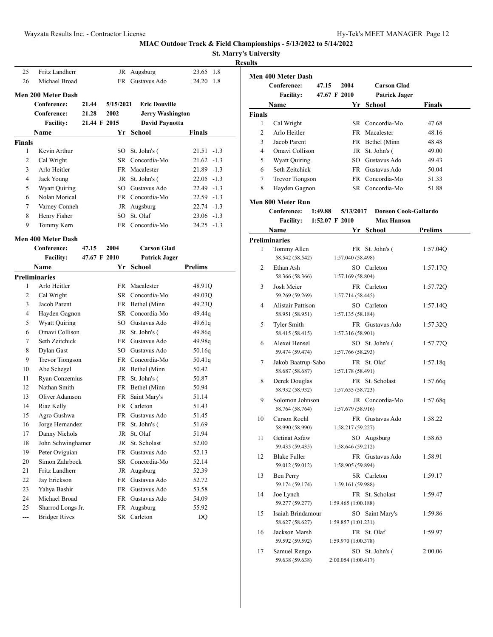**St. Marry's University**

|--|

| 25            | Fritz Landherr            |              |           | JR Augsburg             | 23.65<br>1.8   |
|---------------|---------------------------|--------------|-----------|-------------------------|----------------|
| 26            | Michael Broad             |              |           | FR Gustavus Ado         | 24.20<br>-1.8  |
|               | <b>Men 200 Meter Dash</b> |              |           |                         |                |
|               | Conference:               | 21.44        | 5/15/2021 | <b>Eric Douville</b>    |                |
|               | Conference:               | 21.28        | 2002      | <b>Jerry Washington</b> |                |
|               | <b>Facility:</b>          | 21.44 F 2015 |           | <b>David Paynotta</b>   |                |
|               | Name                      |              |           | Yr School               | Finals         |
| <b>Finals</b> |                           |              |           |                         |                |
| 1             | Kevin Arthur              |              | SO        | St. John's (            | $21.51 - 1.3$  |
| 2             | Cal Wright                |              |           | SR Concordia-Mo         | $21.62 -1.3$   |
| 3             | Arlo Heitler              |              |           | FR Macalester           | $21.89 - 1.3$  |
| 4             | Jack Young                |              |           | JR St. John's (         | $22.05 -1.3$   |
| 5             | Wyatt Quiring             |              |           | SO Gustavus Ado         | $22.49 -1.3$   |
| 6             | Nolan Morical             |              |           | FR Concordia-Mo         | $22.59 -1.3$   |
| 7             | Varney Conneh             |              |           | JR Augsburg             | $22.74 - 1.3$  |
| 8             | Henry Fisher              |              |           | SO St. Olaf             | $23.06 -1.3$   |
| 9             | Tommy Kern                |              |           | FR Concordia-Mo         | $24.25 -1.3$   |
|               | <b>Men 400 Meter Dash</b> |              |           |                         |                |
|               | Conference:               | 47.15        | 2004      | <b>Carson Glad</b>      |                |
|               | <b>Facility:</b>          | 47.67 F 2010 |           | <b>Patrick Jager</b>    |                |
|               | <b>Name</b>               |              |           | Yr School               | <b>Prelims</b> |
|               | <b>Preliminaries</b>      |              |           |                         |                |
| 1             | Arlo Heitler              |              |           | FR Macalester           | 48.91Q         |
| 2             | Cal Wright                |              |           | SR Concordia-Mo         | 49.03Q         |
| 3             | Jacob Parent              |              |           | FR Bethel (Minn         | 49.23Q         |
| 4             | Hayden Gagnon             |              |           | SR Concordia-Mo         | 49.44q         |
| 5             | Wyatt Quiring             |              |           | SO Gustavus Ado         | 49.61q         |
| 6             | Omavi Collison            |              |           | JR St. John's (         | 49.86q         |
| 7             | Seth Zeitchick            |              |           | FR Gustavus Ado         | 49.98q         |
| 8             | Dylan Gast                |              |           | SO Gustavus Ado         | 50.16q         |
| 9             | <b>Trevor Tiongson</b>    |              |           | FR Concordia-Mo         | 50.41q         |
| 10            | Abe Schegel               |              |           | JR Bethel (Minn         | 50.42          |
| 11            | Ryan Conzemius            |              |           | FR St. John's (         | 50.87          |
| 12            | Nathan Smith              |              |           | FR Bethel (Minn         | 50.94          |
| 13            | Oliver Adamson            |              | FR        | Saint Mary's            | 51.14          |
| 14            | Riaz Kelly                |              |           | FR Carleton             | 51.43          |
| 15            | Agro Gushwa               |              |           | FR Gustavus Ado         | 51.45          |
| 16            | Jorge Hernandez           |              | FR        | St. John's (            | 51.69          |
| 17            | Danny Nichols             |              | JR        | St. Olaf                | 51.94          |
| 18            | John Schwinghamer         |              | JR        | St. Scholast            | 52.00          |
| 19            | Peter Oviguian            |              |           | FR Gustavus Ado         | 52.13          |
| 20            | Simon Zahrbock            |              |           | SR Concordia-Mo         | 52.14          |
| 21            | Fritz Landherr            |              |           | JR Augsburg             | 52.39          |
| 22            | Jay Erickson              |              | FR        | Gustavus Ado            | 52.72          |
| 23            | Yahya Bashir              |              |           | FR Gustavus Ado         | 53.58          |
| 24            | Michael Broad             |              | FR        | Gustavus Ado            | 54.09          |
| 25            | Sharrod Longs Jr.         |              | FR        | Augsburg                | 55.92          |
| $---$         | <b>Bridger Rives</b>      |              | SR        | Carleton                | DQ             |

|               | Men 400 Meter Dash       |                  |                     |                             |                |
|---------------|--------------------------|------------------|---------------------|-----------------------------|----------------|
|               | Conference:              | 47.15            | 2004                | <b>Carson Glad</b>          |                |
|               | <b>Facility:</b>         | 47.67 F 2010     |                     | <b>Patrick Jager</b>        |                |
|               | Name                     |                  |                     | Yr School                   | Finals         |
| <b>Finals</b> |                          |                  |                     |                             |                |
| 1             | Cal Wright               |                  |                     | SR Concordia-Mo             | 47.68          |
| 2             | Arlo Heitler             |                  |                     | FR Macalester               | 48.16          |
| 3             | Jacob Parent             |                  |                     | FR Bethel (Minn             | 48.48          |
| 4             | Omavi Collison           |                  |                     | JR St. John's (             | 49.00          |
| 5             | Wyatt Quiring            |                  |                     | SO Gustavus Ado             | 49.43          |
| 6             | Seth Zeitchick           |                  |                     | FR Gustavus Ado             | 50.04          |
| 7             | Trevor Tiongson          |                  |                     | FR Concordia-Mo             | 51.33          |
| 8             | Hayden Gagnon            |                  |                     | SR Concordia-Mo             | 51.88          |
|               |                          |                  |                     |                             |                |
|               | Men 800 Meter Run        |                  |                     |                             |                |
|               | Conference:              | 1:49.88          | 5/13/2017           | <b>Donson Cook-Gallardo</b> |                |
|               | <b>Facility:</b>         | $1:52.07$ F 2010 |                     | <b>Max Hanson</b>           |                |
|               | Name                     |                  |                     | Yr School                   | <b>Prelims</b> |
|               | <b>Preliminaries</b>     |                  |                     |                             |                |
| 1             | Tommy Allen              |                  |                     | FR St. John's (             | 1:57.04Q       |
|               | 58.542 (58.542)          |                  | 1:57.040 (58.498)   |                             |                |
| 2             | Ethan Ash                |                  |                     | SO Carleton                 | 1:57.17Q       |
|               | 58.366 (58.366)          |                  | 1:57.169 (58.804)   |                             |                |
| 3             | Josh Meier               |                  |                     | FR Carleton                 | 1:57.72Q       |
|               | 59.269 (59.269)          |                  | 1:57.714(58.445)    |                             |                |
| 4             | <b>Alistair Pattison</b> |                  |                     | SO Carleton                 | 1:57.14Q       |
|               | 58.951 (58.951)          |                  | 1:57.135 (58.184)   |                             |                |
| 5             | Tyler Smith              |                  |                     | FR Gustavus Ado             | 1:57.32Q       |
|               | 58.415 (58.415)          |                  | 1:57.316 (58.901)   |                             |                |
| 6             | Alexei Hensel            |                  |                     | SO St. John's (             | 1:57.77Q       |
|               | 59.474 (59.474)          |                  | 1:57.766 (58.293)   |                             |                |
| 7             | Jakob Baatrup-Sabo       |                  |                     | FR St. Olaf                 | 1:57.18q       |
|               | 58.687 (58.687)          |                  | 1:57.178 (58.491)   |                             |                |
| 8             | Derek Douglas            |                  |                     | FR St. Scholast             | 1:57.66q       |
|               | 58.932 (58.932)          |                  | 1:57.655 (58.723)   |                             |                |
| 9             | Solomon Johnson          |                  |                     | JR Concordia-Mo             | 1:57.68q       |
|               | 58.764 (58.764)          |                  | 1:57.679 (58.916)   |                             |                |
| 10            | Carson Roehl             |                  |                     | FR Gustavus Ado             | 1:58.22        |
|               | 58.990 (58.990)          |                  | 1:58.217 (59.227)   |                             |                |
| 11            | Getinat Asfaw            |                  |                     | SO Augsburg                 | 1:58.65        |
|               | 59.435 (59.435)          |                  | 1:58.646 (59.212)   |                             |                |
| 12            | <b>Blake Fuller</b>      |                  |                     | FR Gustavus Ado             | 1:58.91        |
|               | 59.012 (59.012)          |                  | 1:58.905 (59.894)   |                             |                |
| 13            | <b>Ben Perry</b>         |                  |                     | SR Carleton                 | 1:59.17        |
|               | 59.174 (59.174)          |                  | 1:59.161 (59.988)   |                             |                |
| 14            | Joe Lynch                |                  |                     | FR St. Scholast             | 1:59.47        |
|               | 59.277 (59.277)          |                  | 1:59.465 (1:00.188) |                             |                |
| 15            | Isaiah Brindamour        |                  |                     | SO Saint Mary's             | 1:59.86        |
|               | 58.627 (58.627)          |                  | 1:59.857 (1:01.231) |                             |                |
| 16            | Jackson Marsh            |                  |                     | FR St. Olaf                 | 1:59.97        |
|               | 59.592 (59.592)          |                  | 1:59.970 (1:00.378) |                             |                |
| 17            | Samuel Rengo             |                  |                     | SO St. John's (             | 2:00.06        |
|               | 59.638 (59.638)          |                  | 2:00.054 (1:00.417) |                             |                |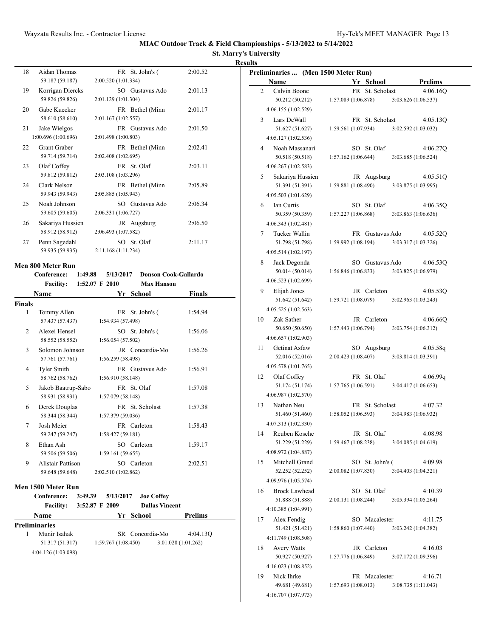### **St. Marry's University Results**

| 18 | Aidan Thomas<br>59.187 (59.187)        | FR St. John's (<br>2:00.520 (1:01.334) | 2:00.52 |
|----|----------------------------------------|----------------------------------------|---------|
| 19 | Korrigan Diercks<br>59.826 (59.826)    | SO Gustavus Ado<br>2:01.129 (1:01.304) | 2:01.13 |
| 20 | Gabe Kuecker<br>58.610 (58.610)        | FR Bethel (Minn<br>2:01.167 (1:02.557) | 2:01.17 |
| 21 | Jake Wielgos<br>1:00.696 (1:00.696)    | FR Gustavus Ado<br>2:01.498 (1:00.803) | 2:01.50 |
| 22 | <b>Grant Graber</b><br>59.714 (59.714) | FR Bethel (Minn<br>2:02.408 (1:02.695) | 2:02.41 |
| 23 | Olaf Coffey<br>59.812 (59.812)         | FR St. Olaf<br>2:03.108 (1:03.296)     | 2:03.11 |
| 24 | Clark Nelson<br>59.943 (59.943)        | FR Bethel (Minn<br>2:05.885 (1:05.943) | 2:05.89 |
| 25 | Noah Johnson<br>59.605 (59.605)        | SO Gustavus Ado<br>2:06.331 (1:06.727) | 2:06.34 |
| 26 | Sakariya Hussien<br>58.912 (58.912)    | JR Augsburg<br>2:06.493 (1:07.582)     | 2:06.50 |
| 27 | Penn Sagedahl<br>59.935 (59.935)       | SO St. Olaf<br>2:11.168 (1:11.234)     | 2:11.17 |

# **Men 800 Meter Run**

| <b>Facility:</b><br>1:52.07 F 2010<br><b>Max Hanson</b><br>Name<br>Yr School<br><b>Finals</b><br>$\mathbf{1}$<br>Tommy Allen<br>FR St. John's (<br>57.437 (57.437)<br>1:54.934 (57.498)<br>Alexei Hensel<br>$\overline{2}$<br>SO St. John's (<br>58.552 (58.552)<br>1:56.054(57.502)<br>3<br>Solomon Johnson<br>JR Concordia-Mo<br>57.761 (57.761)<br>1:56.259 (58.498)<br>Tyler Smith<br>4<br>FR Gustavus Ado<br>58.762 (58.762)<br>1:56.910 (58.148)<br>5<br>FR St. Olaf<br>Jakob Baatrup-Sabo<br>58.931 (58.931)<br>1:57.079 (58.148)<br>Derek Douglas<br>FR St. Scholast<br>6<br>58.344 (58.344)<br>1:57.379 (59.036)<br>7<br>Josh Meier<br>FR Carleton<br>59.247 (59.247)<br>1:58.427(59.181)<br>8<br>Ethan Ash<br>SO Carleton<br>59.506 (59.506)<br>1:59.161(59.655)<br>9<br><b>Alistair Pattison</b><br>SO Carleton<br>59.648 (59.648)<br>2:02.510 (1:02.862)<br>Men 1500 Meter Run<br><b>Conference:</b><br>3:49.39<br>5/13/2017<br><b>Joe Coffey</b><br><b>Dallas Vincent</b><br>3:52.87 F 2009<br><b>Facility:</b><br>Name<br>Yr School<br><b>Prelims</b><br><b>Preliminaries</b><br>1<br>Munir Isahak<br>SR Concordia-Mo<br>4:04.13O<br>51.317 (51.317)<br>1:59.767(1:08.450)<br>3:01.028 (1:01.262)<br>4:04.126 (1:03.098) | Conference: | 1:49.88 |  | 5/13/2017 Donson Cook-Gallardo |               |
|----------------------------------------------------------------------------------------------------------------------------------------------------------------------------------------------------------------------------------------------------------------------------------------------------------------------------------------------------------------------------------------------------------------------------------------------------------------------------------------------------------------------------------------------------------------------------------------------------------------------------------------------------------------------------------------------------------------------------------------------------------------------------------------------------------------------------------------------------------------------------------------------------------------------------------------------------------------------------------------------------------------------------------------------------------------------------------------------------------------------------------------------------------------------------------------------------------------------------------------|-------------|---------|--|--------------------------------|---------------|
|                                                                                                                                                                                                                                                                                                                                                                                                                                                                                                                                                                                                                                                                                                                                                                                                                                                                                                                                                                                                                                                                                                                                                                                                                                        |             |         |  |                                |               |
|                                                                                                                                                                                                                                                                                                                                                                                                                                                                                                                                                                                                                                                                                                                                                                                                                                                                                                                                                                                                                                                                                                                                                                                                                                        |             |         |  |                                | <b>Finals</b> |
|                                                                                                                                                                                                                                                                                                                                                                                                                                                                                                                                                                                                                                                                                                                                                                                                                                                                                                                                                                                                                                                                                                                                                                                                                                        |             |         |  |                                |               |
|                                                                                                                                                                                                                                                                                                                                                                                                                                                                                                                                                                                                                                                                                                                                                                                                                                                                                                                                                                                                                                                                                                                                                                                                                                        |             |         |  |                                | 1:54.94       |
|                                                                                                                                                                                                                                                                                                                                                                                                                                                                                                                                                                                                                                                                                                                                                                                                                                                                                                                                                                                                                                                                                                                                                                                                                                        |             |         |  |                                |               |
|                                                                                                                                                                                                                                                                                                                                                                                                                                                                                                                                                                                                                                                                                                                                                                                                                                                                                                                                                                                                                                                                                                                                                                                                                                        |             |         |  |                                | 1:56.06       |
|                                                                                                                                                                                                                                                                                                                                                                                                                                                                                                                                                                                                                                                                                                                                                                                                                                                                                                                                                                                                                                                                                                                                                                                                                                        |             |         |  |                                |               |
|                                                                                                                                                                                                                                                                                                                                                                                                                                                                                                                                                                                                                                                                                                                                                                                                                                                                                                                                                                                                                                                                                                                                                                                                                                        |             |         |  |                                | 1:56.26       |
|                                                                                                                                                                                                                                                                                                                                                                                                                                                                                                                                                                                                                                                                                                                                                                                                                                                                                                                                                                                                                                                                                                                                                                                                                                        |             |         |  |                                |               |
|                                                                                                                                                                                                                                                                                                                                                                                                                                                                                                                                                                                                                                                                                                                                                                                                                                                                                                                                                                                                                                                                                                                                                                                                                                        |             |         |  |                                | 1:56.91       |
|                                                                                                                                                                                                                                                                                                                                                                                                                                                                                                                                                                                                                                                                                                                                                                                                                                                                                                                                                                                                                                                                                                                                                                                                                                        |             |         |  |                                |               |
|                                                                                                                                                                                                                                                                                                                                                                                                                                                                                                                                                                                                                                                                                                                                                                                                                                                                                                                                                                                                                                                                                                                                                                                                                                        |             |         |  |                                | 1:57.08       |
|                                                                                                                                                                                                                                                                                                                                                                                                                                                                                                                                                                                                                                                                                                                                                                                                                                                                                                                                                                                                                                                                                                                                                                                                                                        |             |         |  |                                |               |
|                                                                                                                                                                                                                                                                                                                                                                                                                                                                                                                                                                                                                                                                                                                                                                                                                                                                                                                                                                                                                                                                                                                                                                                                                                        |             |         |  |                                | 1:57.38       |
|                                                                                                                                                                                                                                                                                                                                                                                                                                                                                                                                                                                                                                                                                                                                                                                                                                                                                                                                                                                                                                                                                                                                                                                                                                        |             |         |  |                                |               |
|                                                                                                                                                                                                                                                                                                                                                                                                                                                                                                                                                                                                                                                                                                                                                                                                                                                                                                                                                                                                                                                                                                                                                                                                                                        |             |         |  |                                | 1:58.43       |
|                                                                                                                                                                                                                                                                                                                                                                                                                                                                                                                                                                                                                                                                                                                                                                                                                                                                                                                                                                                                                                                                                                                                                                                                                                        |             |         |  |                                |               |
|                                                                                                                                                                                                                                                                                                                                                                                                                                                                                                                                                                                                                                                                                                                                                                                                                                                                                                                                                                                                                                                                                                                                                                                                                                        |             |         |  |                                | 1:59.17       |
|                                                                                                                                                                                                                                                                                                                                                                                                                                                                                                                                                                                                                                                                                                                                                                                                                                                                                                                                                                                                                                                                                                                                                                                                                                        |             |         |  |                                |               |
|                                                                                                                                                                                                                                                                                                                                                                                                                                                                                                                                                                                                                                                                                                                                                                                                                                                                                                                                                                                                                                                                                                                                                                                                                                        |             |         |  |                                | 2:02.51       |
|                                                                                                                                                                                                                                                                                                                                                                                                                                                                                                                                                                                                                                                                                                                                                                                                                                                                                                                                                                                                                                                                                                                                                                                                                                        |             |         |  |                                |               |
|                                                                                                                                                                                                                                                                                                                                                                                                                                                                                                                                                                                                                                                                                                                                                                                                                                                                                                                                                                                                                                                                                                                                                                                                                                        |             |         |  |                                |               |
|                                                                                                                                                                                                                                                                                                                                                                                                                                                                                                                                                                                                                                                                                                                                                                                                                                                                                                                                                                                                                                                                                                                                                                                                                                        |             |         |  |                                |               |
|                                                                                                                                                                                                                                                                                                                                                                                                                                                                                                                                                                                                                                                                                                                                                                                                                                                                                                                                                                                                                                                                                                                                                                                                                                        |             |         |  |                                |               |
|                                                                                                                                                                                                                                                                                                                                                                                                                                                                                                                                                                                                                                                                                                                                                                                                                                                                                                                                                                                                                                                                                                                                                                                                                                        |             |         |  |                                |               |
|                                                                                                                                                                                                                                                                                                                                                                                                                                                                                                                                                                                                                                                                                                                                                                                                                                                                                                                                                                                                                                                                                                                                                                                                                                        |             |         |  |                                |               |
|                                                                                                                                                                                                                                                                                                                                                                                                                                                                                                                                                                                                                                                                                                                                                                                                                                                                                                                                                                                                                                                                                                                                                                                                                                        |             |         |  |                                |               |
|                                                                                                                                                                                                                                                                                                                                                                                                                                                                                                                                                                                                                                                                                                                                                                                                                                                                                                                                                                                                                                                                                                                                                                                                                                        |             |         |  |                                |               |
|                                                                                                                                                                                                                                                                                                                                                                                                                                                                                                                                                                                                                                                                                                                                                                                                                                                                                                                                                                                                                                                                                                                                                                                                                                        |             |         |  |                                |               |
|                                                                                                                                                                                                                                                                                                                                                                                                                                                                                                                                                                                                                                                                                                                                                                                                                                                                                                                                                                                                                                                                                                                                                                                                                                        |             |         |  |                                |               |
|                                                                                                                                                                                                                                                                                                                                                                                                                                                                                                                                                                                                                                                                                                                                                                                                                                                                                                                                                                                                                                                                                                                                                                                                                                        |             |         |  |                                |               |

| Preliminaries  (Men 1500 Meter Run) |                                         |                     |                 |                                 |  |  |  |  |
|-------------------------------------|-----------------------------------------|---------------------|-----------------|---------------------------------|--|--|--|--|
|                                     | Name                                    |                     | Yr School       | <b>Prelims</b>                  |  |  |  |  |
| 2                                   | Calvin Boone                            |                     | FR St. Scholast | 4:06.16Q                        |  |  |  |  |
|                                     | 50.212 (50.212)                         | 1:57.089(1:06.878)  |                 | 3:03.626 (1:06.537)             |  |  |  |  |
|                                     | 4:06.155 (1:02.529)                     |                     |                 |                                 |  |  |  |  |
| 3                                   | Lars DeWall                             |                     | FR St. Scholast | 4:05.13Q                        |  |  |  |  |
|                                     | 51.627 (51.627)                         | 1:59.561(1:07.934)  |                 | 3:02.592 (1:03.032)             |  |  |  |  |
|                                     | 4:05.127 (1:02.536)                     |                     |                 |                                 |  |  |  |  |
| 4                                   | Noah Massanari                          |                     | SO St. Olaf     | 4:06.270                        |  |  |  |  |
|                                     | 50.518 (50.518)                         | 1:57.162(1:06.644)  |                 | 3:03.685 (1:06.524)             |  |  |  |  |
| 5                                   | 4:06.267 (1:02.583)<br>Sakariya Hussien |                     | JR Augsburg     | 4:05.51Q                        |  |  |  |  |
|                                     | 51.391 (51.391)                         | 1:59.881(1:08.490)  |                 | 3:03.875 (1:03.995)             |  |  |  |  |
|                                     | 4:05.503 (1:01.629)                     |                     |                 |                                 |  |  |  |  |
| 6                                   | Ian Curtis                              |                     | SO St. Olaf     | 4:06.35Q                        |  |  |  |  |
|                                     | 50.359 (50.359)                         | 1:57.227(1:06.868)  |                 | 3:03.863 (1:06.636)             |  |  |  |  |
|                                     | 4:06.343 (1:02.481)                     |                     |                 |                                 |  |  |  |  |
| 7                                   | Tucker Wallin                           |                     | FR Gustavus Ado | 4:05.52Q                        |  |  |  |  |
|                                     | 51.798 (51.798)                         | 1:59.992(1:08.194)  |                 | 3:03.317 (1:03.326)             |  |  |  |  |
|                                     | 4:05.514 (1:02.197)                     |                     |                 |                                 |  |  |  |  |
| 8                                   | Jack Degonda                            |                     | SO Gustavus Ado | 4:06.53Q                        |  |  |  |  |
|                                     | 50.014 (50.014)                         | 1:56.846(1:06.833)  |                 | 3:03.825 (1:06.979)             |  |  |  |  |
|                                     | 4:06.523 (1:02.699)                     |                     |                 |                                 |  |  |  |  |
| 9                                   | Elijah Jones                            |                     | JR Carleton     | 4:05.53Q                        |  |  |  |  |
|                                     | 51.642 (51.642)                         | 1:59.721(1:08.079)  |                 | 3:02.963(1:03.243)              |  |  |  |  |
| 10                                  | 4:05.525(1:02.563)<br>Zak Sather        |                     | JR Carleton     |                                 |  |  |  |  |
|                                     | 50.650 (50.650)                         | 1:57.443(1:06.794)  |                 | 4:06.66Q<br>3:03.754 (1:06.312) |  |  |  |  |
|                                     | 4:06.657 (1:02.903)                     |                     |                 |                                 |  |  |  |  |
| 11                                  | Getinat Asfaw                           |                     | SO Augsburg     | 4:05.58q                        |  |  |  |  |
|                                     | 52.016 (52.016)                         | 2:00.423(1:08.407)  |                 | 3:03.814 (1:03.391)             |  |  |  |  |
|                                     | 4:05.578 (1:01.765)                     |                     |                 |                                 |  |  |  |  |
| 12                                  | Olaf Coffey                             |                     | FR St. Olaf     | 4:06.99q                        |  |  |  |  |
|                                     | 51.174 (51.174)                         | 1:57.765(1:06.591)  |                 | 3:04.417(1:06.653)              |  |  |  |  |
|                                     | 4:06.987 (1:02.570)                     |                     |                 |                                 |  |  |  |  |
| 13                                  | Nathan Neu                              |                     | FR St. Scholast | 4:07.32                         |  |  |  |  |
|                                     | 51.460 (51.460)                         | 1:58.052(1:06.593)  |                 | 3:04.983 (1:06.932)             |  |  |  |  |
|                                     | 4:07.313 (1:02.330)<br>Reuben Kosche    |                     |                 |                                 |  |  |  |  |
| 14                                  | 51.229 (51.229)                         | 1:59.467(1:08.238)  | JR St. Olaf     | 4:08.98<br>3:04.085 (1:04.619)  |  |  |  |  |
|                                     | 4:08.972 (1:04.887)                     |                     |                 |                                 |  |  |  |  |
| 15                                  | Mitchell Grand                          |                     | SO St. John's ( | 4:09.98                         |  |  |  |  |
|                                     | 52.252 (52.252)                         | 2:00.082 (1:07.830) |                 | 3:04.403(1:04.321)              |  |  |  |  |
|                                     | 4:09.976 (1:05.574)                     |                     |                 |                                 |  |  |  |  |
| 16                                  | <b>Brock Lawhead</b>                    |                     | SO St. Olaf     | 4:10.39                         |  |  |  |  |
|                                     | 51.888 (51.888)                         | 2:00.131 (1:08.244) |                 | 3:05.394(1:05.264)              |  |  |  |  |
|                                     | 4:10.385 (1:04.991)                     |                     |                 |                                 |  |  |  |  |
| 17                                  | Alex Fendig                             |                     | SO Macalester   | 4:11.75                         |  |  |  |  |
|                                     | 51.421 (51.421)                         | 1:58.860 (1:07.440) |                 | 3:03.242 (1:04.382)             |  |  |  |  |
|                                     | 4:11.749 (1:08.508)                     |                     |                 |                                 |  |  |  |  |
| 18                                  | <b>Avery Watts</b><br>50.927 (50.927)   | 1:57.776(1:06.849)  | JR Carleton     | 4:16.03<br>3:07.172 (1:09.396)  |  |  |  |  |
|                                     | 4:16.023 (1:08.852)                     |                     |                 |                                 |  |  |  |  |
| 19                                  | Nick Ihrke                              |                     | FR Macalester   | 4:16.71                         |  |  |  |  |
|                                     | 49.681 (49.681)                         | 1:57.693(1:08.013)  |                 | 3:08.735(1:11.043)              |  |  |  |  |
|                                     | 4:16.707 (1:07.973)                     |                     |                 |                                 |  |  |  |  |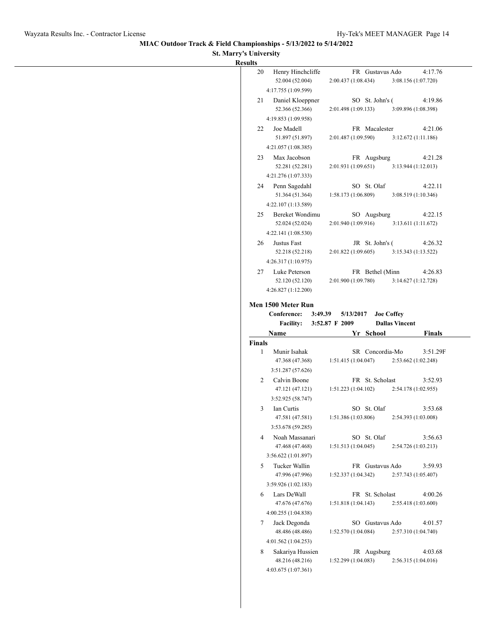$\overline{\phantom{0}}$ 

## **MIAC Outdoor Track & Field Championships - 5/13/2022 to 5/14/2022**

### **St. Marry's University**

|            | 52.004 (52.004)                                            | Henry Hinchcliffe |                | 2:00.437 (1:08.434) | FR Gustavus Ado |                   |                       | 4:17.76<br>3:08.156 (1:07.720)  |
|------------|------------------------------------------------------------|-------------------|----------------|---------------------|-----------------|-------------------|-----------------------|---------------------------------|
|            | 4:17.755 (1:09.599)                                        |                   |                |                     |                 |                   |                       |                                 |
|            | 52.366 (52.366)                                            | Daniel Kloeppner  |                | 2:01.498 (1:09.133) | SO St. John's ( |                   |                       | 4:19.86<br>3:09.896 (1:08.398)  |
|            | 4:19.853 (1:09.958)                                        |                   |                |                     |                 |                   |                       |                                 |
|            | Joe Madell<br>51.897 (51.897)                              |                   |                | 2:01.487 (1:09.590) | FR Macalester   |                   |                       | 4:21.06<br>3:12.672(1:11.186)   |
|            | 4:21.057 (1:08.385)                                        |                   |                |                     |                 |                   |                       |                                 |
|            | Max Jacobson<br>52.281 (52.281)                            |                   |                | 2:01.931(1:09.651)  | FR Augsburg     |                   |                       | 4:21.28<br>3:13.944(1:12.013)   |
|            | 4:21.276 (1:07.333)                                        |                   |                |                     |                 |                   |                       |                                 |
|            | 24 Penn Sagedahl<br>51.364 (51.364)                        |                   |                | 1:58.173(1:06.809)  | SO St. Olaf     |                   |                       | 4:22.11<br>3:08.519 (1:10.346)  |
|            | 4:22.107 (1:13.589)                                        |                   |                |                     |                 |                   |                       |                                 |
|            | 52.024 (52.024)<br>4:22.141 (1:08.530)                     | Bereket Wondimu   |                | 2:01.940(1:09.916)  | SO Augsburg     |                   |                       | 4:22.15<br>3:13.611(1:11.672)   |
|            | Justus Fast                                                |                   |                |                     | JR St. John's ( |                   |                       | 4:26.32                         |
|            | 52.218 (52.218)<br>4:26.317 (1:10.975)                     |                   |                | 2:01.822(1:09.605)  |                 |                   |                       | 3:15.343 (1:13.522)             |
|            | Luke Peterson                                              |                   |                |                     | FR Bethel (Minn |                   |                       | 4:26.83                         |
|            | 52.120 (52.120)<br>4:26.827 (1:12.200)                     |                   |                | 2:01.900(1:09.780)  |                 |                   |                       | 3:14.627(1:12.728)              |
|            | Men 1500 Meter Run                                         |                   |                |                     |                 |                   |                       |                                 |
|            | Conference:<br><b>Facility:</b>                            | 3:49.39           | 3:52.87 F 2009 | 5/13/2017           |                 | <b>Joe Coffey</b> | <b>Dallas Vincent</b> |                                 |
| Name       |                                                            |                   |                |                     | Yr School       |                   |                       | <b>Finals</b>                   |
|            | Munir Isahak<br>47.368 (47.368)                            |                   |                | 1:51.415(1:04.047)  | SR Concordia-Mo |                   |                       | 3:51.29F<br>2:53.662 (1:02.248) |
|            | 3:51.287 (57.626)                                          |                   |                |                     |                 |                   |                       |                                 |
|            | Calvin Boone<br>47.121 (47.121)                            |                   |                | 1:51.223(1:04.102)  | FR St. Scholast |                   |                       | 3:52.93<br>2:54.178 (1:02.955)  |
|            | 3:52.925 (58.747)                                          |                   |                |                     |                 |                   |                       |                                 |
| Ian Curtis | 47.581 (47.581)                                            |                   |                | 1:51.386 (1:03.806) | SO St. Olaf     |                   |                       | 3:53.68<br>2:54.393 (1:03.008)  |
|            | 3:53.678 (59.285)<br>Noah Massanari                        |                   |                |                     | SO St. Olaf     |                   |                       | 3:56.63                         |
|            | 47.468 (47.468)                                            |                   |                | 1:51.513 (1:04.045) |                 |                   |                       | 2:54.726 (1:03.213)             |
|            | 3:56.622 (1:01.897)<br>Tucker Wallin                       |                   |                |                     | FR Gustavus Ado |                   |                       | 3:59.93                         |
|            | 47.996 (47.996)<br>3:59.926 (1:02.183)                     |                   |                | 1:52.337 (1:04.342) |                 |                   |                       | 2:57.743 (1:05.407)             |
|            |                                                            |                   |                |                     |                 |                   |                       |                                 |
|            | Lars DeWall<br>47.676 (47.676)                             |                   |                | 1:51.818 (1:04.143) | FR St. Scholast |                   |                       | 4:00.26<br>2:55.418 (1:03.600)  |
|            | 4:00.255 (1:04.838)                                        |                   |                |                     |                 |                   |                       |                                 |
|            | Jack Degonda<br>48.486 (48.486)                            |                   |                | 1:52.570 (1:04.084) | SO Gustavus Ado |                   |                       | 4:01.57<br>2:57.310 (1:04.740)  |
|            | 4:01.562 (1:04.253)<br>Sakariya Hussien<br>48.216 (48.216) |                   |                | 1:52.299 (1:04.083) | JR Augsburg     |                   |                       | 4:03.68<br>2:56.315(1:04.016)   |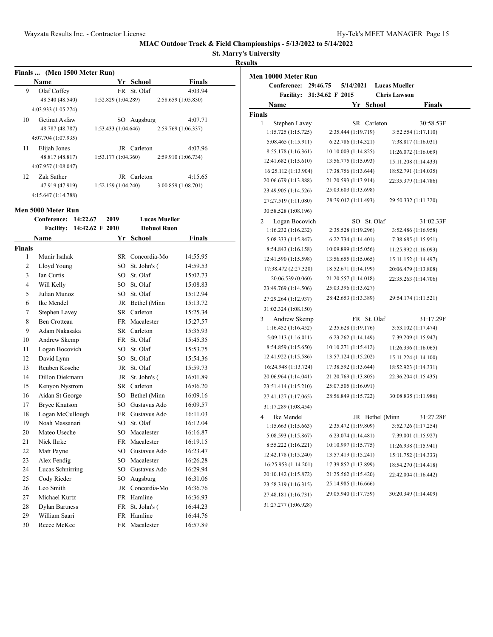**St. Marry's University**

**Results**

| Finals  (Men 1500 Meter Run) |                     |                    |  |             |                     |  |  |  |
|------------------------------|---------------------|--------------------|--|-------------|---------------------|--|--|--|
|                              | Name                |                    |  | Yr School   | <b>Finals</b>       |  |  |  |
| 9                            | Olaf Coffey         |                    |  | FR St. Olaf | 4:03.94             |  |  |  |
|                              | 48.540 (48.540)     | 1:52.829(1:04.289) |  |             | 2:58.659 (1:05.830) |  |  |  |
|                              | 4:03.933 (1:05.274) |                    |  |             |                     |  |  |  |
| 10                           | Getinat Asfaw       |                    |  | SO Augsburg | 4:07.71             |  |  |  |
|                              | 48.787 (48.787)     | 1:53.433(1:04.646) |  |             | 2:59.769 (1:06.337) |  |  |  |
|                              | 4:07.704 (1:07.935) |                    |  |             |                     |  |  |  |
| 11                           | Elijah Jones        |                    |  | JR Carleton | 4:07.96             |  |  |  |
|                              | 48.817 (48.817)     | 1:53.177(1:04.360) |  |             | 2:59.910 (1:06.734) |  |  |  |
|                              | 4:07.957(1:08.047)  |                    |  |             |                     |  |  |  |
| 12                           | Zak Sather          |                    |  | JR Carleton | 4:15.65             |  |  |  |
|                              | 47.919 (47.919)     | 1:52.159(1:04.240) |  |             | 3:00.859 (1:08.701) |  |  |  |
|                              | 4:15.647 (1:14.788) |                    |  |             |                     |  |  |  |

### **Men 5000 Meter Run**

|                | 14:22.67<br>Conference:<br>2019 |                 |           | <b>Lucas Mueller</b> |               |  |
|----------------|---------------------------------|-----------------|-----------|----------------------|---------------|--|
|                | <b>Facility:</b>                | 14:42.62 F 2010 |           | Dobuoi Ruon          |               |  |
|                | <b>Name</b>                     |                 | Yr        | <b>School</b>        | <b>Finals</b> |  |
| <b>Finals</b>  |                                 |                 |           |                      |               |  |
| 1              | Munir Isahak                    |                 |           | SR Concordia-Mo      | 14:55.95      |  |
| $\overline{c}$ | Lloyd Young                     |                 | SO        | St. John's (         | 14:59.53      |  |
| 3              | Ian Curtis                      |                 | $SO^-$    | St. Olaf             | 15:02.73      |  |
| $\overline{4}$ | Will Kelly                      |                 | $SO^-$    | St. Olaf             | 15:08.83      |  |
| 5              | Julian Munoz                    |                 | $SO^-$    | St. Olaf             | 15:12.94      |  |
| 6              | Ike Mendel                      |                 |           | JR Bethel (Minn      | 15:13.72      |  |
| 7              | Stephen Lavey                   |                 |           | SR Carleton          | 15:25.34      |  |
| 8              | <b>Ben Crotteau</b>             |                 |           | FR Macalester        | 15:27.57      |  |
| 9              | Adam Nakasaka                   |                 |           | SR Carleton          | 15:35.93      |  |
| 10             | Andrew Skemp                    |                 | <b>FR</b> | St. Olaf             | 15:45.35      |  |
| 11             | Logan Bocovich                  |                 | SO        | St. Olaf             | 15:53.75      |  |
| 12             | David Lynn                      |                 |           | SO St. Olaf          | 15:54.36      |  |
| 13             | Reuben Kosche                   |                 |           | JR St. Olaf          | 15:59.73      |  |
| 14             | Dillon Diekmann                 |                 | JR        | St. John's (         | 16:01.89      |  |
| 15             | Kenyon Nystrom                  |                 | SR        | Carleton             | 16:06.20      |  |
| 16             | Aidan St George                 |                 |           | SO Bethel (Minn      | 16:09.16      |  |
| 17             | <b>Bryce Knutson</b>            |                 |           | SO Gustavus Ado      | 16:09.57      |  |
| 18             | Logan McCullough                |                 |           | FR Gustavus Ado      | 16:11.03      |  |
| 19             | Noah Massanari                  |                 | $SO^-$    | St. Olaf             | 16:12.04      |  |
| 20             | Mateo Useche                    |                 |           | SO Macalester        | 16:16.87      |  |
| 21             | Nick Ihrke                      |                 |           | FR Macalester        | 16:19.15      |  |
| 22             | Matt Payne                      |                 |           | SO Gustavus Ado      | 16:23.47      |  |
| 23             | Alex Fendig                     |                 |           | SO Macalester        | 16:26.28      |  |
| 24             | Lucas Schnirring                |                 |           | SO Gustavus Ado      | 16:29.94      |  |
| 25             | Cody Rieder                     |                 | SO        | Augsburg             | 16:31.06      |  |
| 26             | Leo Smith                       |                 |           | JR Concordia-Mo      | 16:36.76      |  |
| 27             | Michael Kurtz                   |                 |           | FR Hamline           | 16:36.93      |  |
| 28             | <b>Dylan Bartness</b>           |                 | FR        | St. John's (         | 16:44.23      |  |
| 29             | William Saari                   |                 | FR        | Hamline              | 16:44.76      |  |
| 30             | Reece McKee                     |                 |           | FR Macalester        | 16:57.89      |  |

| Men 10000 Meter Run  |                 |                      |           |             |                 |                      |               |
|----------------------|-----------------|----------------------|-----------|-------------|-----------------|----------------------|---------------|
| Conference:          | 29:46.75        |                      | 5/14/2021 |             |                 | <b>Lucas Mueller</b> |               |
| <b>Facility:</b>     | 31:34.62 F 2015 |                      |           |             |                 | <b>Chris Lawson</b>  |               |
| Name                 |                 |                      | Yr        |             | <b>School</b>   |                      | <b>Finals</b> |
| <b>Finals</b>        |                 |                      |           |             |                 |                      |               |
| 1<br>Stephen Lavey   |                 |                      |           |             | SR Carleton     |                      | 30:58.53F     |
| 1:15.725(1:15.725)   |                 | 2:35.444 (1:19.719)  |           |             |                 | 3:52.554 (1:17.110)  |               |
| 5:08.465 (1:15.911)  |                 | 6:22.786 (1:14.321)  |           |             |                 | 7:38.817 (1:16.031)  |               |
| 8:55.178 (1:16.361)  |                 | 10:10.003 (1:14.825) |           |             |                 | 11:26.072 (1:16.069) |               |
| 12:41.682 (1:15.610) |                 | 13:56.775 (1:15.093) |           |             |                 | 15:11.208 (1:14.433) |               |
| 16:25.112 (1:13.904) |                 | 17:38.756 (1:13.644) |           |             |                 | 18:52.791 (1:14.035) |               |
| 20:06.679 (1:13.888) |                 | 21:20.593 (1:13.914) |           |             |                 | 22:35.379 (1:14.786) |               |
| 23:49.905 (1:14.526) |                 | 25:03.603 (1:13.698) |           |             |                 |                      |               |
| 27:27.519 (1:11.080) |                 | 28:39.012 (1:11.493) |           |             |                 | 29:50.332 (1:11.320) |               |
| 30:58.528 (1:08.196) |                 |                      |           |             |                 |                      |               |
| Logan Bocovich<br>2  |                 |                      |           | SO St. Olaf |                 |                      | 31:02.33F     |
| 1:16.232 (1:16.232)  |                 | 2:35.528 (1:19.296)  |           |             |                 | 3:52.486 (1:16.958)  |               |
| 5:08.333 (1:15.847)  |                 | 6:22.734(1:14.401)   |           |             |                 | 7:38.685 (1:15.951)  |               |
| 8:54.843 (1:16.158)  |                 | 10:09.899 (1:15.056) |           |             |                 | 11:25.992 (1:16.093) |               |
| 12:41.590 (1:15.598) |                 | 13:56.655 (1:15.065) |           |             |                 | 15:11.152 (1:14.497) |               |
| 17:38.472 (2:27.320) |                 | 18:52.671 (1:14.199) |           |             |                 | 20:06.479 (1:13.808) |               |
| 20:06.539 (0.060)    |                 | 21:20.557 (1:14.018) |           |             |                 | 22:35.263 (1:14.706) |               |
| 23:49.769 (1:14.506) |                 | 25:03.396 (1:13.627) |           |             |                 |                      |               |
| 27:29.264 (1:12.937) |                 | 28:42.653 (1:13.389) |           |             |                 | 29:54.174 (1:11.521) |               |
| 31:02.324 (1:08.150) |                 |                      |           |             |                 |                      |               |
| Andrew Skemp<br>3    |                 |                      |           | FR St. Olaf |                 |                      | 31:17.29F     |
| 1:16.452(1:16.452)   |                 | 2:35.628 (1:19.176)  |           |             |                 | 3:53.102 (1:17.474)  |               |
| 5:09.113 (1:16.011)  |                 | 6:23.262 (1:14.149)  |           |             |                 | 7:39.209 (1:15.947)  |               |
| 8:54.859 (1:15.650)  |                 | 10:10.271 (1:15.412) |           |             |                 | 11:26.336(1:16.065)  |               |
| 12:41.922 (1:15.586) |                 | 13:57.124 (1:15.202) |           |             |                 | 15:11.224 (1:14.100) |               |
| 16:24.948 (1:13.724) |                 | 17:38.592 (1:13.644) |           |             |                 | 18:52.923 (1:14.331) |               |
| 20:06.964 (1:14.041) |                 | 21:20.769 (1:13.805) |           |             |                 | 22:36.204 (1:15.435) |               |
| 23:51.414 (1:15.210) |                 | 25:07.505 (1:16.091) |           |             |                 |                      |               |
| 27:41.127 (1:17.065) |                 | 28:56.849 (1:15.722) |           |             |                 | 30:08.835 (1:11.986) |               |
| 31:17.289 (1:08.454) |                 |                      |           |             |                 |                      |               |
| 4<br>Ike Mendel      |                 |                      |           |             | JR Bethel (Minn |                      | 31:27.28F     |
| 1:15.663(1:15.663)   |                 | 2:35.472 (1:19.809)  |           |             |                 | 3:52.726 (1:17.254)  |               |
| 5:08.593 (1:15.867)  |                 | 6:23.074(1:14.481)   |           |             |                 | 7:39.001 (1:15.927)  |               |
| 8:55.222 (1:16.221)  |                 | 10:10.997 (1:15.775) |           |             |                 | 11:26.938 (1:15.941) |               |
| 12:42.178 (1:15.240) |                 | 13:57.419 (1:15.241) |           |             |                 | 15:11.752 (1:14.333) |               |
| 16:25.953 (1:14.201) |                 | 17:39.852 (1:13.899) |           |             |                 | 18:54.270 (1:14.418) |               |
| 20:10.142 (1:15.872) |                 | 21:25.562 (1:15.420) |           |             |                 | 22:42.004 (1:16.442) |               |
| 23:58.319 (1:16.315) |                 | 25:14.985 (1:16.666) |           |             |                 |                      |               |
| 27:48.181 (1:16.731) |                 | 29:05.940 (1:17.759) |           |             |                 | 30:20.349 (1:14.409) |               |
| 31:27.277 (1:06.928) |                 |                      |           |             |                 |                      |               |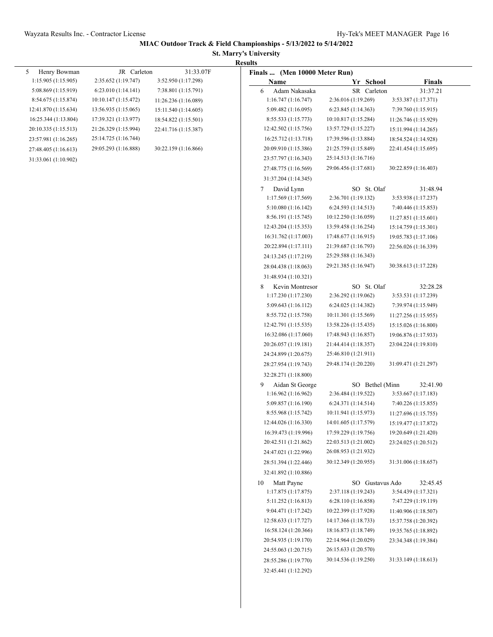### **St. Marry's University Results**

| 5<br>Henry Bowman    | JR Carleton          | 31:33.07F            | Finals  (Men 10000 Meter Run)                |                      |                      |
|----------------------|----------------------|----------------------|----------------------------------------------|----------------------|----------------------|
| 1:15.905(1:15.905)   | 2:35.652 (1:19.747)  | 3:52.950 (1:17.298)  | Name                                         | Yr School            | <b>Finals</b>        |
| 5:08.869 (1:15.919)  | 6:23.010(1:14.141)   | 7:38.801 (1:15.791)  | Adam Nakasaka<br>6                           | SR Carleton          | 31:37.21             |
| 8:54.675 (1:15.874)  | 10:10.147 (1:15.472) | 11:26.236 (1:16.089) | 1:16.747(1:16.747)                           | 2:36.016 (1:19.269)  | 3:53.387 (1:17.371)  |
| 12:41.870 (1:15.634) | 13:56.935 (1:15.065) | 15:11.540 (1:14.605) | 5:09.482 (1:16.095)                          | 6:23.845(1:14.363)   | 7:39.760 (1:15.915)  |
| 16:25.344 (1:13.804) | 17:39.321 (1:13.977) | 18:54.822 (1:15.501) | 8:55.533 (1:15.773)                          | 10:10.817 (1:15.284) | 11:26.746 (1:15.929) |
| 20:10.335 (1:15.513) | 21:26.329 (1:15.994) | 22:41.716 (1:15.387) | 12:42.502 (1:15.756)                         | 13:57.729 (1:15.227) | 15:11.994 (1:14.265) |
| 23:57.981 (1:16.265) | 25:14.725 (1:16.744) |                      | 16:25.712 (1:13.718)                         | 17:39.596 (1:13.884) | 18:54.524 (1:14.928) |
| 27:48.405 (1:16.613) | 29:05.293 (1:16.888) | 30:22.159 (1:16.866) | 20:09.910 (1:15.386)                         | 21:25.759 (1:15.849) | 22:41.454 (1:15.695) |
| 31:33.061 (1:10.902) |                      |                      | 23:57.797 (1:16.343)                         | 25:14.513 (1:16.716) |                      |
|                      |                      |                      | 27:48.775 (1:16.569)                         | 29:06.456 (1:17.681) | 30:22.859 (1:16.403) |
|                      |                      |                      | 31:37.204 (1:14.345)                         |                      |                      |
|                      |                      |                      | David Lynn<br>7                              | SO St. Olaf          | 31:48.94             |
|                      |                      |                      | 1:17.569(1:17.569)                           | 2:36.701 (1:19.132)  | 3:53.938 (1:17.237)  |
|                      |                      |                      | 5:10.080 (1:16.142)                          | 6:24.593(1:14.513)   | 7:40.446 (1:15.853)  |
|                      |                      |                      | 8:56.191 (1:15.745)                          | 10:12.250 (1:16.059) | 11:27.851 (1:15.601) |
|                      |                      |                      | 12:43.204 (1:15.353)                         | 13:59.458 (1:16.254) | 15:14.759 (1:15.301) |
|                      |                      |                      | 16:31.762 (1:17.003)                         | 17:48.677 (1:16.915) | 19:05.783 (1:17.106) |
|                      |                      |                      | 20:22.894 (1:17.111)                         | 21:39.687 (1:16.793) | 22:56.026 (1:16.339) |
|                      |                      |                      | 24:13.245 (1:17.219)                         | 25:29.588 (1:16.343) |                      |
|                      |                      |                      | 28:04.438 (1:18.063)                         | 29:21.385 (1:16.947) | 30:38.613 (1:17.228) |
|                      |                      |                      | 31:48.934 (1:10.321)                         |                      |                      |
|                      |                      |                      | 8<br>Kevin Montresor                         | SO St. Olaf          | 32:28.28             |
|                      |                      |                      | 1:17.230(1:17.230)                           | 2:36.292 (1:19.062)  | 3:53.531 (1:17.239)  |
|                      |                      |                      | 5:09.643 (1:16.112)                          | 6:24.025(1:14.382)   | 7:39.974 (1:15.949)  |
|                      |                      |                      | 8:55.732 (1:15.758)                          | 10:11.301 (1:15.569) | 11:27.256(1:15.955)  |
|                      |                      |                      | 12:42.791 (1:15.535)                         | 13:58.226 (1:15.435) | 15:15.026 (1:16.800) |
|                      |                      |                      | 16:32.086 (1:17.060)                         | 17:48.943 (1:16.857) | 19:06.876 (1:17.933) |
|                      |                      |                      | 20:26.057 (1:19.181)                         | 21:44.414 (1:18.357) | 23:04.224 (1:19.810) |
|                      |                      |                      | 24:24.899 (1:20.675)                         | 25:46.810 (1:21.911) |                      |
|                      |                      |                      | 28:27.954 (1:19.743)                         | 29:48.174 (1:20.220) | 31:09.471 (1:21.297) |
|                      |                      |                      | 32:28.271 (1:18.800)                         |                      |                      |
|                      |                      |                      | 9<br>Aidan St George                         | SO Bethel (Minn      | 32:41.90             |
|                      |                      |                      | 1:16.962(1:16.962)                           | 2:36.484 (1:19.522)  | 3:53.667 (1:17.183)  |
|                      |                      |                      | 5:09.857 (1:16.190)                          | 6:24.371 (1:14.514)  | 7:40.226 (1:15.855)  |
|                      |                      |                      | 8:55.968 (1:15.742)                          | 10:11.941 (1:15.973) | 11:27.696 (1:15.755) |
|                      |                      |                      | 12:44.026 (1:16.330)                         | 14:01.605 (1:17.579) | 15:19.477 (1:17.872) |
|                      |                      |                      | 16:39.473 (1:19.996)                         | 17:59.229 (1:19.756) | 19:20.649 (1:21.420) |
|                      |                      |                      | 20:42.511 (1:21.862)                         | 22:03.513 (1:21.002) | 23:24.025 (1:20.512) |
|                      |                      |                      | 24:47.021 (1:22.996)                         | 26:08.953 (1:21.932) |                      |
|                      |                      |                      | 28:51.394 (1:22.446)                         | 30:12.349 (1:20.955) | 31:31.006 (1:18.657) |
|                      |                      |                      | 32:41.892 (1:10.886)                         |                      |                      |
|                      |                      |                      | 10<br>Matt Payne                             | SO Gustavus Ado      | 32:45.45             |
|                      |                      |                      | 1:17.875(1:17.875)                           | 2:37.118 (1:19.243)  | 3:54.439 (1:17.321)  |
|                      |                      |                      | 5:11.252 (1:16.813)                          | 6:28.110(1:16.858)   | 7:47.229 (1:19.119)  |
|                      |                      |                      | 9:04.471 (1:17.242)                          | 10:22.399 (1:17.928) | 11:40.906 (1:18.507) |
|                      |                      |                      | 12:58.633 (1:17.727)                         | 14:17.366 (1:18.733) | 15:37.758 (1:20.392) |
|                      |                      |                      | 16:58.124 (1:20.366)                         | 18:16.873 (1:18.749) | 19:35.765 (1:18.892) |
|                      |                      |                      | 20:54.935 (1:19.170)                         | 22:14.964 (1:20.029) | 23:34.348 (1:19.384) |
|                      |                      |                      |                                              |                      |                      |
|                      |                      |                      |                                              |                      |                      |
|                      |                      |                      | 24:55.063 (1:20.715)                         | 26:15.633 (1:20.570) |                      |
|                      |                      |                      | 28:55.286 (1:19.770)<br>32:45.441 (1:12.292) | 30:14.536 (1:19.250) | 31:33.149 (1:18.613) |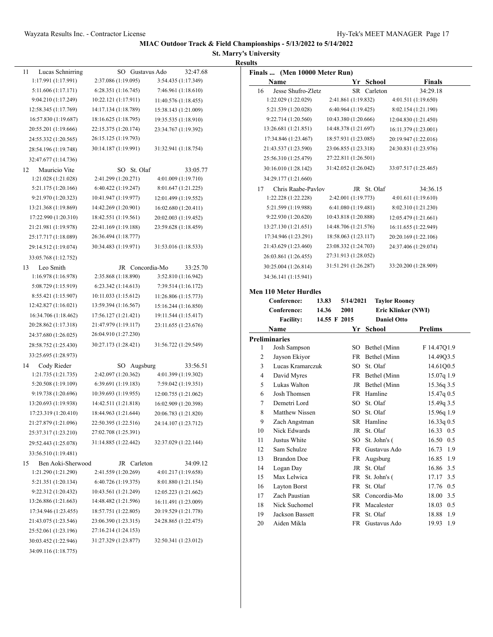## **St. Marry's University**

|                         |                      |                      | <b>Results</b>                |                      |                                              |
|-------------------------|----------------------|----------------------|-------------------------------|----------------------|----------------------------------------------|
| 11<br>Lucas Schnirring  | SO Gustavus Ado      | 32:47.68             | Finals  (Men 10000 Meter Run) |                      |                                              |
| 1:17.991 (1:17.991)     | 2:37.086 (1:19.095)  | 3:54.435 (1:17.349)  | Name                          | Yr School            | <b>Finals</b>                                |
| 5:11.606 (1:17.171)     | 6:28.351(1:16.745)   | 7:46.961 (1:18.610)  | 16<br>Jesse Shufro-Zletz      | SR Carleton          | 34:29.18                                     |
| 9:04.210 (1:17.249)     | 10:22.121 (1:17.911) | 11:40.576 (1:18.455) | 1:22.029 (1:22.029)           | 2:41.861 (1:19.832)  | 4:01.511(1:19.650)                           |
| 12:58.345 (1:17.769)    | 14:17.134 (1:18.789) | 15:38.143 (1:21.009) | 5:21.539 (1:20.028)           | 6:40.964 (1:19.425)  | 8:02.154 (1:21.190)                          |
| 16:57.830 (1:19.687)    | 18:16.625 (1:18.795) | 19:35.535 (1:18.910) | 9:22.714 (1:20.560)           | 10:43.380 (1:20.666) | 12:04.830 (1:21.450)                         |
| 20:55.201 (1:19.666)    | 22:15.375 (1:20.174) | 23:34.767 (1:19.392) | 13:26.681 (1:21.851)          | 14:48.378 (1:21.697) | 16:11.379 (1:23.001)                         |
| 24:55.332 (1:20.565)    | 26:15.125 (1:19.793) |                      | 17:34.846 (1:23.467)          | 18:57.931 (1:23.085) | 20:19.947 (1:22.016)                         |
| 28:54.196 (1:19.748)    | 30:14.187 (1:19.991) | 31:32.941 (1:18.754) | 21:43.537 (1:23.590)          | 23:06.855 (1:23.318) | 24:30.831 (1:23.976)                         |
| 32:47.677 (1:14.736)    |                      |                      | 25:56.310 (1:25.479)          | 27:22.811 (1:26.501) |                                              |
| Mauricio Vite<br>12     | SO St. Olaf          | 33:05.77             | 30:16.010 (1:28.142)          | 31:42.052 (1:26.042) | 33:07.517 (1:25.465)                         |
| 1:21.028 (1:21.028)     | 2:41.299 (1:20.271)  | 4:01.009 (1:19.710)  | 34:29.177 (1:21.660)          |                      |                                              |
| 5:21.175 (1:20.166)     | 6:40.422 (1:19.247)  | 8:01.647 (1:21.225)  | 17<br>Chris Raabe-Pavlov      | JR St. Olaf          | 34:36.15                                     |
| 9:21.970 (1:20.323)     | 10:41.947 (1:19.977) | 12:01.499 (1:19.552) | 1:22.228 (1:22.228)           | 2:42.001 (1:19.773)  | 4:01.611 (1:19.610)                          |
| 13:21.368 (1:19.869)    | 14:42.269 (1:20.901) | 16:02.680 (1:20.411) | 5:21.599 (1:19.988)           | 6:41.080 (1:19.481)  | 8:02.310 (1:21.230)                          |
| 17:22.990 (1:20.310)    | 18:42.551 (1:19.561) | 20:02.003 (1:19.452) | 9:22.930 (1:20.620)           | 10:43.818 (1:20.888) | 12:05.479 (1:21.661)                         |
| 21:21.981 (1:19.978)    | 22:41.169 (1:19.188) |                      | 13:27.130 (1:21.651)          | 14:48.706 (1:21.576) |                                              |
| 25:17.717 (1:18.089)    | 26:36.494 (1:18.777) | 23:59.628 (1:18.459) | 17:34.946 (1:23.291)          | 18:58.063 (1:23.117) | 16:11.655 (1:22.949)<br>20:20.169 (1:22.106) |
|                         |                      |                      |                               |                      |                                              |
| 29:14.512 (1:19.074)    | 30:34.483 (1:19.971) | 31:53.016 (1:18.533) | 21:43.629 (1:23.460)          | 23:08.332 (1:24.703) | 24:37.406 (1:29.074)                         |
| 33:05.768 (1:12.752)    |                      |                      | 26:03.861 (1:26.455)          | 27:31.913 (1:28.052) |                                              |
| Leo Smith<br>13         | JR Concordia-Mo      | 33:25.70             | 30:25.004 (1:26.814)          | 31:51.291 (1:26.287) | 33:20.200 (1:28.909)                         |
| 1:16.978(1:16.978)      | 2:35.868 (1:18.890)  | 3:52.810 (1:16.942)  | 34:36.141 (1:15.941)          |                      |                                              |
| 5:08.729 (1:15.919)     | 6:23.342(1:14.613)   | 7:39.514(1:16.172)   | <b>Men 110 Meter Hurdles</b>  |                      |                                              |
| 8:55.421 (1:15.907)     | 10:11.033 (1:15.612) | 11:26.806(1:15.773)  | Conference:                   | 13.83<br>5/14/2021   | <b>Taylor Rooney</b>                         |
| 12:42.827 (1:16.021)    | 13:59.394 (1:16.567) | 15:16.244 (1:16.850) | Conference:                   | 14.36<br>2001        | Eric Klinker (NWI)                           |
| 16:34.706 (1:18.462)    | 17:56.127 (1:21.421) | 19:11.544 (1:15.417) | <b>Facility:</b>              | 14.55 F 2015         | <b>Daniel Otto</b>                           |
| 20:28.862 (1:17.318)    | 21:47.979 (1:19.117) | 23:11.655 (1:23.676) | Name                          | Yr School            | <b>Prelims</b>                               |
| 24:37.680 (1:26.025)    | 26:04.910 (1:27.230) |                      | <b>Preliminaries</b>          |                      |                                              |
| 28:58.752 (1:25.430)    | 30:27.173 (1:28.421) | 31:56.722 (1:29.549) | Josh Sampson<br>1             | SO Bethel (Minn      | F 14.47Q1.9                                  |
| 33:25.695 (1:28.973)    |                      |                      | 2<br>Jayson Ekiyor            | FR Bethel (Minn      | 14.49Q3.5                                    |
| Cody Rieder<br>14       | SO Augsburg          | 33:56.51             | Lucas Kramarczuk<br>3         | SO St. Olaf          | 14.61Q0.5                                    |
| 1:21.735(1:21.735)      | 2:42.097 (1:20.362)  | 4:01.399 (1:19.302)  | David Myres<br>4              | FR Bethel (Minn      | 15.07q 1.9                                   |
| 5:20.508 (1:19.109)     | 6:39.691 (1:19.183)  | 7:59.042 (1:19.351)  | 5<br>Lukas Walton             | JR Bethel (Minn      | 15.36q 3.5                                   |
| 9:19.738 (1:20.696)     | 10:39.693 (1:19.955) | 12:00.755 (1:21.062) | Josh Thomsen<br>6             | FR Hamline           | 15.47q 0.5                                   |
| 13:20.693 (1:19.938)    | 14:42.511 (1:21.818) | 16:02.909 (1:20.398) | Demetri Lord<br>7             | SO St. Olaf          | 15.49q 3.5                                   |
| 17:23.319 (1:20.410)    | 18:44.963 (1:21.644) | 20:06.783 (1:21.820) | 8<br><b>Matthew Nissen</b>    | SO St. Olaf          | 15.96q 1.9                                   |
| 21:27.879 (1:21.096)    | 22:50.395 (1:22.516) | 24:14.107 (1:23.712) | 9<br>Zach Angstman            | SR Hamline           | 16.33q 0.5                                   |
| 25:37.317 (1:23.210)    | 27:02.708 (1:25.391) |                      | Nick Edwards<br>10            | JR St. Olaf          | 16.33 0.5                                    |
|                         | 31:14.885 (1:22.442) | 32:37.029 (1:22.144) | Justus White<br>11            | SO St. John's (      | 16.50 0.5                                    |
| 29:52.443 (1:25.078)    |                      |                      | 12<br>Sam Schulze             | FR Gustavus Ado      | 16.73 1.9                                    |
| 33:56.510 (1:19.481)    |                      |                      | 13<br><b>Brandon</b> Doe      | FR Augsburg          | 16.85 1.9                                    |
| Ben Aoki-Sherwood<br>15 | JR Carleton          | 34:09.12             | Logan Day<br>14               | JR St. Olaf          | 16.86 3.5                                    |
| 1:21.290 (1:21.290)     | 2:41.559 (1:20.269)  | 4:01.217 (1:19.658)  | Max Lelwica<br>15             | FR St. John's (      | 17.17 3.5                                    |
| 5:21.351 (1:20.134)     | 6:40.726(1:19.375)   | 8:01.880 (1:21.154)  | Layton Borst<br>16            | FR St. Olaf          | 17.76 0.5                                    |
| 9:22.312 (1:20.432)     | 10:43.561 (1:21.249) | 12:05.223 (1:21.662) | Zach Paustian<br>17           | SR Concordia-Mo      | 18.00 3.5                                    |
| 13:26.886 (1:21.663)    | 14:48.482 (1:21.596) | 16:11.491 (1:23.009) | 18<br>Nick Suchomel           | FR Macalester        | 18.03 0.5                                    |
| 17:34.946 (1:23.455)    | 18:57.751 (1:22.805) | 20:19.529 (1:21.778) | 19<br>Jackson Bassett         | FR St. Olaf          | 18.88 1.9                                    |
| 21:43.075 (1:23.546)    | 23:06.390 (1:23.315) | 24:28.865 (1:22.475) | Aiden Mikla<br>20             | FR Gustavus Ado      | 19.93 1.9                                    |
| 25:52.061 (1:23.196)    | 27:16.214 (1:24.153) |                      |                               |                      |                                              |
| 30:03.452 (1:22.946)    | 31:27.329 (1:23.877) | 32:50.341 (1:23.012) |                               |                      |                                              |
| 34:09.116 (1:18.775)    |                      |                      |                               |                      |                                              |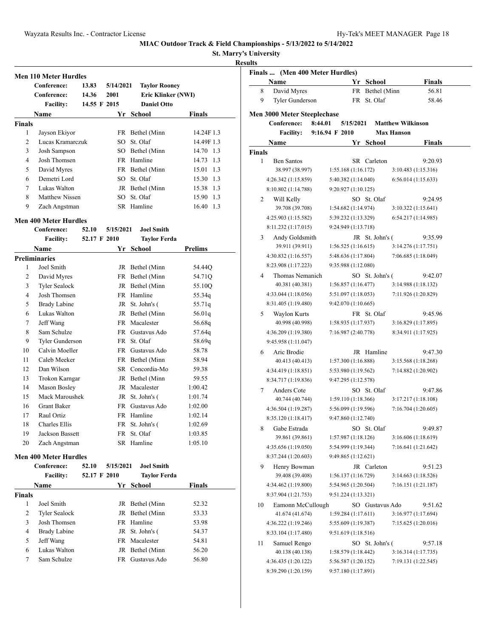**St. Marry's University**

### **Result**

|                | <b>Men 110 Meter Hurdles</b> |              |           |                      |                |
|----------------|------------------------------|--------------|-----------|----------------------|----------------|
|                | Conference:                  | 13.83        | 5/14/2021 | <b>Taylor Rooney</b> |                |
|                | Conference:                  | 14.36        | 2001      | Eric Klinker (NWI)   |                |
|                | <b>Facility:</b>             | 14.55 F 2015 |           | <b>Daniel Otto</b>   |                |
|                | <b>Name</b>                  |              | Yr        | School               | <b>Finals</b>  |
| <b>Finals</b>  |                              |              |           |                      |                |
| 1              | Jayson Ekiyor                |              | FR.       | Bethel (Minn         | 14.24F 1.3     |
| $\overline{c}$ | Lucas Kramarczuk             |              | SO.       | St. Olaf             | 14.49F 1.3     |
| 3              | Josh Sampson                 |              |           | SO Bethel (Minn      | 14.70 1.3      |
| 4              | Josh Thomsen                 |              |           | FR Hamline           | 14.73<br>1.3   |
| 5              | David Myres                  |              |           | FR Bethel (Minn      | 1.3<br>15.01   |
| 6              | Demetri Lord                 |              | SO.       | St. Olaf             | 15.30 1.3      |
| 7              | Lukas Walton                 |              |           | JR Bethel (Minn      | 15.38 1.3      |
| 8              | Matthew Nissen               |              | SO.       | St. Olaf             | 15.90 1.3      |
| 9              | Zach Angstman                |              |           | SR Hamline           | 16.40 1.3      |
|                | <b>Men 400 Meter Hurdles</b> |              |           |                      |                |
|                | Conference:                  | 52.10        | 5/15/2021 | <b>Joel Smith</b>    |                |
|                | <b>Facility:</b>             | 52.17 F 2010 |           | <b>Taylor Ferda</b>  |                |
|                | <b>Name</b>                  |              | Yr        | <b>School</b>        | <b>Prelims</b> |
|                | <b>Preliminaries</b>         |              |           |                      |                |
| 1              | Joel Smith                   |              |           | JR Bethel (Minn      | 54.44Q         |
| 2              | David Myres                  |              |           | FR Bethel (Minn      | 54.71Q         |
| 3              | <b>Tyler Sealock</b>         |              | JR        | Bethel (Minn         | 55.10Q         |
| 4              | Josh Thomsen                 |              |           | FR Hamline           | 55.34q         |
| 5              | <b>Brady Labine</b>          |              |           | JR St. John's (      | 55.71q         |
| 6              | Lukas Walton                 |              |           | JR Bethel (Minn      | 56.01q         |
| 7              | Jeff Wang                    |              | <b>FR</b> | Macalester           | 56.68q         |
| 8              | Sam Schulze                  |              | FR -      | Gustavus Ado         | 57.64q         |
| 9              | Tyler Gunderson              |              | FR -      | St. Olaf             | 58.69g         |
| 10             | Calvin Moeller               |              | FR -      | Gustavus Ado         | 58.78          |
| 11             | Caleb Meeker                 |              | FR        | Bethel (Minn         | 58.94          |
| 12             | Dan Wilson                   |              |           | SR Concordia-Mo      | 59.38          |
|                |                              |              |           |                      |                |

| 8  | Sam Schulze            | FR - | Gustavus Ado    | 57.64q  |
|----|------------------------|------|-----------------|---------|
| 9  | Tyler Gunderson        |      | FR St. Olaf     | 58.69g  |
| 10 | Calvin Moeller         | FR - | Gustavus Ado    | 58.78   |
| 11 | Caleb Meeker           |      | FR Bethel (Minn | 58.94   |
| 12 | Dan Wilson             |      | SR Concordia-Mo | 59.38   |
| 13 | Trokon Karngar         |      | JR Bethel (Minn | 59.55   |
| 14 | Mason Bosley           |      | JR Macalester   | 1:00.42 |
| 15 | Mack Maroushek         |      | JR St. John's ( | 1:01.74 |
| 16 | <b>Grant Baker</b>     | FR.  | Gustavus Ado    | 1:02.00 |
| 17 | Raul Ortiz             |      | FR Hamline      | 1:02.14 |
| 18 | Charles Ellis          |      | FR St. John's ( | 1:02.69 |
| 19 | <b>Jackson Bassett</b> |      | FR St. Olaf     | 1:03.85 |
| 20 | Zach Angstman          |      | SR Hamline      | 1:05.10 |
|    |                        |      |                 |         |

### **Men 400 Meter Hurdles**

|               | Conference:<br><b>Facility:</b> | 5/15/2021<br>52.10<br>52.17 F 2010 |     | <b>Joel Smith</b><br><b>Taylor Ferda</b> |               |  |
|---------------|---------------------------------|------------------------------------|-----|------------------------------------------|---------------|--|
|               | Name                            |                                    | Yr. | School                                   | <b>Finals</b> |  |
| <b>Finals</b> |                                 |                                    |     |                                          |               |  |
| 1             | Joel Smith                      |                                    |     | JR Bethel (Minn                          | 52.32         |  |
| 2             | <b>Tyler Sealock</b>            |                                    |     | JR Bethel (Minn                          | 53.33         |  |
| 3             | Josh Thomsen                    |                                    |     | FR Hamline                               | 53.98         |  |
| 4             | <b>Brady Labine</b>             |                                    |     | JR St. John's (                          | 54.37         |  |
| 5             | Jeff Wang                       |                                    |     | FR Macalester                            | 54.81         |  |
| 6             | Lukas Walton                    |                                    |     | JR Bethel (Minn                          | 56.20         |  |
| 7             | Sam Schulze                     |                                    | FR. | Gustavus Ado                             | 56.80         |  |

|               | Finals  (Men 400 Meter Hurdles)<br>Name           |                                            | Yr        | School          | <b>Finals</b>                  |
|---------------|---------------------------------------------------|--------------------------------------------|-----------|-----------------|--------------------------------|
| 8             | David Myres                                       |                                            | FR        | Bethel (Minn    | 56.81                          |
| 9             | Tyler Gunderson                                   |                                            | FR        | St. Olaf        | 58.46                          |
|               |                                                   |                                            |           |                 |                                |
|               | <b>Men 3000 Meter Steeplechase</b><br>Conference: | 8:44.01                                    | 5/15/2021 |                 | <b>Matthew Wilkinson</b>       |
|               | <b>Facility:</b>                                  | 9:16.94 F 2010                             |           |                 | <b>Max Hanson</b>              |
|               | Name                                              |                                            | Yr        | School          | Finals                         |
| <b>Finals</b> |                                                   |                                            |           |                 |                                |
| 1             | <b>Ben Santos</b>                                 |                                            |           | SR Carleton     | 9:20.93                        |
|               | 38.997 (38.997)                                   | 1:55.168 (1:16.172)                        |           |                 | 3:10.483 (1:15.316)            |
|               | 4:26.342 (1:15.859)                               | 5:40.382 (1:14.040)                        |           |                 | 6:56.014(1:15.633)             |
|               | 8:10.802 (1:14.788)                               | 9:20.927 (1:10.125)                        |           |                 |                                |
| 2             | Will Kelly                                        |                                            |           | SO St. Olaf     | 9:24.95                        |
|               | 39.708 (39.708)                                   | 1:54.682 (1:14.974)                        |           |                 | 3:10.322 (1:15.641)            |
|               | 4:25.903 (1:15.582)                               | 5:39.232 (1:13.329)                        |           |                 | 6:54.217(1:14.985)             |
|               | 8:11.232 (1:17.015)                               | 9:24.949 (1:13.718)                        |           |                 |                                |
| 3             | Andy Goldsmith                                    |                                            |           | JR St. John's ( | 9:35.99                        |
|               | 39.911 (39.911)                                   | 1:56.525(1:16.615)                         |           |                 | 3:14.276 (1:17.751)            |
|               | 4:30.832 (1:16.557)                               | 5:48.636 (1:17.804)                        |           |                 | 7:06.685 (1:18.049)            |
|               | 8:23.908 (1:17.223)                               | 9:35.988 (1:12.080)                        |           |                 |                                |
| 4             | Thomas Nemanich                                   |                                            |           | SO St. John's ( | 9:42.07                        |
|               | 40.381 (40.381)                                   | 1:56.857(1:16.477)                         |           |                 | 3:14.988(1:18.132)             |
|               | 4:33.044 (1:18.056)                               | 5:51.097 (1:18.053)                        |           |                 | 7:11.926 (1:20.829)            |
|               | 8:31.405 (1:19.480)                               | 9:42.070 (1:10.665)                        |           |                 |                                |
| 5             | Waylon Kurts                                      |                                            |           | FR St. Olaf     | 9:45.96                        |
|               | 40.998 (40.998)                                   | 1:58.935 (1:17.937)                        |           |                 | 3:16.829 (1:17.895)            |
|               | 4:36.209 (1:19.380)                               | 7:16.987 (2:40.778)                        |           |                 | 8:34.911 (1:17.925)            |
|               | 9:45.958 (1:11.047)                               |                                            |           |                 |                                |
| 6             | Aric Brodie                                       |                                            |           | JR Hamline      | 9:47.30                        |
|               | 40.413 (40.413)                                   | 1:57.300 (1:16.888)                        |           |                 | 3:15.568(1:18.268)             |
|               | 4:34.419 (1:18.851)                               | 5:53.980 (1:19.562)                        |           |                 | 7:14.882 (1:20.902)            |
|               | 8:34.717 (1:19.836)                               | 9:47.295 (1:12.578)                        |           |                 |                                |
| 7             | Anders Cote                                       |                                            |           | SO St. Olaf     | 9:47.86                        |
|               | 40.744 (40.744)                                   | 1:59.110 (1:18.366)                        |           |                 | 3:17.217 (1:18.108)            |
|               | 4:36.504 (1:19.287)                               | 5:56.099 (1:19.596)                        |           |                 | 7:16.704 (1:20.605)            |
|               | 8:35.120 (1:18.417)                               | 9:47.860 (1:12.740)                        |           |                 |                                |
| 8             | Gabe Estrada                                      |                                            |           | SO St. Olaf     | 9:49.87                        |
|               | 39.861 (39.861)<br>4:35.656 (1:19.050)            | 1:57.987 (1:18.126)<br>5:54.999 (1:19.344) |           |                 | 3:16.606(1:18.619)             |
|               | 8:37.244 (1:20.603)                               |                                            |           |                 | 7:16.641 (1:21.642)            |
|               |                                                   | 9:49.865 (1:12.621)                        |           |                 |                                |
| 9             | Henry Bowman<br>39.408 (39.408)                   | 1:56.137 (1:16.729)                        |           | JR Carleton     | 9:51.23<br>3:14.663(1:18.526)  |
|               | 4:34.462 (1:19.800)                               | 5:54.965 (1:20.504)                        |           |                 | 7:16.151 (1:21.187)            |
|               | 8:37.904 (1:21.753)                               | 9:51.224 (1:13.321)                        |           |                 |                                |
|               | Eamonn McCullough                                 |                                            |           |                 |                                |
| 10            | 41.674 (41.674)                                   | 1:59.284 (1:17.611)                        |           | SO Gustavus Ado | 9:51.62<br>3:16.977 (1:17.694) |
|               | 4:36.222 (1:19.246)                               | 5:55.609 (1:19.387)                        |           |                 | 7:15.625 (1:20.016)            |
|               | 8:33.104 (1:17.480)                               | 9:51.619 (1:18.516)                        |           |                 |                                |
| 11            | Samuel Rengo                                      |                                            |           | SO St. John's ( | 9:57.18                        |
|               | 40.138 (40.138)                                   | 1:58.579 (1:18.442)                        |           |                 | 3:16.314 (1:17.735)            |
|               | 4:36.435 (1:20.122)                               | 5:56.587 (1:20.152)                        |           |                 | 7:19.131 (1:22.545)            |
|               | 8:39.290 (1:20.159)                               | 9:57.180 (1:17.891)                        |           |                 |                                |
|               |                                                   |                                            |           |                 |                                |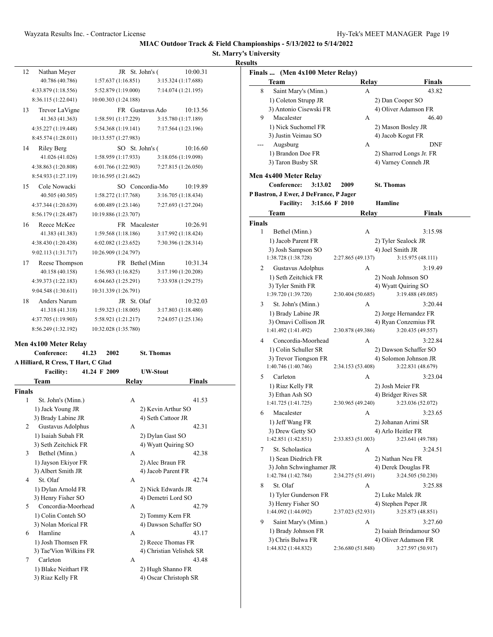## **St. Marry's University Results**

| 12                 | Nathan Meyer                           | JR                   |              | St. John's (             | 10:00.31      |
|--------------------|----------------------------------------|----------------------|--------------|--------------------------|---------------|
|                    | 40.786 (40.786)                        | 1:57.637(1:16.851)   |              | 3:15.324(1:17.688)       |               |
|                    | 4:33.879 (1:18.556)                    | 5:52.879 (1:19.000)  |              | 7:14.074 (1:21.195)      |               |
|                    | 8:36.115 (1:22.041)                    | 10:00.303 (1:24.188) |              |                          |               |
| 13                 | Trevor LaVigne                         |                      |              | FR Gustavus Ado          | 10:13.56      |
|                    | 41.363 (41.363)                        | 1:58.591 (1:17.229)  |              | 3:15.780 (1:17.189)      |               |
|                    | 4:35.227 (1:19.448)                    | 5:54.368 (1:19.141)  |              | 7:17.564 (1:23.196)      |               |
|                    | 8:45.574 (1:28.011)                    | 10:13.557 (1:27.983) |              |                          |               |
| 14                 | Riley Berg                             |                      |              | SO St. John's (          | 10:16.60      |
|                    | 41.026 (41.026)                        | 1:58.959(1:17.933)   |              | 3:18.056 (1:19.098)      |               |
|                    | 4:38.863 (1:20.808)                    | 6:01.766 (1:22.903)  |              | 7:27.815 (1:26.050)      |               |
|                    | 8:54.933 (1:27.119)                    | 10:16.595 (1:21.662) |              |                          |               |
| 15                 | Cole Nowacki                           |                      |              | SO Concordia-Mo          | 10:19.89      |
|                    | 40.505 (40.505)                        | 1:58.272 (1:17.768)  |              | 3:16.705(1:18.434)       |               |
|                    | 4:37.344 (1:20.639)                    | 6:00.489(1:23.146)   |              | 7:27.693 (1:27.204)      |               |
|                    | 8:56.179 (1:28.487)                    | 10:19.886 (1:23.707) |              |                          |               |
| 16                 | Reece McKee                            |                      |              | FR Macalester            | 10:26.91      |
|                    | 41.383 (41.383)                        | 1:59.568 (1:18.186)  |              | 3:17.992(1:18.424)       |               |
|                    | 4:38.430 (1:20.438)                    | 6:02.082 (1:23.652)  |              | 7:30.396 (1:28.314)      |               |
|                    | 9:02.113 (1:31.717)                    | 10:26.909 (1:24.797) |              |                          |               |
| 17                 | Reese Thompson                         |                      |              | FR Bethel (Minn          | 10:31.34      |
|                    | 40.158 (40.158)                        | 1:56.983(1:16.825)   |              | 3:17.190 (1:20.208)      |               |
|                    | 4:39.373 (1:22.183)                    | 6:04.663(1:25.291)   |              | 7:33.938 (1:29.275)      |               |
|                    | 9:04.548 (1:30.611)                    | 10:31.339 (1:26.791) |              |                          |               |
| 18                 | Anders Narum                           |                      |              | JR St. Olaf              | 10:32.03      |
|                    | 41.318 (41.318)                        | 1:59.323(1:18.005)   |              | 3:17.803(1:18.480)       |               |
|                    | 4:37.705 (1:19.903)                    | 5:58.921 (1:21.217)  |              | 7:24.057 (1:25.136)      |               |
|                    | 8:56.249 (1:32.192)                    | 10:32.028 (1:35.780) |              |                          |               |
|                    |                                        |                      |              |                          |               |
|                    | Men 4x100 Meter Relay                  |                      |              |                          |               |
|                    | Conference:<br>41.23                   | 2002                 |              | <b>St. Thomas</b>        |               |
|                    | A Hilliard, R Cress, T Hart, C Glad    | 41.24 F 2009         |              | <b>UW-Stout</b>          |               |
|                    | <b>Facility:</b>                       |                      |              |                          |               |
|                    | Team                                   |                      | <b>Relay</b> |                          | <b>Finals</b> |
| <b>Finals</b><br>1 |                                        |                      |              |                          | 41.53         |
|                    | St. John's (Minn.)<br>1) Jack Young JR |                      | А            | 2) Kevin Arthur SO       |               |
|                    | 3) Brady Labine JR                     |                      |              | 4) Seth Cattoor JR       |               |
| 2                  | Gustavus Adolphus                      |                      | А            |                          | 42.31         |
|                    | 1) Isaiah Subah FR                     |                      |              | 2) Dylan Gast SO         |               |
|                    | 3) Seth Zeitchick FR                   |                      |              | 4) Wyatt Quiring SO      |               |
| 3                  | Bethel (Minn.)                         |                      | А            |                          | 42.38         |
|                    | 1) Jayson Ekiyor FR                    |                      |              | 2) Alec Braun FR         |               |
|                    | 3) Albert Smith JR                     |                      |              | 4) Jacob Parent FR       |               |
| 4                  | St. Olaf                               |                      | А            |                          | 42.74         |
|                    | 1) Dylan Arnold FR                     |                      |              | 2) Nick Edwards JR       |               |
|                    | 3) Henry Fisher SO                     |                      |              | 4) Demetri Lord SO       |               |
| 5                  | Concordia-Moorhead                     |                      | А            |                          | 42.79         |
|                    | 1) Colin Conteh SO                     |                      |              | 2) Tommy Kern FR         |               |
|                    | 3) Nolan Morical FR                    |                      |              | 4) Dawson Schaffer SO    |               |
| 6                  | Hamline                                |                      | А            |                          | 43.17         |
|                    | 1) Josh Thomsen FR                     |                      |              | 2) Reece Thomas FR       |               |
|                    | 3) Tae'Vion Wilkins FR                 |                      |              | 4) Christian Velishek SR |               |

| 31 IQU VIOII WIIKIIIS FIX | <b>HIGHT</b> VUISIIUM DIV |
|---------------------------|---------------------------|
| Carleton                  | 43.48                     |
| 1) Blake Neithart FR      | 2) Hugh Shanno FR         |
| 3) Riaz Kelly FR          | 4) Oscar Christoph SR     |

|               | Finals  (Men 4x100 Meter Relay)<br>Team |                 | Relay             | Finals                                    |
|---------------|-----------------------------------------|-----------------|-------------------|-------------------------------------------|
| 8             | Saint Mary's (Minn.)                    |                 | А                 | 43.82                                     |
|               | 1) Coleton Strupp JR                    |                 |                   |                                           |
|               | 3) Antonio Cisewski FR                  |                 |                   | 2) Dan Cooper SO<br>4) Oliver Adamson FR  |
| 9             | Macalester                              |                 | А                 | 46.40                                     |
|               | 1) Nick Suchomel FR                     |                 |                   | 2) Mason Bosley JR                        |
|               | 3) Justin Veimau SO                     |                 |                   | 4) Jacob Kogut FR                         |
|               | Augsburg                                |                 | А                 | DNF                                       |
|               | 1) Brandon Doe FR                       |                 |                   | 2) Sharrod Longs Jr. FR                   |
|               | 3) Taron Busby SR                       |                 |                   | 4) Varney Conneh JR                       |
|               |                                         |                 |                   |                                           |
|               | Men 4x400 Meter Relay<br>Conference:    | 3:13.02<br>2009 |                   | <b>St. Thomas</b>                         |
|               |                                         |                 |                   |                                           |
|               | P Bastron, J Ewer, J DeFrance, P Jager  |                 |                   | <b>Hamline</b>                            |
|               | <b>Facility:</b>                        | 3:15.66 F 2010  |                   |                                           |
|               | Team                                    |                 | Relay             | <b>Finals</b>                             |
| <b>Finals</b> |                                         |                 |                   |                                           |
| 1             | Bethel (Minn.)                          |                 | А                 | 3:15.98                                   |
|               | 1) Jacob Parent FR                      |                 |                   | 2) Tyler Sealock JR                       |
|               | 3) Josh Sampson SO                      |                 |                   | 4) Joel Smith JR                          |
|               | 1:38.728 (1:38.728)                     |                 | 2:27.865 (49.137) | 3:15.975 (48.111)                         |
| 2             | Gustavus Adolphus                       |                 | А                 | 3:19.49                                   |
|               | 1) Seth Zeitchick FR                    |                 |                   | 2) Noah Johnson SO                        |
|               | 3) Tyler Smith FR                       |                 |                   | 4) Wyatt Quiring SO                       |
|               | 1:39.720 (1:39.720)                     |                 | 2:30.404 (50.685) | 3:19.488 (49.085)                         |
| 3             | St. John's (Minn.)                      |                 | А                 | 3:20.44                                   |
|               | 1) Brady Labine JR                      |                 |                   | 2) Jorge Hernandez FR                     |
|               | 3) Omavi Collison JR                    |                 |                   | 4) Ryan Conzemius FR                      |
|               | 1:41.492 (1:41.492)                     |                 | 2:30.878 (49.386) | 3:20.435 (49.557)                         |
| 4             | Concordia-Moorhead                      |                 | А                 | 3:22.84                                   |
|               | 1) Colin Schuller SR                    |                 |                   | 2) Dawson Schaffer SO                     |
|               | 3) Trevor Tiongson FR                   |                 |                   | 4) Solomon Johnson JR                     |
|               | 1:40.746 (1:40.746)                     |                 | 2:34.153 (53.408) | 3:22.831 (48.679)                         |
| 5             | Carleton                                |                 | А                 | 3:23.04                                   |
|               | 1) Riaz Kelly FR                        |                 |                   | 2) Josh Meier FR                          |
|               | 3) Ethan Ash SO                         |                 |                   | 4) Bridger Rives SR                       |
|               | 1:41.725 (1:41.725)                     |                 | 2:30.965 (49.240) | 3:23.036 (52.072)                         |
| 6             | Macalester                              |                 | А                 | 3:23.65                                   |
|               | 1) Jeff Wang FR                         |                 |                   | 2) Johanan Arimi SR                       |
|               | 3) Drew Getty SO                        |                 |                   | 4) Arlo Heitler FR                        |
|               | 1:42.851 (1:42.851)                     |                 | 2:33.853 (51.003) | 3:23.641 (49.788)                         |
| 7             | St. Scholastica                         |                 | A                 | 3:24.51                                   |
|               | 1) Sean Diedrich FR                     |                 |                   | 2) Nathan Neu FR                          |
|               | 3) John Schwinghamer JR                 |                 |                   | 4) Derek Douglas FR                       |
|               | 1:42.784 (1:42.784)                     |                 | 2:34.275 (51.491) | 3:24.505 (50.230)                         |
| 8             | St. Olaf                                |                 | А                 | 3:25.88                                   |
|               | 1) Tyler Gunderson FR                   |                 |                   | 2) Luke Malek JR                          |
|               | 3) Henry Fisher SO                      |                 |                   | 4) Stephen Peper JR                       |
|               | 1:44.092 (1:44.092)                     |                 | 2:37.023 (52.931) | 3:25.873 (48.851)                         |
|               |                                         |                 |                   | 3:27.60                                   |
| 9             | Saint Mary's (Minn.)                    |                 | А                 |                                           |
|               | 1) Brady Johnson FR                     |                 |                   | 2) Isaiah Brindamour SO                   |
|               | 3) Chris Bulwa FR                       |                 |                   | 4) Oliver Adamson FR<br>3:27.597 (50.917) |
|               | 1:44.832 (1:44.832)                     |                 | 2:36.680 (51.848) |                                           |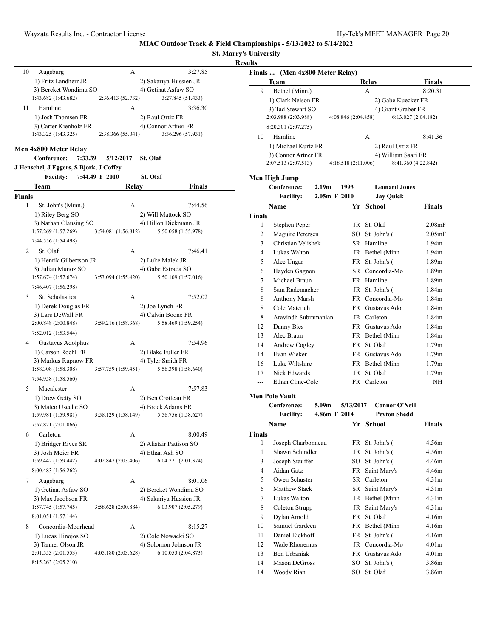**St. Marry's University**

|               |                                                                                  |                        |                                               | MIAC Outdoor Track & Field Champi | St. Marry's Un |
|---------------|----------------------------------------------------------------------------------|------------------------|-----------------------------------------------|-----------------------------------|----------------|
|               |                                                                                  |                        |                                               |                                   | <b>Results</b> |
| 10            | Augsburg<br>1) Fritz Landherr JR<br>3) Bereket Wondimu SO<br>1:43.682 (1:43.682) | A<br>2:36.413 (52.732) | 2) Sakariya Hussien JR<br>4) Getinat Asfaw SO | 3:27.85<br>3:27.845 (51.433)      | Fir            |
| 11            | Hamline                                                                          | A                      |                                               | 3:36.30                           |                |
|               | 1) Josh Thomsen FR<br>3) Carter Kienholz FR<br>1:43.325 (1:43.325)               | 2:38.366 (55.041)      | 2) Raul Ortiz FR<br>4) Connor Artner FR       | 3:36.296 (57.931)                 |                |
|               | Men 4x800 Meter Relay                                                            |                        |                                               |                                   |                |
|               | Conference:<br>7:33.39<br>J Henschel, J Eggers, S Bjork, J Coffey                | 5/12/2017              | <b>St. Olaf</b>                               |                                   |                |
|               | Facility: 7:44.49 F 2010                                                         |                        | St. Olaf                                      |                                   | M              |
|               | Team                                                                             | Relay                  |                                               | Finals                            |                |
| <b>Finals</b> |                                                                                  |                        |                                               |                                   |                |
| 1             | St. John's (Minn.)                                                               | A                      |                                               | 7:44.56                           |                |
|               | 1) Riley Berg SO<br>3) Nathan Clausing SO                                        |                        | 2) Will Mattock SO<br>4) Dillon Diekmann JR   |                                   | Fir            |
|               | 1:57.269(1:57.269)<br>7:44.556 (1:54.498)                                        | 3:54.081(1:56.812)     |                                               | 5:50.058 (1:55.978)               |                |
| 2             | St. Olaf                                                                         | A                      |                                               | 7:46.41                           |                |
|               | 1) Henrik Gilbertson JR                                                          |                        | 2) Luke Malek JR                              |                                   |                |
|               | 3) Julian Munoz SO                                                               |                        | 4) Gabe Estrada SO                            |                                   |                |
|               | 1:57.674(1:57.674)<br>7:46.407 (1:56.298)                                        | 3:53.094 (1:55.420)    |                                               | 5:50.109 (1:57.016)               |                |
| 3             | St. Scholastica                                                                  | A                      |                                               | 7:52.02                           |                |
|               | 1) Derek Douglas FR                                                              |                        | 2) Joe Lynch FR                               |                                   |                |
|               | 3) Lars DeWall FR                                                                |                        | 4) Calvin Boone FR                            |                                   |                |
|               | 2:00.848 (2:00.848)                                                              | 3:59.216 (1:58.368)    |                                               | 5:58.469 (1:59.254)               |                |
|               | 7:52.012 (1:53.544)                                                              |                        |                                               |                                   |                |
| 4             | Gustavus Adolphus                                                                | A                      |                                               | 7:54.96                           |                |
|               | 1) Carson Roehl FR                                                               |                        | 2) Blake Fuller FR                            |                                   |                |
|               | 3) Markus Rupnow FR<br>1:58.308 (1:58.308)                                       | 3:57.759(1:59.451)     | 4) Tyler Smith FR                             | 5:56.398 (1:58.640)               |                |
|               | 7:54.958 (1:58.560)                                                              |                        |                                               |                                   |                |
| 5             | Macalester                                                                       | А                      |                                               | 7:57.83                           |                |
|               | 1) Drew Getty SO                                                                 |                        | 2) Ben Crotteau FR                            |                                   | $\mathbf{M}$   |
|               | 3) Mateo Useche SO                                                               |                        | 4) Brock Adams FR                             |                                   |                |
|               | 1:59.981 (1:59.981)                                                              | 3:58.129 (1:58.149)    |                                               | 5:56.756 (1:58.627)               |                |
|               | 7:57.821 (2:01.066)                                                              |                        |                                               |                                   |                |
| 6             | Carleton                                                                         | A                      |                                               | 8:00.49                           | Fir            |
|               | 1) Bridger Rives SR                                                              |                        | 2) Alistair Pattison SO                       |                                   |                |
|               | 3) Josh Meier FR<br>1:59.442 (1:59.442)                                          | 4:02.847 (2:03.406)    | 4) Ethan Ash SO                               | 6:04.221 (2:01.374)               |                |
|               | 8:00.483 (1:56.262)                                                              |                        |                                               |                                   |                |
| 7             | Augsburg                                                                         | A                      |                                               | 8:01.06                           |                |
|               | 1) Getinat Asfaw SO                                                              |                        |                                               | 2) Bereket Wondimu SO             |                |
|               | 3) Max Jacobson FR                                                               |                        | 4) Sakariya Hussien JR                        |                                   |                |
|               | 1:57.745 (1:57.745)                                                              | 3:58.628 (2:00.884)    |                                               | 6:03.907 (2:05.279)               |                |

| 8 | Concordia-Moorhead  | А                  |                       | 8:15.27 |
|---|---------------------|--------------------|-----------------------|---------|
|   | 1) Lucas Hinojos SO |                    | 2) Cole Nowacki SO    |         |
|   | 3) Tanner Olson JR  |                    | 4) Solomon Johnson JR |         |
|   | 2:01.553(2:01.553)  | 4:05.180(2:03.628) | 6:10.053(2:04.873)    |         |
|   | 8:15.263 (2:05.210) |                    |                       |         |

8:01.051 (1:57.144)

|               | Finals  (Men 4x800 Meter Relay)  |                     |    |                       |                     |
|---------------|----------------------------------|---------------------|----|-----------------------|---------------------|
|               | Team                             |                     |    | <b>Relay</b>          | Finals              |
| 9             | Bethel (Minn.)                   |                     |    | A                     | 8:20.31             |
|               | 1) Clark Nelson FR               |                     |    | 2) Gabe Kuecker FR    |                     |
|               | 3) Tad Stewart SO                |                     |    | 4) Grant Graber FR    |                     |
|               | 2:03.988 (2:03.988)              | 4:08.846 (2:04.858) |    |                       | 6:13.027(2:04.182)  |
|               | 8:20.301 (2:07.275)              |                     |    |                       |                     |
| 10            | Hamline                          |                     |    | A                     | 8:41.36             |
|               | 1) Michael Kurtz FR              |                     |    | 2) Raul Ortiz FR      |                     |
|               | 3) Connor Artner FR              |                     |    | 4) William Saari FR   |                     |
|               | 2:07.513 (2:07.513)              | 4:18.518(2:11.006)  |    |                       | 8:41.360 (4:22.842) |
|               | Men High Jump                    |                     |    |                       |                     |
|               | Conference:<br>2.19 <sub>m</sub> | 1993                |    | <b>Leonard Jones</b>  |                     |
|               | <b>Facility:</b>                 | $2.05m$ F $2010$    |    | <b>Jay Quick</b>      |                     |
|               | Name                             |                     | Yr | School                | Finals              |
| <b>Finals</b> |                                  |                     |    |                       |                     |
| 1             | Stephen Peper                    |                     |    | JR St. Olaf           | 2.08 <sub>mF</sub>  |
| 2             | Maguire Petersen                 |                     |    | SO St. John's (       | 2.05mF              |
| 3             | Christian Velishek               |                     |    | SR Hamline            | 1.94 <sub>m</sub>   |
| 4             | Lukas Walton                     |                     |    | JR Bethel (Minn       | 1.94 <sub>m</sub>   |
| 5             | Alec Ungar                       |                     |    | FR St. John's (       | 1.89m               |
| 6             | Hayden Gagnon                    |                     |    | SR Concordia-Mo       | 1.89m               |
| 7             | Michael Braun                    |                     |    | FR Hamline            | 1.89m               |
| 8             | Sam Rademacher                   |                     |    | JR St. John's (       | 1.84m               |
| 8             | <b>Anthony Marsh</b>             |                     |    | FR Concordia-Mo       | 1.84m               |
| 8             | Cole Matetich                    |                     |    | FR Gustavus Ado       | 1.84m               |
| 8             | Aravindh Subramanian             |                     |    | JR Carleton           | 1.84m               |
| 12            | Danny Bies                       |                     |    | FR Gustavus Ado       | 1.84m               |
| 13            | Alec Braun                       |                     |    | FR Bethel (Minn       | 1.84m               |
| 14            | Andrew Cogley                    |                     |    | FR St. Olaf           | 1.79m               |
| 14            | Evan Wieker                      |                     |    | FR Gustavus Ado       | 1.79m               |
| 16            | Luke Wiltshire                   |                     |    | FR Bethel (Minn       | 1.79m               |
| 17            | Nick Edwards                     |                     |    | JR St. Olaf           | 1.79m               |
| $---$         | Ethan Cline-Cole                 |                     |    | FR Carleton           | <b>NH</b>           |
|               | <b>Men Pole Vault</b>            |                     |    |                       |                     |
|               | Conference:<br>5.09m             | 5/13/2017           |    | <b>Connor O'Neill</b> |                     |
|               | <b>Facility:</b>                 | 4.86m F 2014        |    | Peyton Shedd          |                     |
|               | Name                             |                     |    | Yr School             | Finals              |
| <b>Finals</b> |                                  |                     |    |                       |                     |
| 1             | Joseph Charbonneau               |                     |    | FR St. John's (       | 4.56m               |
| 1             | Shawn Schindler                  |                     |    | JR St. John's (       | 4.56m               |
| 3             | Joseph Stauffer                  |                     |    | SO St. John's (       | 4.46m               |
| 4             | Aidan Gatz                       |                     |    | FR Saint Mary's       | 4.46m               |
| 5             | Owen Schuster                    |                     |    | SR Carleton           | 4.31m               |
| 6             | Matthew Stack                    |                     |    | SR Saint Mary's       | 4.31 <sub>m</sub>   |
| 7             | Lukas Walton                     |                     |    | JR Bethel (Minn       | 4.31m               |
| 8             | Coleton Strupp                   |                     |    | JR Saint Mary's       | 4.31m               |
| 9             | Dylan Arnold                     |                     |    | FR St. Olaf           | 4.16m               |
| 10            | Samuel Gardeen                   |                     |    | FR Bethel (Minn       | 4.16m               |
| 11            | Daniel Eickhoff                  |                     | FR | St. John's (          | 4.16m               |
| 12            | Wade Rhonemus                    |                     |    | JR Concordia-Mo       | 4.01m               |
| 13            | Ben Urbaniak                     |                     |    | FR Gustavus Ado       | 4.01m               |
| 14            | Mason DeGross                    |                     | SO | St. John's (          | 3.86m               |
| 14            | Woody Rian                       |                     |    | SO St. Olaf           | 3.86m               |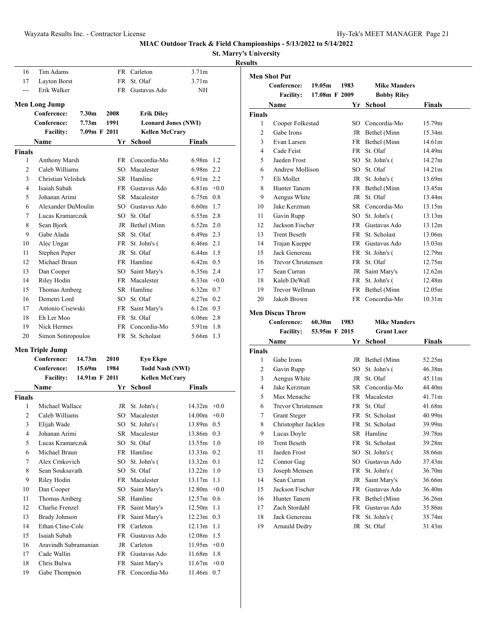**St. Marry's University**

## **Results**

| 16             | Tim Adams            |                   |           | FR Carleton                | 3.71 <sub>m</sub> |  |
|----------------|----------------------|-------------------|-----------|----------------------------|-------------------|--|
| 17             | <b>Layton Borst</b>  |                   | <b>FR</b> | St. Olaf                   | 3.71 <sub>m</sub> |  |
| ---            | Erik Walker          |                   | FR -      | Gustavus Ado               | NH                |  |
|                | Men Long Jump        |                   |           |                            |                   |  |
|                | Conference:          | 7.30 <sub>m</sub> | 2008      | <b>Erik Diley</b>          |                   |  |
|                | Conference:          | 7.73 <sub>m</sub> | 1991      | <b>Leonard Jones (NWI)</b> |                   |  |
|                | <b>Facility:</b>     | 7.09m F 2011      |           | <b>Kellen McCrary</b>      |                   |  |
|                | Name                 |                   | Yr        | School                     | Finals            |  |
| <b>Finals</b>  |                      |                   |           |                            |                   |  |
| 1              | <b>Anthony Marsh</b> |                   |           | FR Concordia-Mo            | 6.98m 1.2         |  |
| $\overline{2}$ | Caleb Williams       |                   |           | SO Macalester              | 6.98m 2.2         |  |
| 3              | Christian Velishek   |                   |           | SR Hamline                 | 6.91m 2.2         |  |
| $\overline{4}$ | Isaiah Subah         |                   |           | FR Gustavus Ado            | $6.81m + 0.0$     |  |
| 5              | Johanan Arimi        |                   |           | SR Macalester              | $6.75m$ 0.8       |  |
| 6              | Alexander DuMoulin   |                   |           | SO Gustavus Ado            | 6.60m 1.7         |  |
| 7              | Lucas Kramarczuk     |                   | SO.       | St. Olaf                   | $6.55m$ 2.8       |  |
| 8              | Sean Bjork           |                   |           | JR Bethel (Minn            | $6.52m$ 2.0       |  |
| 9              | Gabe Alada           |                   | SR -      | St. Olaf                   | $6.49m$ 2.3       |  |
| 10             | Alec Ungar           |                   |           | FR St. John's (            | 6.46m 2.1         |  |
| 11             | Stephen Peper        |                   | JR        | St. Olaf                   | $6.44m$ 1.5       |  |
| 12             | Michael Braun        |                   |           | FR Hamline                 | $6.42m$ 0.5       |  |
| 13             | Dan Cooper           |                   |           | SO Saint Mary's            | $6.35m$ 2.4       |  |
| 14             | Riley Hodin          |                   |           | FR Macalester              | $6.33m + 0.0$     |  |
| 15             | Thomas Amberg        |                   |           | SR Hamline                 | $6.32m$ 0.7       |  |
| 16             | Demetri Lord         |                   |           | SO St. Olaf                | $6.27m$ 0.2       |  |
| 17             | Antonio Cisewski     |                   |           | FR Saint Mary's            | $6.12m$ 0.3       |  |
| 18             | Eh Ler Moo           |                   | <b>FR</b> | St. Olaf                   | $6.06m$ 2.8       |  |
| 19             | Nick Hermes          |                   |           | FR Concordia-Mo            | $5.91m$ 1.8       |  |
| 20             | Simon Sotiropoulos   |                   |           | FR St. Scholast            | 5.66m 1.3         |  |

### **Men Triple Jump**

|                | Conference:          | 14.73m        | 2010 | Eyo Ekpo               |                           |
|----------------|----------------------|---------------|------|------------------------|---------------------------|
|                | Conference:          | 15.69m        | 1984 | <b>Todd Nash (NWI)</b> |                           |
|                | <b>Facility:</b>     | 14.91m F 2011 |      | <b>Kellen McCrary</b>  |                           |
|                | Name                 |               |      | Yr School              | <b>Finals</b>             |
| <b>Finals</b>  |                      |               |      |                        |                           |
| 1              | Michael Wallace      |               |      | JR St. John's (        | $14.32m +0.0$             |
| $\overline{2}$ | Caleb Williams       |               | SO   | Macalester             | 14.00m<br>$+0.0$          |
| 3              | Elijah Wade          |               | SO   | St. John's (           | 13.89m 0.5                |
| 4              | Johanan Arimi        |               | SR.  | Macalester             | 13.86m 0.3                |
| 5              | Lucas Kramarczuk     |               | SO   | St. Olaf               | 13.55m<br>1.0             |
| 6              | Michael Braun        |               | FR   | Hamline                | $13.33m$ 0.2              |
| 7              | Alex Crnkovich       |               | SO   | St. John's (           | 13.32m 0.1                |
| 8              | Sean Souksavath      |               | SO.  | St. Olaf               | 13.22m<br>1.0             |
| 9              | Riley Hodin          |               | FR.  | Macalester             | 13.17m<br>1.1             |
| 10             | Dan Cooper           |               | SO   | Saint Mary's           | $12.80m +0.0$             |
| 11             | Thomas Amberg        |               | SR.  | Hamline                | 12.57m 0.6                |
| 12             | Charlie Frenzel      |               | FR   | Saint Mary's           | 12.50m<br>1.1             |
| 13             | Brady Johnson        |               | FR   | Saint Mary's           | $12.23m$ 0.3              |
| 14             | Ethan Cline-Cole     |               | FR   | Carleton               | 12.13m<br>1.1             |
| 15             | Isaiah Subah         |               | FR - | Gustavus Ado           | 12.08 <sub>m</sub><br>1.5 |
| 16             | Aravindh Subramanian |               |      | JR Carleton            | $11.95m +0.0$             |
| 17             | Cade Wallin          |               | FR - | Gustavus Ado           | 11.68m<br>1.8             |
| 18             | Chris Bulwa          |               | FR   | Saint Mary's           | $11.67m +0.0$             |
| 19             | Gabe Thompson        |               |      | FR Concordia-Mo        | 11.46m 0.7                |

|               | <b>Men Shot Put</b> |               |           |                     |        |
|---------------|---------------------|---------------|-----------|---------------------|--------|
|               | Conference:         | 19.05m        | 1983      | <b>Mike Manders</b> |        |
|               | <b>Facility:</b>    | 17.08m F 2009 |           | <b>Bobby Riley</b>  |        |
|               | Name                |               | Yr        | <b>School</b>       | Finals |
| <b>Finals</b> |                     |               |           |                     |        |
| 1             | Cooper Folkestad    |               |           | SO Concordia-Mo     | 15.79m |
| 2             | Gabe Irons          |               |           | JR Bethel (Minn     | 15.34m |
| 3             | Evan Larsen         |               |           | FR Bethel (Minn     | 14.61m |
| 4             | Cade Feist          |               | <b>FR</b> | St. Olaf            | 14.49m |
| 5             | Jaeden Frost        |               | $SO_{-}$  | St. John's (        | 14.27m |
| 6             | Andrew Mollison     |               | $SO^-$    | St. Olaf            | 14.21m |
| 7             | Eli Mollet          |               | JR        | St. John's (        | 13.69m |
| 8             | Hunter Tanem        |               | FR        | Bethel (Minn        | 13.45m |
| 9             | Aengus White        |               | JR        | St. Olaf            | 13.44m |
| 10            | Jake Kerzman        |               | SR –      | Concordia-Mo        | 13.15m |
| 11            | Gavin Rupp          |               | SO        | St. John's (        | 13.13m |
| 12            | Jackson Fischer     |               | <b>FR</b> | Gustavus Ado        | 13.12m |
| 13            | <b>Trent Beseth</b> |               | FR        | St. Scholast        | 13.06m |
| 14            | Trajan Kaeppe       |               | FR        | Gustavus Ado        | 13.03m |
| 15            | Jack Genereau       |               | FR        | St. John's (        | 12.79m |
| 16            | Trevor Christensen  |               | FR        | St. Olaf            | 12.75m |
| 17            | Sean Curran         |               | JR        | Saint Mary's        | 12.62m |
| 18            | Kaleb DeWall        |               | FR        | St. John's (        | 12.48m |
| 19            | Trevor Wellman      |               |           | FR Bethel (Minn     | 12.05m |
| 20            | Jakob Brown         |               | <b>FR</b> | Concordia-Mo        | 10.31m |
|               |                     |               |           |                     |        |

### **Men Discus Throw**

| Conference: | 60.30m | 1983 | <b>Mike Manders</b> |  |
|-------------|--------|------|---------------------|--|
|             |        |      |                     |  |

| ilitv• | 53 95m |
|--------|--------|
|        |        |

| ilitv• | 53 95m |
|--------|--------|
|        |        |

| litv: | 53.95m |
|-------|--------|
|       |        |

| ilitv: | 53.95m |  |
|--------|--------|--|
|        |        |  |

| :ilitv: |  |  |  | 53.95m |
|---------|--|--|--|--------|
|         |  |  |  |        |

|         | 53.95m |
|---------|--------|
| :ilitv: |        |
|         |        |

| <b>Facility:</b> | 53.95m F 2015 |  | <b>Grant Luer</b> |
|------------------|---------------|--|-------------------|

| $-1$ | $- - - -$ |  |
|------|-----------|--|

| $\sim$ $\sim$ $\sim$ | -- - - |  |  |
|----------------------|--------|--|--|
|                      |        |  |  |
|                      |        |  |  |

| $124 - 1$ | E20E |  |
|-----------|------|--|

|  | $\sim$ $\sim$ |  |
|--|---------------|--|

| acility• | 53 O5m |
|----------|--------|

| 11.4 | E20E |
|------|------|

| ∙ilitv∙ | 53 95m |
|---------|--------|

|  | $\sim$ $\sim$ |  |
|--|---------------|--|

| <b>Facility:</b> |  | 53.9 |
|------------------|--|------|
|------------------|--|------|

| acılıtv:<br>53.95 |  |
|-------------------|--|
|-------------------|--|

| tcılıtv: | 53.Y5m |  |
|----------|--------|--|
|          |        |  |

| .<br>$\sim$ | ----- | ۰. |  |
|-------------|-------|----|--|
|             |       |    |  |

| Name | Yr School | <b>Finals</b> |
|------|-----------|---------------|
|      |           |               |

| <b>Finals</b> |                     |           |                 |                    |
|---------------|---------------------|-----------|-----------------|--------------------|
| 1             | Gabe Irons          |           | JR Bethel (Minn | 52.25m             |
| 2             | Gavin Rupp          | SО        | St. John's (    | 46.38m             |
| 3             | Aengus White        | JR        | St. Olaf        | 45.11m             |
| 4             | Jake Kerzman        | SR        | Concordia-Mo    | 44.40m             |
| 5             | Max Menache         | FR.       | Macalester      | 41.71m             |
| 6             | Trevor Christensen  |           | FR St. Olaf     | 41.68m             |
| 7             | <b>Grant Steger</b> |           | FR St. Scholast | 40.99m             |
| 8             | Christopher Jacklen |           | FR St. Scholast | 39.99m             |
| 9             | Lucas Doyle         |           | SR Hamline      | 39.78m             |
| 10            | <b>Trent Beseth</b> |           | FR St. Scholast | 39.28m             |
| 11            | Jaeden Frost        | SО        | St. John's (    | 38.66m             |
| 12            | Connor Gag          | SO        | Gustavus Ado    | 37.43m             |
| 13            | Joseph Mensen       | FR.       | St. John's (    | 36.70m             |
| 14            | Sean Curran         | JR        | Saint Mary's    | 36.66m             |
| 15            | Jackson Fischer     | FR        | Gustavus Ado    | 36.40 <sub>m</sub> |
| 16            | Hunter Tanem        | FR        | Bethel (Minn    | 36.26m             |
| 17            | Zach Stordahl       | <b>FR</b> | Gustavus Ado    | 35.86m             |
| 18            | Jack Genereau       | FR.       | St. John's (    | 35.74m             |
| 19            | Arnauld Dedry       | JR        | St. Olaf        | 31.43m             |